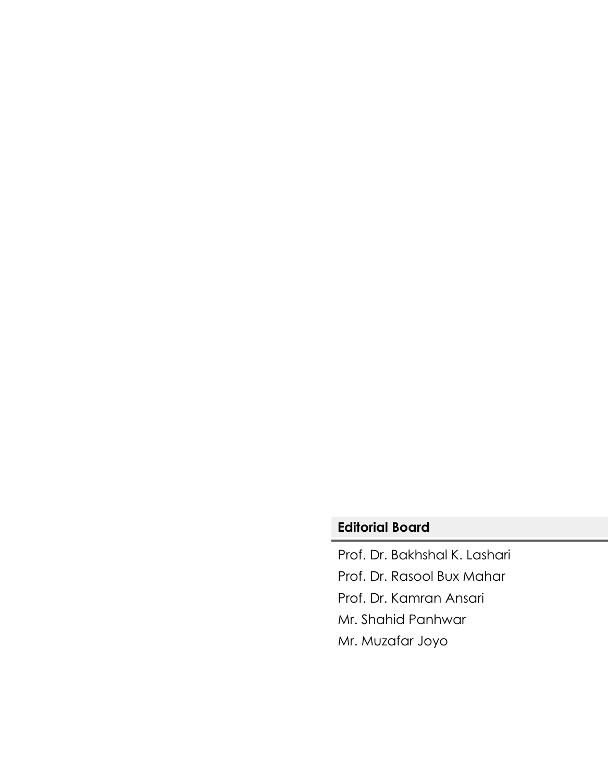# **Editorial Board**

Prof. Dr. Bakhshal K. Lashari Prof. Dr. Rasool Bux Mahar Prof. Dr. Kamran Ansari Mr. Shahid Panhwar Mr. Muzafar Joyo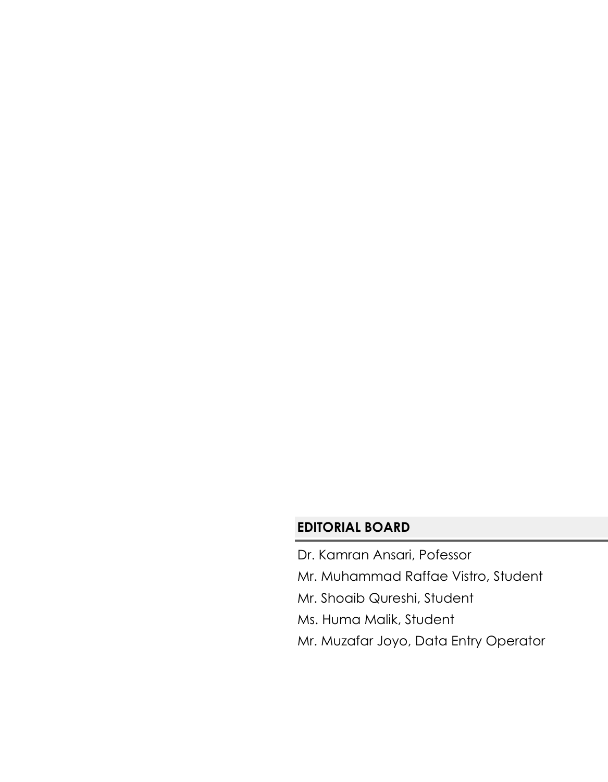# **EDITORIAL BOARD**

- Dr. Kamran Ansari, Pofessor
- Mr. Muhammad Raffae Vistro, Student
- Mr. Shoaib Qureshi, Student
- Ms. Huma Malik, Student
- Mr. Muzafar Joyo, Data Entry Operator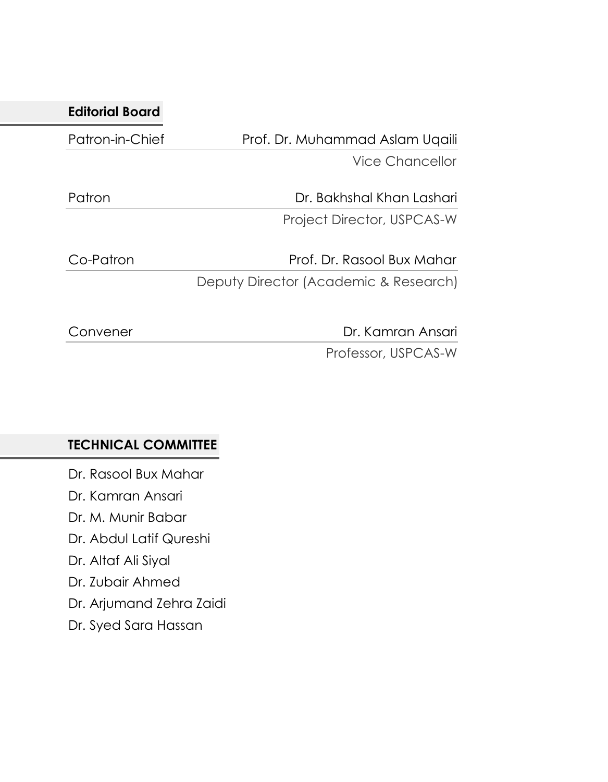| Prof. Dr. Muhammad Aslam Uqaili       |
|---------------------------------------|
| Vice Chancellor                       |
| Dr. Bakhshal Khan Lashari             |
| Project Director, USPCAS-W            |
| Prof. Dr. Rasool Bux Mahar            |
| Deputy Director (Academic & Research) |
| Dr. Kamran Ansari                     |
|                                       |

Professor, USPCAS-W

# **TECHNICAL COMMITTEE**

Dr. Rasool Bux Mahar Dr. Kamran Ansari Dr. M. Munir Babar

Dr. Abdul Latif Qureshi

Dr. Altaf Ali Siyal

Dr. Zubair Ahmed

Dr. Arjumand Zehra Zaidi

Dr. Syed Sara Hassan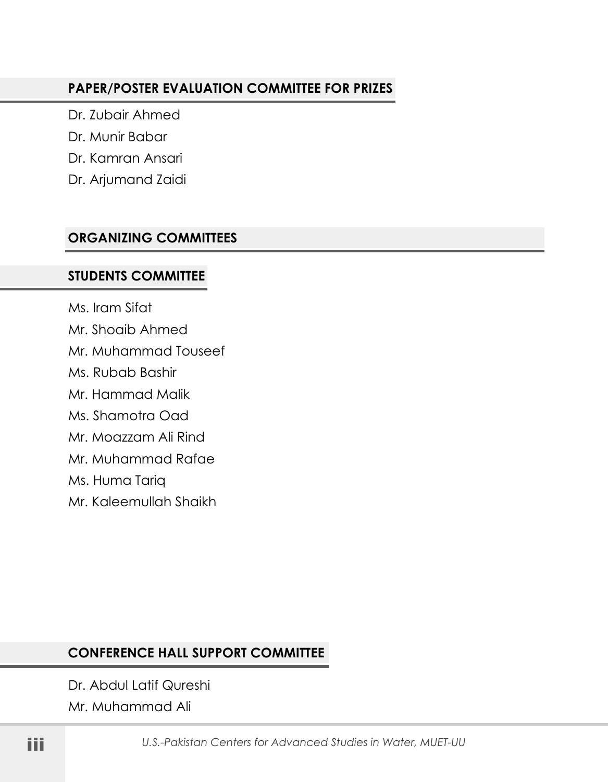#### **PAPER/POSTER EVALUATION COMMITTEE FOR PRIZES**

Dr. Zubair Ahmed

Dr. Munir Babar

Dr. Kamran Ansari

Dr. Arjumand Zaidi

## **ORGANIZING COMMITTEES**

### **STUDENTS COMMITTEE**

Ms. Iram Sifat Mr. Shoaib Ahmed Mr. Muhammad Touseef Ms. Rubab Bashir Mr. Hammad Malik Ms. Shamotra Oad Mr. Moazzam Ali Rind Mr. Muhammad Rafae Ms. Huma Tariq Mr. Kaleemullah Shaikh

# **CONFERENCE HALL SUPPORT COMMITTEE**

Dr. Abdul Latif Qureshi Mr. Muhammad Ali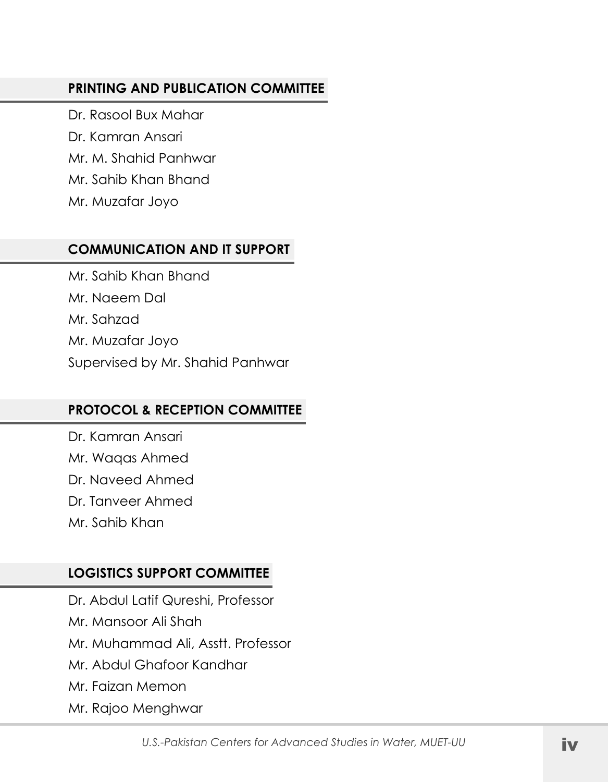### **PRINTING AND PUBLICATION COMMITTEE**

Dr. Rasool Bux Mahar Dr. Kamran Ansari Mr. M. Shahid Panhwar Mr. Sahib Khan Bhand Mr. Muzafar Joyo

### **COMMUNICATION AND IT SUPPORT**

Mr. Sahib Khan Bhand Mr. Naeem Dal Mr. Sahzad Mr. Muzafar Joyo Supervised by Mr. Shahid Panhwar

# **PROTOCOL & RECEPTION COMMITTEE**

Dr. Kamran Ansari Mr. Waqas Ahmed Dr. Naveed Ahmed Dr. Tanveer Ahmed Mr. Sahib Khan

## **LOGISTICS SUPPORT COMMITTEE**

Dr. Abdul Latif Qureshi, Professor Mr. Mansoor Ali Shah Mr. Muhammad Ali, Asstt. Professor Mr. Abdul Ghafoor Kandhar Mr. Faizan Memon Mr. Rajoo Menghwar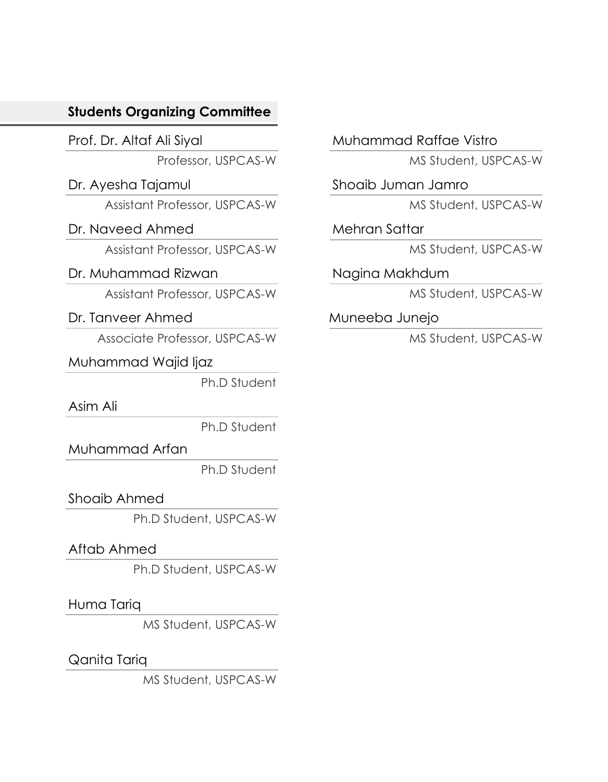## **Students Organizing Committee**

Prof. Dr. Altaf Ali Siyal

Professor, USPCAS-W

Dr. Ayesha Tajamul Assistant Professor, USPCAS-W

Dr. Naveed Ahmed

Assistant Professor, USPCAS-W

#### Dr. Muhammad Rizwan

Assistant Professor, USPCAS-W

### Dr. Tanveer Ahmed

Associate Professor, USPCAS-W

Muhammad Wajid Ijaz

Ph.D Student

Asim Ali

Ph.D Student

Muhammad Arfan

Ph.D Student

## Shoaib Ahmed

Ph.D Student, USPCAS-W

## Aftab Ahmed

Ph.D Student, USPCAS-W

Huma Tariq

MS Student, USPCAS-W

Qanita Tariq

MS Student, USPCAS-W

Muhammad Raffae Vistro

MS Student, USPCAS-W

Shoaib Juman Jamro

MS Student, USPCAS-W

Mehran Sattar

MS Student, USPCAS-W

Nagina Makhdum

MS Student, USPCAS-W

Muneeba Junejo

MS Student, USPCAS-W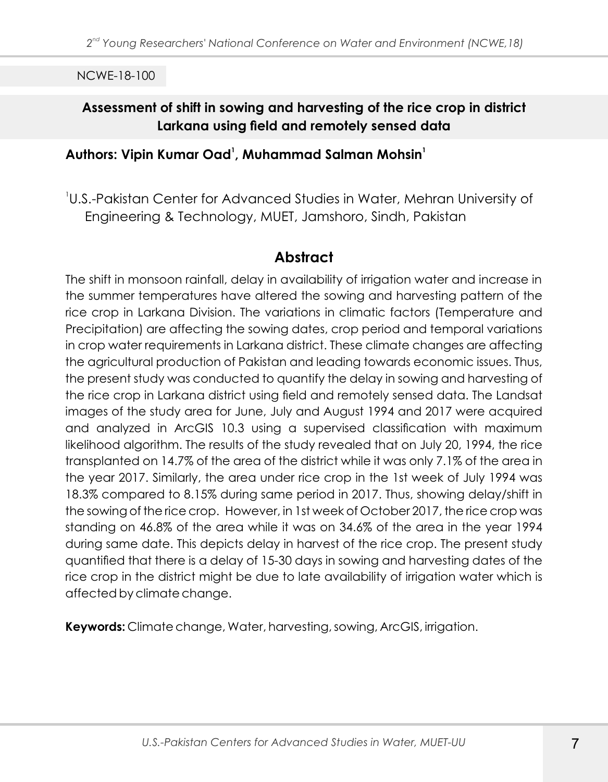# **Assessment of shift in sowing and harvesting of the rice crop in district Larkana using field and remotely sensed data**

#### **<sup>1</sup> <sup>1</sup> Authors: Vipin Kumar Oad , Muhammad Salman Mohsin**

1 U.S.-Pakistan Center for Advanced Studies in Water, Mehran University of Engineering & Technology, MUET, Jamshoro, Sindh, Pakistan

# **Abstract**

The shift in monsoon rainfall, delay in availability of irrigation water and increase in the summer temperatures have altered the sowing and harvesting pattern of the rice crop in Larkana Division. The variations in climatic factors (Temperature and Precipitation) are affecting the sowing dates, crop period and temporal variations in crop water requirements in Larkana district. These climate changes are affecting the agricultural production of Pakistan and leading towards economic issues. Thus, the present study was conducted to quantify the delay in sowing and harvesting of the rice crop in Larkana district using field and remotely sensed data. The Landsat images of the study area for June, July and August 1994 and 2017 were acquired and analyzed in ArcGIS 10.3 using a supervised classification with maximum likelihood algorithm. The results of the study revealed that on July 20, 1994, the rice transplanted on 14.7% of the area of the district while it was only 7.1% of the area in the year 2017. Similarly, the area under rice crop in the 1st week of July 1994 was 18.3% compared to 8.15% during same period in 2017. Thus, showing delay/shift in the sowing of the rice crop. However, in 1st week of October 2017, the rice crop was standing on 46.8% of the area while it was on 34.6% of the area in the year 1994 during same date. This depicts delay in harvest of the rice crop. The present study quantified that there is a delay of 15-30 days in sowing and harvesting dates of the rice crop in the district might be due to late availability of irrigation water which is affected by climate change.

**Keywords:** Climate change, Water, harvesting, sowing, ArcGIS, irrigation.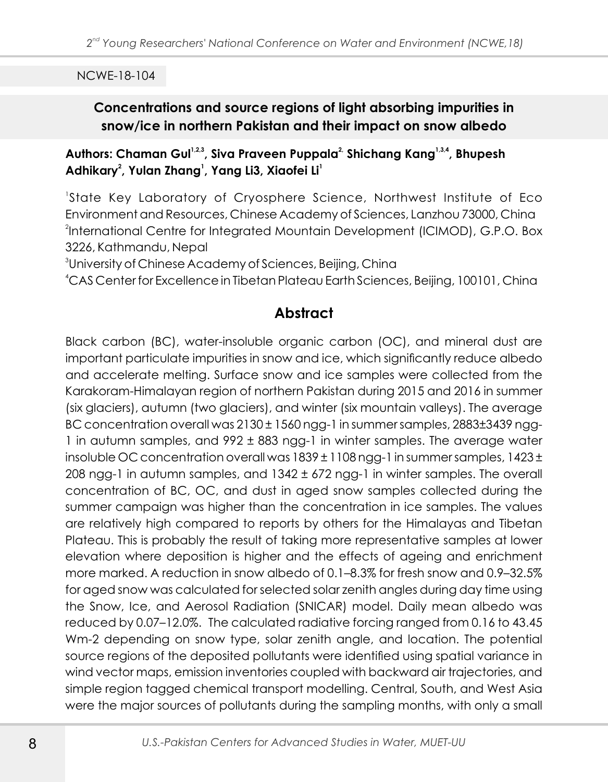## **Concentrations and source regions of light absorbing impurities in snow/ice in northern Pakistan and their impact on snow albedo**

#### Authors: Chaman Gul<sup>1,2,3</sup>, Siva Praveen Puppala<sup>2,</sup> Shichang Kang<sup>1,3,4</sup>, Bhupesh **<sup>2</sup> <sup>1</sup> <sup>1</sup>Adhikary , Yulan Zhang , Yang Li3, Xiaofei Li**

1 State Key Laboratory of Cryosphere Science, Northwest Institute of Eco Environment and Resources, Chinese Academy of Sciences, Lanzhou 73000, China 2 International Centre for Integrated Mountain Development (ICIMOD), G.P.O. Box 3226, Kathmandu, Nepal

3 University of Chinese Academy of Sciences, Beijing, China

<sup>4</sup>CAS Center for Excellence in Tibetan Plateau Earth Sciences, Beijing, 100101, China

# **Abstract**

Black carbon (BC), water-insoluble organic carbon (OC), and mineral dust are important particulate impurities in snow and ice, which significantly reduce albedo and accelerate melting. Surface snow and ice samples were collected from the Karakoram-Himalayan region of northern Pakistan during 2015 and 2016 in summer (six glaciers), autumn (two glaciers), and winter (six mountain valleys). The average BC concentration overall was 2130 ± 1560 ngg-1 in summer samples, 2883±3439 ngg-1 in autumn samples, and 992 ± 883 ngg-1 in winter samples. The average water insoluble OC concentration overall was 1839 ± 1108 ngg-1 in summer samples, 1423 ± 208 ngg-1 in autumn samples, and 1342 ± 672 ngg-1 in winter samples. The overall concentration of BC, OC, and dust in aged snow samples collected during the summer campaign was higher than the concentration in ice samples. The values are relatively high compared to reports by others for the Himalayas and Tibetan Plateau. This is probably the result of taking more representative samples at lower elevation where deposition is higher and the effects of ageing and enrichment more marked. A reduction in snow albedo of 0.1–8.3% for fresh snow and 0.9–32.5% for aged snow was calculated for selected solar zenith angles during day time using the Snow, Ice, and Aerosol Radiation (SNICAR) model. Daily mean albedo was reduced by 0.07–12.0%. The calculated radiative forcing ranged from 0.16 to 43.45 Wm-2 depending on snow type, solar zenith angle, and location. The potential source regions of the deposited pollutants were identified using spatial variance in wind vector maps, emission inventories coupled with backward air trajectories, and simple region tagged chemical transport modelling. Central, South, and West Asia were the major sources of pollutants during the sampling months, with only a small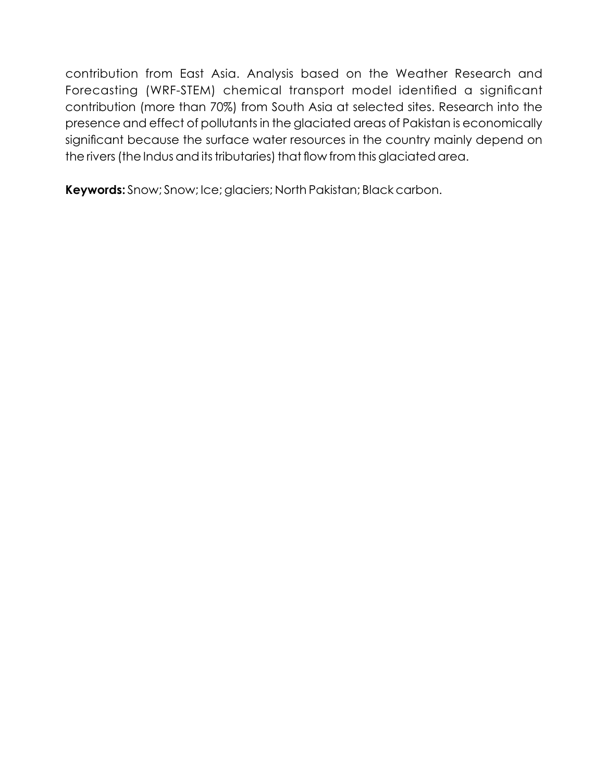contribution from East Asia. Analysis based on the Weather Research and Forecasting (WRF-STEM) chemical transport model identified a significant contribution (more than 70%) from South Asia at selected sites. Research into the presence and effect of pollutants in the glaciated areas of Pakistan is economically significant because the surface water resources in the country mainly depend on the rivers (the Indus and its tributaries) that flow from this glaciated area.

**Keywords:** Snow; Snow; Ice; glaciers; North Pakistan; Black carbon.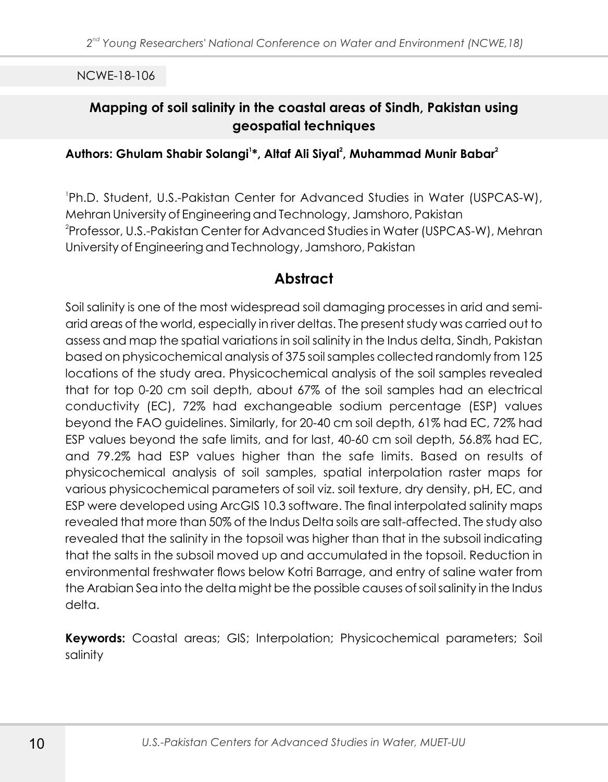# **Mapping of soil salinity in the coastal areas of Sindh, Pakistan using geospatial techniques**

#### **<sup>1</sup> <sup>2</sup> <sup>2</sup> Authors: Ghulam Shabir Solangi \*, Altaf Ali Siyal , Muhammad Munir Babar**

1 Ph.D. Student, U.S.-Pakistan Center for Advanced Studies in Water (USPCAS-W), Mehran University of Engineering and Technology, Jamshoro, Pakistan <sup>2</sup>Professor, U.S.-Pakistan Center for Advanced Studies in Water (USPCAS-W), Mehran University of Engineering and Technology, Jamshoro, Pakistan

## **Abstract**

Soil salinity is one of the most widespread soil damaging processes in arid and semiarid areas of the world, especially in river deltas. The present study was carried out to assess and map the spatial variations in soil salinity in the Indus delta, Sindh, Pakistan based on physicochemical analysis of 375 soil samples collected randomly from 125 locations of the study area. Physicochemical analysis of the soil samples revealed that for top 0-20 cm soil depth, about 67% of the soil samples had an electrical conductivity (EC), 72% had exchangeable sodium percentage (ESP) values beyond the FAO guidelines. Similarly, for 20-40 cm soil depth, 61% had EC, 72% had ESP values beyond the safe limits, and for last, 40-60 cm soil depth, 56.8% had EC, and 79.2% had ESP values higher than the safe limits. Based on results of physicochemical analysis of soil samples, spatial interpolation raster maps for various physicochemical parameters of soil viz. soil texture, dry density, pH, EC, and ESP were developed using ArcGIS 10.3 software. The final interpolated salinity maps revealed that more than 50% of the Indus Delta soils are salt-affected. The study also revealed that the salinity in the topsoil was higher than that in the subsoil indicating that the salts in the subsoil moved up and accumulated in the topsoil. Reduction in environmental freshwater flows below Kotri Barrage, and entry of saline water from the Arabian Sea into the delta might be the possible causes of soil salinity in the Indus delta.

**Keywords:** Coastal areas; GIS; Interpolation; Physicochemical parameters; Soil salinity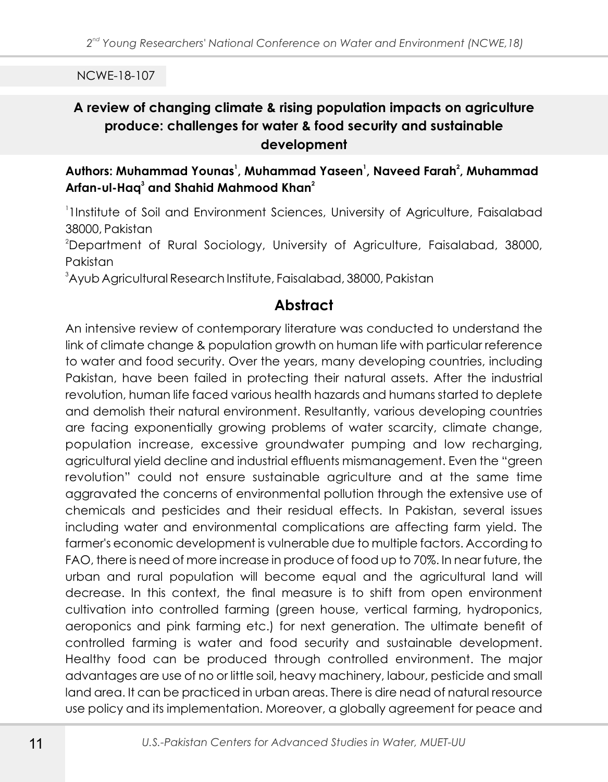# **A review of changing climate & rising population impacts on agriculture produce: challenges for water & food security and sustainable development**

#### **<sup>1</sup> <sup>1</sup> <sup>2</sup> Authors: Muhammad Younas , Muhammad Yaseen , Naveed Farah , Muhammad Arfan-ul-Haq<sup>3</sup> and Shahid Mahmood Khan<sup>2</sup>**

1 1Institute of Soil and Environment Sciences, University of Agriculture, Faisalabad 38000, Pakistan

<sup>2</sup>Department of Rural Sociology, University of Agriculture, Faisalabad, 38000, Pakistan

<sup>3</sup>Ayub Agricultural Research Institute, Faisalabad, 38000, Pakistan

# **Abstract**

An intensive review of contemporary literature was conducted to understand the link of climate change & population growth on human life with particular reference to water and food security. Over the years, many developing countries, including Pakistan, have been failed in protecting their natural assets. After the industrial revolution, human life faced various health hazards and humans started to deplete and demolish their natural environment. Resultantly, various developing countries are facing exponentially growing problems of water scarcity, climate change, population increase, excessive groundwater pumping and low recharging, agricultural yield decline and industrial effluents mismanagement. Even the "green revolution" could not ensure sustainable agriculture and at the same time aggravated the concerns of environmental pollution through the extensive use of chemicals and pesticides and their residual effects. In Pakistan, several issues including water and environmental complications are affecting farm yield. The farmer's economic development is vulnerable due to multiple factors. According to FAO, there is need of more increase in produce of food up to 70%. In near future, the urban and rural population will become equal and the agricultural land will decrease. In this context, the final measure is to shift from open environment cultivation into controlled farming (green house, vertical farming, hydroponics, aeroponics and pink farming etc.) for next generation. The ultimate benefit of controlled farming is water and food security and sustainable development. Healthy food can be produced through controlled environment. The major advantages are use of no or little soil, heavy machinery, labour, pesticide and small land area. It can be practiced in urban areas. There is dire nead of natural resource use policy and its implementation. Moreover, a globally agreement for peace and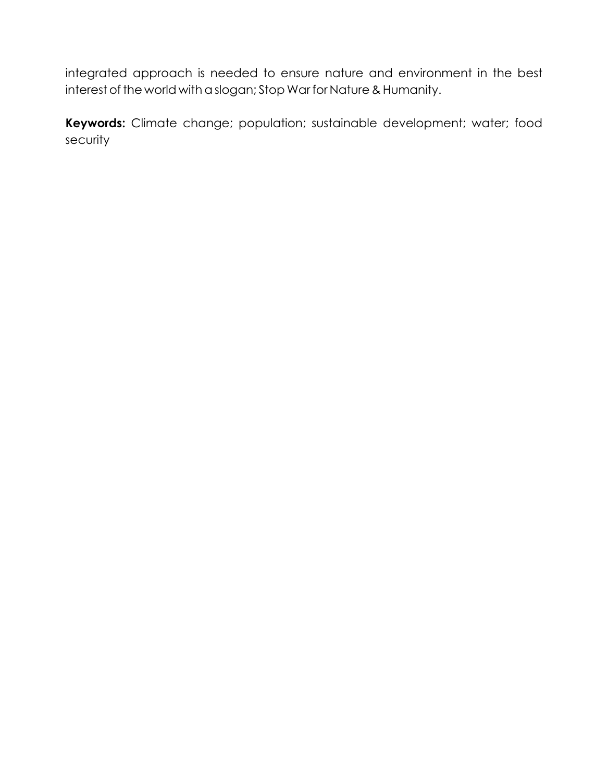integrated approach is needed to ensure nature and environment in the best interest of the world with a slogan; Stop War for Nature & Humanity.

**Keywords:** Climate change; population; sustainable development; water; food security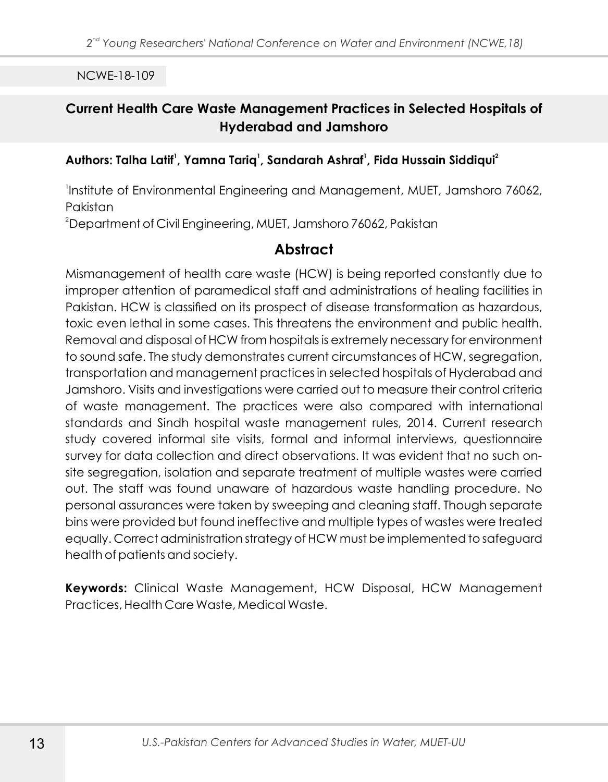## **Current Health Care Waste Management Practices in Selected Hospitals of Hyderabad and Jamshoro**

#### **<sup>1</sup> <sup>1</sup> <sup>1</sup> <sup>2</sup> Authors: Talha Latif , Yamna Tariq , Sandarah Ashraf , Fida Hussain Siddiqui**

Institute of Environmental Engineering and Management, MUET, Jamshoro 76062, Pakistan

<sup>2</sup>Department of Civil Engineering, MUET, Jamshoro 76062, Pakistan

### **Abstract**

Mismanagement of health care waste (HCW) is being reported constantly due to improper attention of paramedical staff and administrations of healing facilities in Pakistan. HCW is classified on its prospect of disease transformation as hazardous, toxic even lethal in some cases. This threatens the environment and public health. Removal and disposal of HCW from hospitals is extremely necessary for environment to sound safe. The study demonstrates current circumstances of HCW, segregation, transportation and management practices in selected hospitals of Hyderabad and Jamshoro. Visits and investigations were carried out to measure their control criteria of waste management. The practices were also compared with international standards and Sindh hospital waste management rules, 2014. Current research study covered informal site visits, formal and informal interviews, questionnaire survey for data collection and direct observations. It was evident that no such onsite segregation, isolation and separate treatment of multiple wastes were carried out. The staff was found unaware of hazardous waste handling procedure. No personal assurances were taken by sweeping and cleaning staff. Though separate bins were provided but found ineffective and multiple types of wastes were treated equally. Correct administration strategy of HCW must be implemented to safeguard health of patients and society.

**Keywords:** Clinical Waste Management, HCW Disposal, HCW Management Practices, Health Care Waste, Medical Waste.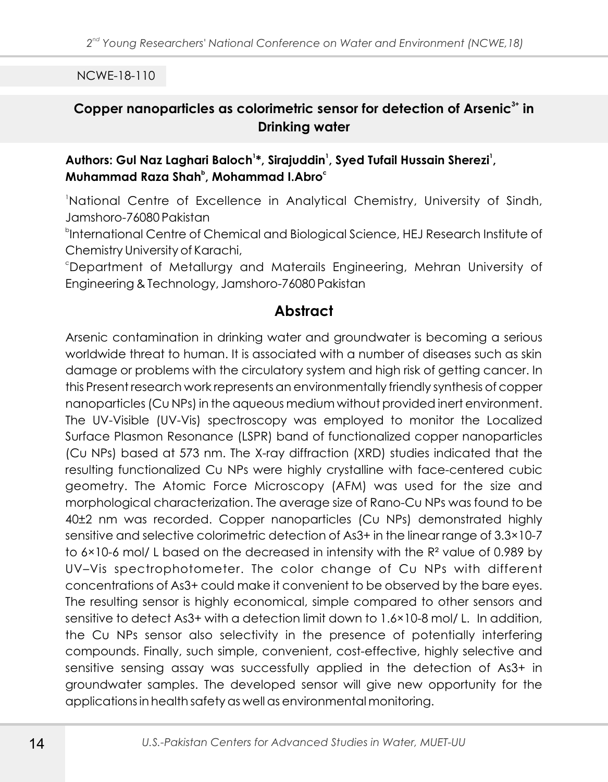# Copper nanoparticles as colorimetric sensor for detection of Arsenic<sup>3+</sup> in **Drinking water**

#### **<sup>1</sup> <sup>1</sup> <sup>1</sup> Authors: Gul Naz Laghari Baloch \*, Sirajuddin , Syed Tufail Hussain Sherezi , <sup>b</sup> <sup>c</sup> Muhammad Raza Shah , Mohammad I.Abro**

<sup>1</sup>National Centre of Excellence in Analytical Chemistry, University of Sindh, Jamshoro-76080 Pakistan

b International Centre of Chemical and Biological Science, HEJ Research Institute of Chemistry University of Karachi,

<sup>c</sup>Department of Metallurgy and Materails Engineering, Mehran University of Engineering & Technology, Jamshoro-76080 Pakistan

# **Abstract**

Arsenic contamination in drinking water and groundwater is becoming a serious worldwide threat to human. It is associated with a number of diseases such as skin damage or problems with the circulatory system and high risk of getting cancer. In this Present research work represents an environmentally friendly synthesis of copper nanoparticles (Cu NPs) in the aqueous medium without provided inert environment. The UV-Visible (UV-Vis) spectroscopy was employed to monitor the Localized Surface Plasmon Resonance (LSPR) band of functionalized copper nanoparticles (Cu NPs) based at 573 nm. The X-ray diffraction (XRD) studies indicated that the resulting functionalized Cu NPs were highly crystalline with face-centered cubic geometry. The Atomic Force Microscopy (AFM) was used for the size and morphological characterization. The average size of Rano-Cu NPs was found to be 40±2 nm was recorded. Copper nanoparticles (Cu NPs) demonstrated highly sensitive and selective colorimetric detection of As3+ in the linear range of 3.3×10-7 to 6×10-6 mol/ L based on the decreased in intensity with the R² value of 0.989 by UV–Vis spectrophotometer. The color change of Cu NPs with different concentrations of As3+ could make it convenient to be observed by the bare eyes. The resulting sensor is highly economical, simple compared to other sensors and sensitive to detect As3+ with a detection limit down to 1.6×10-8 mol/ L. In addition, the Cu NPs sensor also selectivity in the presence of potentially interfering compounds. Finally, such simple, convenient, cost-effective, highly selective and sensitive sensing assay was successfully applied in the detection of As3+ in groundwater samples. The developed sensor will give new opportunity for the applications in health safety as well as environmental monitoring.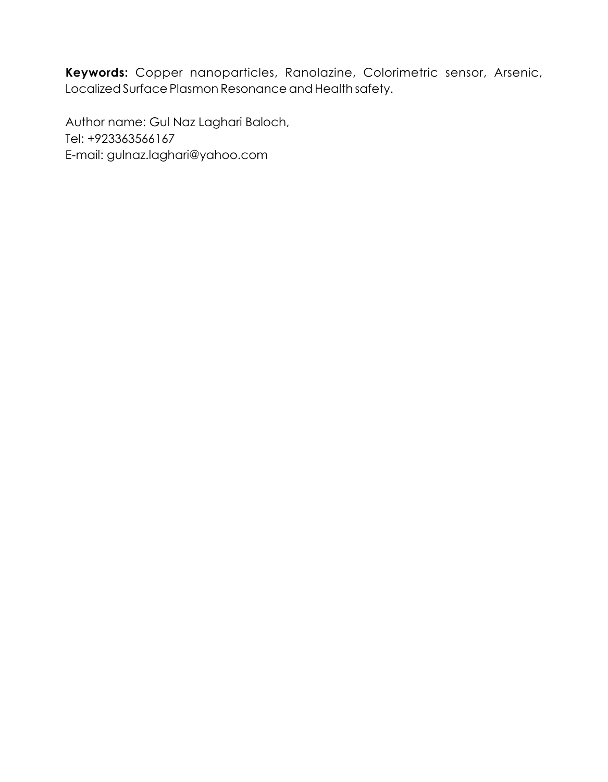**Keywords:** Copper nanoparticles, Ranolazine, Colorimetric sensor, Arsenic, Localized Surface Plasmon Resonance and Health safety.

Author name: Gul Naz Laghari Baloch, Tel: +923363566167 E-mail: gulnaz.laghari@yahoo.com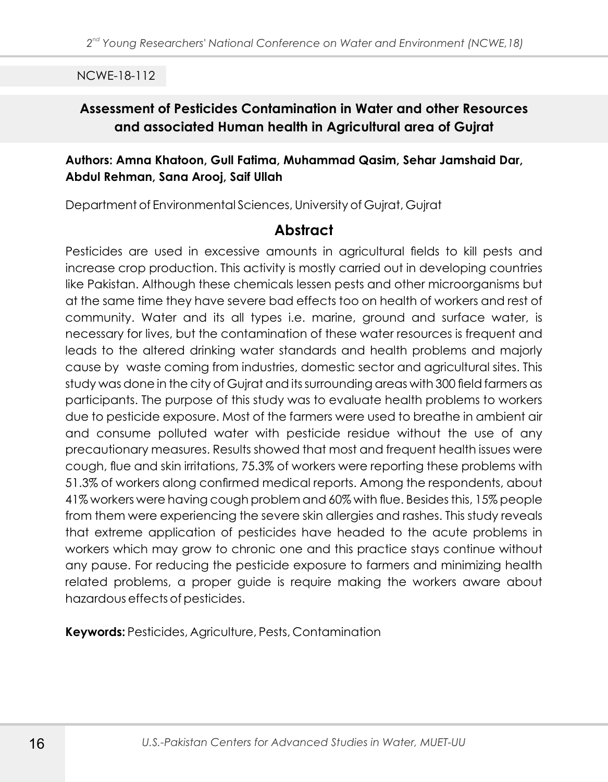# **Assessment of Pesticides Contamination in Water and other Resources and associated Human health in Agricultural area of Gujrat**

#### **Authors: Amna Khatoon, Gull Fatima, Muhammad Qasim, Sehar Jamshaid Dar, Abdul Rehman, Sana Arooj, Saif Ullah**

Department of Environmental Sciences, University of Gujrat, Gujrat

## **Abstract**

Pesticides are used in excessive amounts in agricultural fields to kill pests and increase crop production. This activity is mostly carried out in developing countries like Pakistan. Although these chemicals lessen pests and other microorganisms but at the same time they have severe bad effects too on health of workers and rest of community. Water and its all types i.e. marine, ground and surface water, is necessary for lives, but the contamination of these water resources is frequent and leads to the altered drinking water standards and health problems and majorly cause by waste coming from industries, domestic sector and agricultural sites. This study was done in the city of Gujrat and its surrounding areas with 300 field farmers as participants. The purpose of this study was to evaluate health problems to workers due to pesticide exposure. Most of the farmers were used to breathe in ambient air and consume polluted water with pesticide residue without the use of any precautionary measures. Results showed that most and frequent health issues were cough, flue and skin irritations, 75.3% of workers were reporting these problems with 51.3% of workers along confirmed medical reports. Among the respondents, about 41% workers were having cough problem and 60% with flue. Besides this, 15% people from them were experiencing the severe skin allergies and rashes. This study reveals that extreme application of pesticides have headed to the acute problems in workers which may grow to chronic one and this practice stays continue without any pause. For reducing the pesticide exposure to farmers and minimizing health related problems, a proper guide is require making the workers aware about hazardous effects of pesticides.

**Keywords:** Pesticides, Agriculture, Pests, Contamination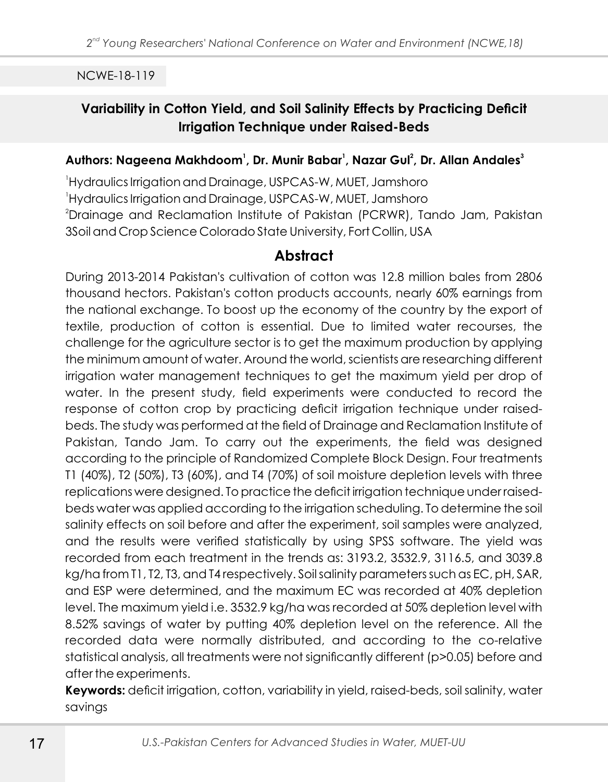# **Variability in Cotton Yield, and Soil Salinity Effects by Practicing Deficit Irrigation Technique under Raised-Beds**

#### **<sup>1</sup> <sup>1</sup> <sup>2</sup> <sup>3</sup> Authors: Nageena Makhdoom , Dr. Munir Babar , Nazar Gul , Dr. Allan Andales**

<sup>1</sup>Hydraulics Irrigation and Drainage, USPCAS-W, MUET, Jamshoro <sup>1</sup>Hydraulics Irrigation and Drainage, USPCAS-W, MUET, Jamshoro <sup>2</sup>Drainage and Reclamation Institute of Pakistan (PCRWR), Tando Jam, Pakistan 3Soil and Crop Science Colorado State University, Fort Collin, USA

## **Abstract**

During 2013-2014 Pakistan's cultivation of cotton was 12.8 million bales from 2806 thousand hectors. Pakistan's cotton products accounts, nearly 60% earnings from the national exchange. To boost up the economy of the country by the export of textile, production of cotton is essential. Due to limited water recourses, the challenge for the agriculture sector is to get the maximum production by applying the minimum amount of water. Around the world, scientists are researching different irrigation water management techniques to get the maximum yield per drop of water. In the present study, field experiments were conducted to record the response of cotton crop by practicing deficit irrigation technique under raisedbeds. The study was performed at the field of Drainage and Reclamation Institute of Pakistan, Tando Jam. To carry out the experiments, the field was designed according to the principle of Randomized Complete Block Design. Four treatments T1 (40%), T2 (50%), T3 (60%), and T4 (70%) of soil moisture depletion levels with three replications were designed. To practice the deficit irrigation technique under raisedbeds water was applied according to the irrigation scheduling. To determine the soil salinity effects on soil before and after the experiment, soil samples were analyzed, and the results were verified statistically by using SPSS software. The yield was recorded from each treatment in the trends as: 3193.2, 3532.9, 3116.5, and 3039.8 kg/ha from T1, T2, T3, and T4 respectively. Soil salinity parameters such as EC, pH, SAR, and ESP were determined, and the maximum EC was recorded at 40% depletion level. The maximum yield i.e. 3532.9 kg/ha was recorded at 50% depletion level with 8.52% savings of water by putting 40% depletion level on the reference. All the recorded data were normally distributed, and according to the co-relative statistical analysis, all treatments were not significantly different (p>0.05) before and after the experiments.

**Keywords:** deficit irrigation, cotton, variability in yield, raised-beds, soil salinity, water savings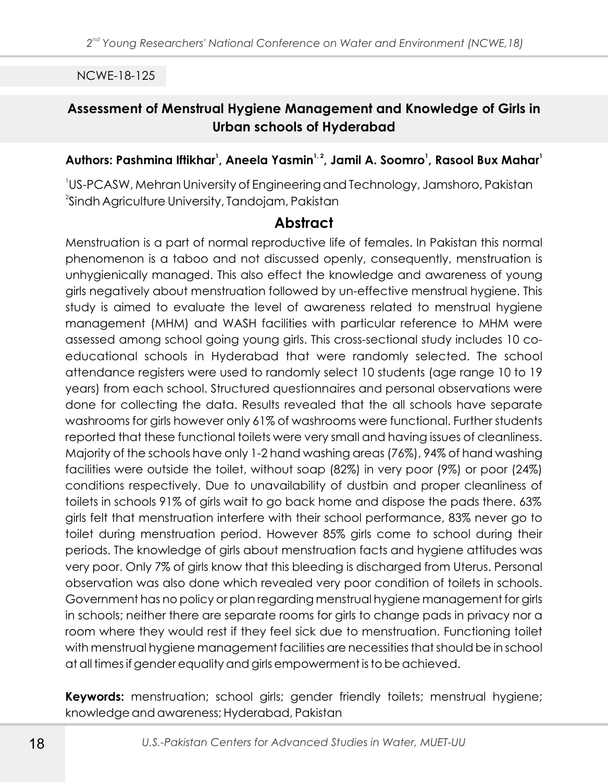# **Assessment of Menstrual Hygiene Management and Knowledge of Girls in Urban schools of Hyderabad**

#### **<sup>1</sup> 1, 2 <sup>1</sup> <sup>1</sup> Authors: Pashmina Iftikhar , Aneela Yasmin , Jamil A. Soomro , Rasool Bux Mahar**

1 US-PCASW, Mehran University of Engineering and Technology, Jamshoro, Pakistan  $^{2}$ Sindh Agriculture University, Tandojam, Pakistan

## **Abstract**

Menstruation is a part of normal reproductive life of females. In Pakistan this normal phenomenon is a taboo and not discussed openly, consequently, menstruation is unhygienically managed. This also effect the knowledge and awareness of young girls negatively about menstruation followed by un-effective menstrual hygiene. This study is aimed to evaluate the level of awareness related to menstrual hygiene management (MHM) and WASH facilities with particular reference to MHM were assessed among school going young girls. This cross-sectional study includes 10 coeducational schools in Hyderabad that were randomly selected. The school attendance registers were used to randomly select 10 students (age range 10 to 19 years) from each school. Structured questionnaires and personal observations were done for collecting the data. Results revealed that the all schools have separate washrooms for girls however only 61% of washrooms were functional. Further students reported that these functional toilets were very small and having issues of cleanliness. Majority of the schools have only 1-2 hand washing areas (76%), 94% of hand washing facilities were outside the toilet, without soap (82%) in very poor (9%) or poor (24%) conditions respectively. Due to unavailability of dustbin and proper cleanliness of toilets in schools 91% of girls wait to go back home and dispose the pads there. 63% girls felt that menstruation interfere with their school performance, 83% never go to toilet during menstruation period. However 85% girls come to school during their periods. The knowledge of girls about menstruation facts and hygiene attitudes was very poor. Only 7% of girls know that this bleeding is discharged from Uterus. Personal observation was also done which revealed very poor condition of toilets in schools. Government has no policy or plan regarding menstrual hygiene management for girls in schools; neither there are separate rooms for girls to change pads in privacy nor a room where they would rest if they feel sick due to menstruation. Functioning toilet with menstrual hygiene management facilities are necessities that should be in school at all times if gender equality and girls empowerment is to be achieved.

**Keywords:** menstruation; school girls; gender friendly toilets; menstrual hygiene; knowledge and awareness; Hyderabad, Pakistan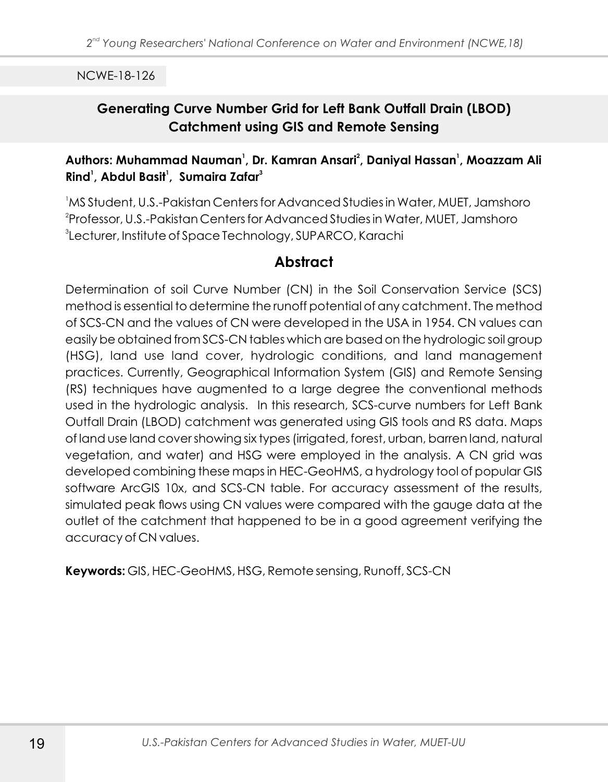# **Generating Curve Number Grid for Left Bank Outfall Drain (LBOD) Catchment using GIS and Remote Sensing**

## **<sup>1</sup> <sup>2</sup> <sup>1</sup> Authors: Muhammad Nauman , Dr. Kamran Ansari , Daniyal Hassan , Moazzam Ali 1 1 3 Rind , Abdul Basit , Sumaira Zafar**

<sup>1</sup>MS Student, U.S.-Pakistan Centers for Advanced Studies in Water, MUET, Jamshoro 2 Professor, U.S.-Pakistan Centers for Advanced Studies in Water, MUET, Jamshoro 3 Lecturer, Institute of Space Technology, SUPARCO, Karachi

## **Abstract**

Determination of soil Curve Number (CN) in the Soil Conservation Service (SCS) method is essential to determine the runoff potential of any catchment. The method of SCS-CN and the values of CN were developed in the USA in 1954. CN values can easily be obtained from SCS-CN tables which are based on the hydrologic soil group (HSG), land use land cover, hydrologic conditions, and land management practices. Currently, Geographical Information System (GIS) and Remote Sensing (RS) techniques have augmented to a large degree the conventional methods used in the hydrologic analysis. In this research, SCS-curve numbers for Left Bank Outfall Drain (LBOD) catchment was generated using GIS tools and RS data. Maps of land use land cover showing six types (irrigated, forest, urban, barren land, natural vegetation, and water) and HSG were employed in the analysis. A CN grid was developed combining these maps in HEC-GeoHMS, a hydrology tool of popular GIS software ArcGIS 10x, and SCS-CN table. For accuracy assessment of the results, simulated peak flows using CN values were compared with the gauge data at the outlet of the catchment that happened to be in a good agreement verifying the accuracy of CN values.

**Keywords:** GIS, HEC-GeoHMS, HSG, Remote sensing, Runoff, SCS-CN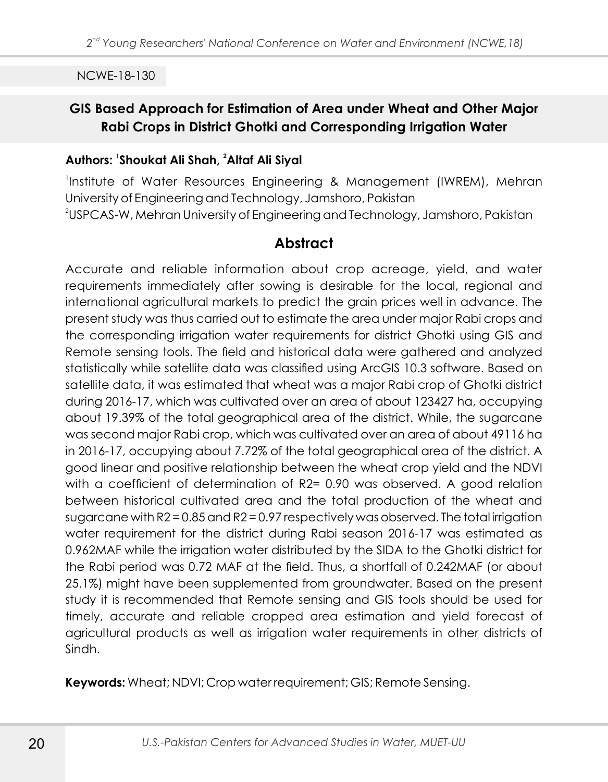# **GIS Based Approach for Estimation of Area under Wheat and Other Major Rabi Crops in District Ghotki and Corresponding Irrigation Water**

#### **Authors: Shoukat Ali Shah, <sup>2</sup> Altaf Ali Siyal**

1 Institute of Water Resources Engineering & Management (IWREM), Mehran University of Engineering and Technology, Jamshoro, Pakistan  $^2$ USPCAS-W, Mehran University of Engineering and Technology, Jamshoro, Pakistan

# **Abstract**

Accurate and reliable information about crop acreage, yield, and water requirements immediately after sowing is desirable for the local, regional and international agricultural markets to predict the grain prices well in advance. The present study was thus carried out to estimate the area under major Rabi crops and the corresponding irrigation water requirements for district Ghotki using GIS and Remote sensing tools. The field and historical data were gathered and analyzed statistically while satellite data was classified using ArcGIS 10.3 software. Based on satellite data, it was estimated that wheat was a major Rabi crop of Ghotki district during 2016-17, which was cultivated over an area of about 123427 ha, occupying about 19.39% of the total geographical area of the district. While, the sugarcane was second major Rabi crop, which was cultivated over an area of about 49116 ha in 2016-17, occupying about 7.72% of the total geographical area of the district. A good linear and positive relationship between the wheat crop yield and the NDVI with a coefficient of determination of R2= 0.90 was observed. A good relation between historical cultivated area and the total production of the wheat and sugarcane with R2 = 0.85 and R2 = 0.97 respectively was observed. The total irrigation water requirement for the district during Rabi season 2016-17 was estimated as 0.962MAF while the irrigation water distributed by the SIDA to the Ghotki district for the Rabi period was 0.72 MAF at the field. Thus, a shortfall of 0.242MAF (or about 25.1%) might have been supplemented from groundwater. Based on the present study it is recommended that Remote sensing and GIS tools should be used for timely, accurate and reliable cropped area estimation and yield forecast of agricultural products as well as irrigation water requirements in other districts of Sindh.

**Keywords:** Wheat; NDVI; Crop water requirement; GIS; Remote Sensing.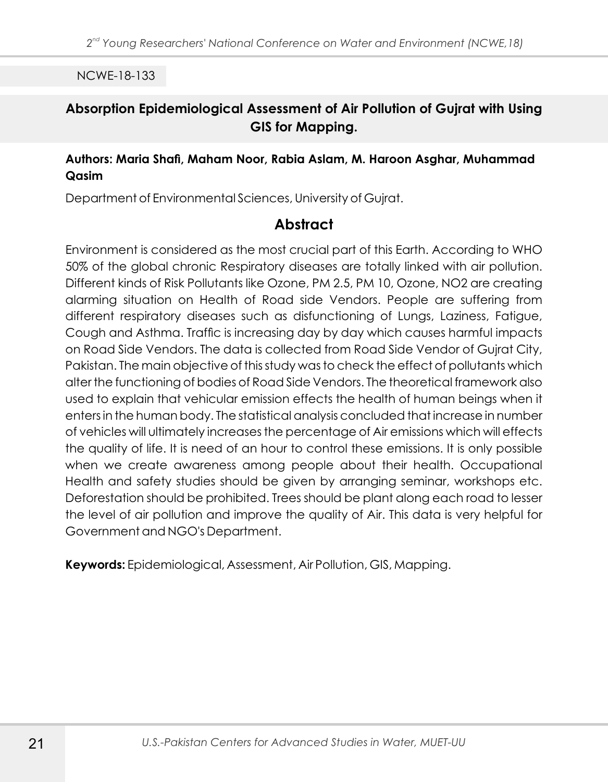## **Absorption Epidemiological Assessment of Air Pollution of Gujrat with Using GIS for Mapping.**

#### **Authors: Maria Shafi, Maham Noor, Rabia Aslam, M. Haroon Asghar, Muhammad Qasim**

Department of Environmental Sciences, University of Gujrat.

# **Abstract**

Environment is considered as the most crucial part of this Earth. According to WHO 50% of the global chronic Respiratory diseases are totally linked with air pollution. Different kinds of Risk Pollutants like Ozone, PM 2.5, PM 10, Ozone, NO2 are creating alarming situation on Health of Road side Vendors. People are suffering from different respiratory diseases such as disfunctioning of Lungs, Laziness, Fatigue, Cough and Asthma. Traffic is increasing day by day which causes harmful impacts on Road Side Vendors. The data is collected from Road Side Vendor of Gujrat City, Pakistan. The main objective of this study was to check the effect of pollutants which alter the functioning of bodies of Road Side Vendors. The theoretical framework also used to explain that vehicular emission effects the health of human beings when it enters in the human body. The statistical analysis concluded that increase in number of vehicles will ultimately increases the percentage of Air emissions which will effects the quality of life. It is need of an hour to control these emissions. It is only possible when we create awareness among people about their health. Occupational Health and safety studies should be given by arranging seminar, workshops etc. Deforestation should be prohibited. Trees should be plant along each road to lesser the level of air pollution and improve the quality of Air. This data is very helpful for Government and NGO's Department.

**Keywords:** Epidemiological, Assessment, Air Pollution, GIS, Mapping.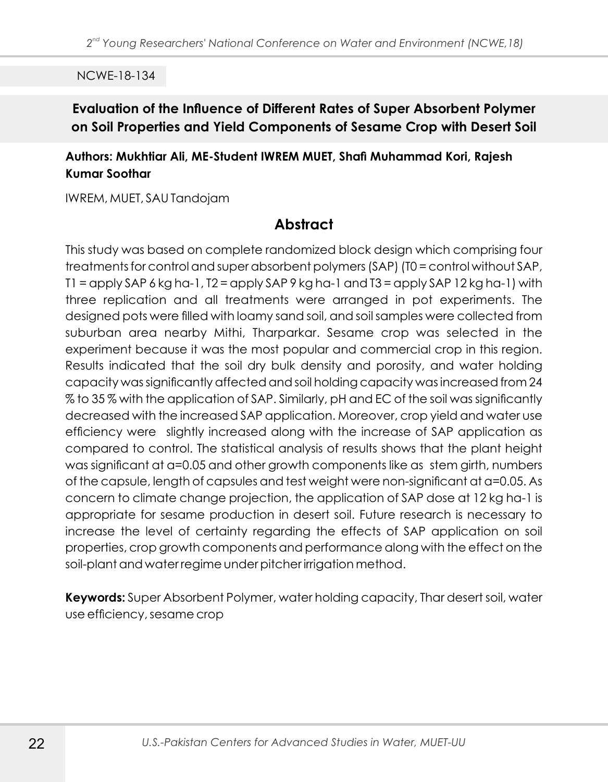## **Evaluation of the Influence of Different Rates of Super Absorbent Polymer on Soil Properties and Yield Components of Sesame Crop with Desert Soil**

#### **Authors: Mukhtiar Ali, ME-Student IWREM MUET, Shafi Muhammad Kori, Rajesh Kumar Soothar**

IWREM, MUET, SAU Tandojam

## **Abstract**

This study was based on complete randomized block design which comprising four treatments for control and super absorbent polymers (SAP) (T0 = control without SAP,  $T1 =$  apply SAP 6 kg ha-1,  $T2 =$  apply SAP 9 kg ha-1 and  $T3 =$  apply SAP 12 kg ha-1) with three replication and all treatments were arranged in pot experiments. The designed pots were filled with loamy sand soil, and soil samples were collected from suburban area nearby Mithi, Tharparkar. Sesame crop was selected in the experiment because it was the most popular and commercial crop in this region. Results indicated that the soil dry bulk density and porosity, and water holding capacity was significantly affected and soil holding capacity was increased from 24 % to 35 % with the application of SAP. Similarly, pH and EC of the soil was significantly decreased with the increased SAP application. Moreover, crop yield and water use efficiency were slightly increased along with the increase of SAP application as compared to control. The statistical analysis of results shows that the plant height was significant at a=0.05 and other growth components like as stem girth, numbers of the capsule, length of capsules and test weight were non-significant at α=0.05. As concern to climate change projection, the application of SAP dose at 12 kg ha-1 is appropriate for sesame production in desert soil. Future research is necessary to increase the level of certainty regarding the effects of SAP application on soil properties, crop growth components and performance along with the effect on the soil-plant and water regime under pitcher irrigation method.

**Keywords:** Super Absorbent Polymer, water holding capacity, Thar desert soil, water use efficiency, sesame crop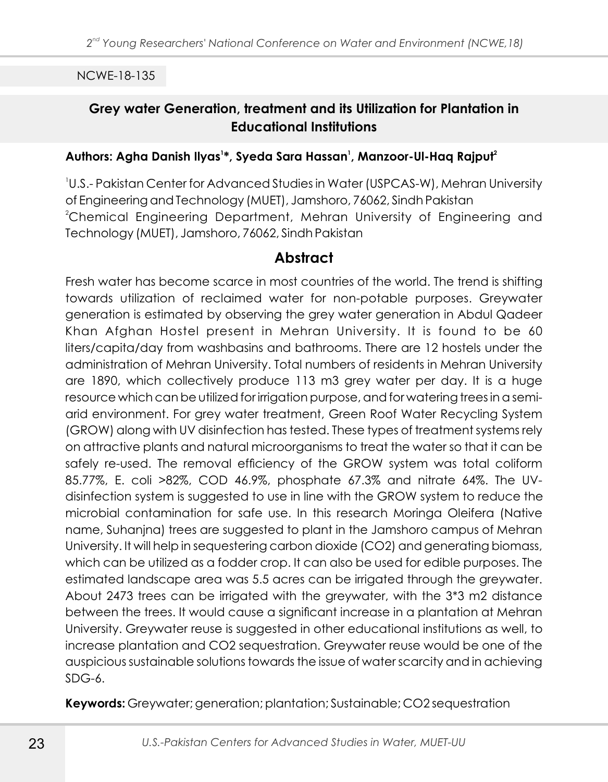# **Grey water Generation, treatment and its Utilization for Plantation in Educational Institutions**

#### **<sup>1</sup> <sup>1</sup> <sup>2</sup> Authors: Agha Danish Ilyas \*, Syeda Sara Hassan , Manzoor-Ul-Haq Rajput**

1 U.S.- Pakistan Center for Advanced Studies in Water (USPCAS-W), Mehran University of Engineering and Technology (MUET), Jamshoro, 76062, Sindh Pakistan <sup>2</sup>Chemical Engineering Department, Mehran University of Engineering and Technology (MUET), Jamshoro, 76062, Sindh Pakistan

### **Abstract**

Fresh water has become scarce in most countries of the world. The trend is shifting towards utilization of reclaimed water for non-potable purposes. Greywater generation is estimated by observing the grey water generation in Abdul Qadeer Khan Afghan Hostel present in Mehran University. It is found to be 60 liters/capita/day from washbasins and bathrooms. There are 12 hostels under the administration of Mehran University. Total numbers of residents in Mehran University are 1890, which collectively produce 113 m3 grey water per day. It is a huge resource which can be utilized for irrigation purpose, and for watering trees in a semiarid environment. For grey water treatment, Green Roof Water Recycling System (GROW) along with UV disinfection has tested. These types of treatment systems rely on attractive plants and natural microorganisms to treat the water so that it can be safely re-used. The removal efficiency of the GROW system was total coliform 85.77%, E. coli >82%, COD 46.9%, phosphate 67.3% and nitrate 64%. The UVdisinfection system is suggested to use in line with the GROW system to reduce the microbial contamination for safe use. In this research Moringa Oleifera (Native name, Suhanjna) trees are suggested to plant in the Jamshoro campus of Mehran University. It will help in sequestering carbon dioxide (CO2) and generating biomass, which can be utilized as a fodder crop. It can also be used for edible purposes. The estimated landscape area was 5.5 acres can be irrigated through the greywater. About 2473 trees can be irrigated with the greywater, with the 3\*3 m2 distance between the trees. It would cause a significant increase in a plantation at Mehran University. Greywater reuse is suggested in other educational institutions as well, to increase plantation and CO2 sequestration. Greywater reuse would be one of the auspicious sustainable solutions towards the issue of water scarcity and in achieving  $SDG-6$ 

**Keywords:** Greywater; generation; plantation; Sustainable; CO2 sequestration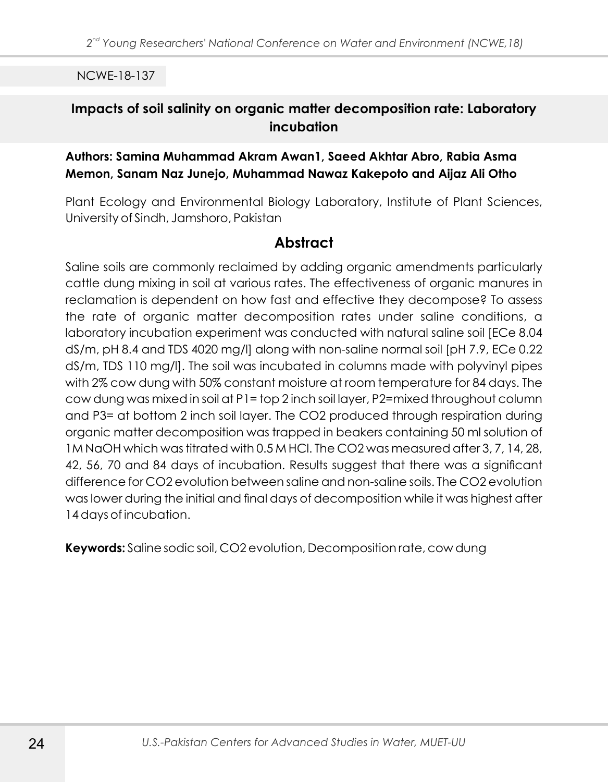### **Impacts of soil salinity on organic matter decomposition rate: Laboratory incubation**

#### **Authors: Samina Muhammad Akram Awan1, Saeed Akhtar Abro, Rabia Asma Memon, Sanam Naz Junejo, Muhammad Nawaz Kakepoto and Aijaz Ali Otho**

Plant Ecology and Environmental Biology Laboratory, Institute of Plant Sciences, University of Sindh, Jamshoro, Pakistan

# **Abstract**

Saline soils are commonly reclaimed by adding organic amendments particularly cattle dung mixing in soil at various rates. The effectiveness of organic manures in reclamation is dependent on how fast and effective they decompose? To assess the rate of organic matter decomposition rates under saline conditions, a laboratory incubation experiment was conducted with natural saline soil [ECe 8.04 dS/m, pH 8.4 and TDS 4020 mg/l] along with non-saline normal soil [pH 7.9, ECe 0.22 dS/m, TDS 110 mg/l]. The soil was incubated in columns made with polyvinyl pipes with 2% cow dung with 50% constant moisture at room temperature for 84 days. The cow dung was mixed in soil at P1= top 2 inch soil layer, P2=mixed throughout column and P3= at bottom 2 inch soil layer. The CO2 produced through respiration during organic matter decomposition was trapped in beakers containing 50 ml solution of 1M NaOH which was titrated with 0.5 M HCl. The CO2 was measured after 3, 7, 14, 28, 42, 56, 70 and 84 days of incubation. Results suggest that there was a significant difference for CO2 evolution between saline and non-saline soils. The CO2 evolution was lower during the initial and final days of decomposition while it was highest after 14 days of incubation.

**Keywords:** Saline sodic soil, CO2 evolution, Decomposition rate, cow dung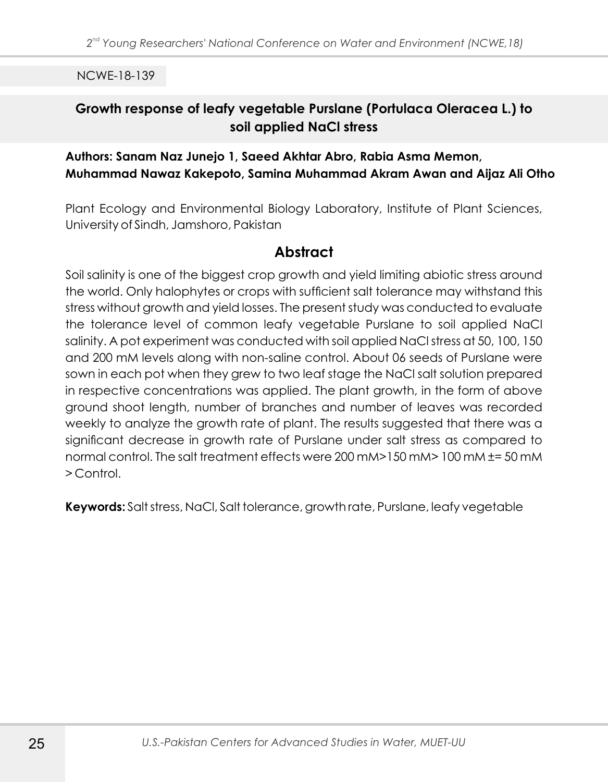## **Growth response of leafy vegetable Purslane (Portulaca Oleracea L.) to soil applied NaCl stress**

#### **Authors: Sanam Naz Junejo 1, Saeed Akhtar Abro, Rabia Asma Memon, Muhammad Nawaz Kakepoto, Samina Muhammad Akram Awan and Aijaz Ali Otho**

Plant Ecology and Environmental Biology Laboratory, Institute of Plant Sciences, University of Sindh, Jamshoro, Pakistan

## **Abstract**

Soil salinity is one of the biggest crop growth and yield limiting abiotic stress around the world. Only halophytes or crops with sufficient salt tolerance may withstand this stress without growth and yield losses. The present study was conducted to evaluate the tolerance level of common leafy vegetable Purslane to soil applied NaCl salinity. A pot experiment was conducted with soil applied NaCl stress at 50, 100, 150 and 200 mM levels along with non-saline control. About 06 seeds of Purslane were sown in each pot when they grew to two leaf stage the NaCl salt solution prepared in respective concentrations was applied. The plant growth, in the form of above ground shoot length, number of branches and number of leaves was recorded weekly to analyze the growth rate of plant. The results suggested that there was a significant decrease in growth rate of Purslane under salt stress as compared to normal control. The salt treatment effects were 200 mM>150 mM> 100 mM ±= 50 mM > Control.

**Keywords:** Salt stress, NaCl, Salt tolerance, growth rate, Purslane, leafy vegetable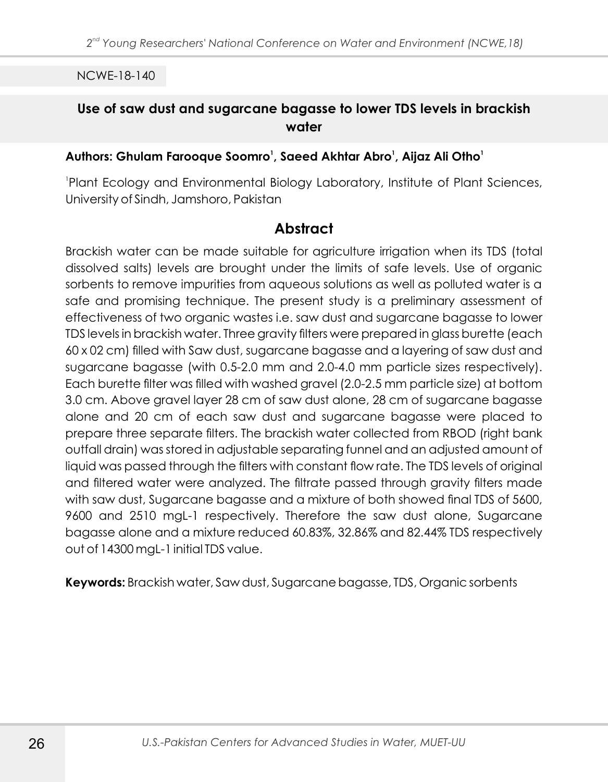### **Use of saw dust and sugarcane bagasse to lower TDS levels in brackish water**

#### **<sup>1</sup> <sup>1</sup> <sup>1</sup> Authors: Ghulam Farooque Soomro , Saeed Akhtar Abro , Aijaz Ali Otho**

Plant Ecology and Environmental Biology Laboratory, Institute of Plant Sciences, University of Sindh, Jamshoro, Pakistan

### **Abstract**

Brackish water can be made suitable for agriculture irrigation when its TDS (total dissolved salts) levels are brought under the limits of safe levels. Use of organic sorbents to remove impurities from aqueous solutions as well as polluted water is a safe and promising technique. The present study is a preliminary assessment of effectiveness of two organic wastes i.e. saw dust and sugarcane bagasse to lower TDS levels in brackish water. Three gravity filters were prepared in glass burette (each 60 x 02 cm) filled with Saw dust, sugarcane bagasse and a layering of saw dust and sugarcane bagasse (with 0.5-2.0 mm and 2.0-4.0 mm particle sizes respectively). Each burette filter was filled with washed gravel (2.0-2.5 mm particle size) at bottom 3.0 cm. Above gravel layer 28 cm of saw dust alone, 28 cm of sugarcane bagasse alone and 20 cm of each saw dust and sugarcane bagasse were placed to prepare three separate filters. The brackish water collected from RBOD (right bank outfall drain) was stored in adjustable separating funnel and an adjusted amount of liquid was passed through the filters with constant flow rate. The TDS levels of original and filtered water were analyzed. The filtrate passed through gravity filters made with saw dust, Sugarcane bagasse and a mixture of both showed final TDS of 5600, 9600 and 2510 mgL-1 respectively. Therefore the saw dust alone, Sugarcane bagasse alone and a mixture reduced 60.83%, 32.86% and 82.44% TDS respectively out of 14300 mgL-1 initial TDS value.

**Keywords:** Brackish water, Saw dust, Sugarcane bagasse, TDS, Organic sorbents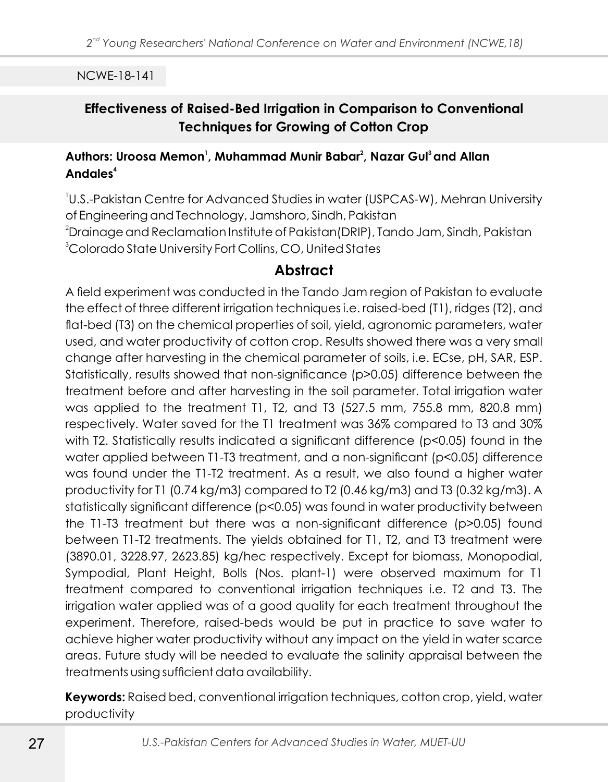# **Effectiveness of Raised-Bed Irrigation in Comparison to Conventional Techniques for Growing of Cotton Crop**

#### **<sup>1</sup> <sup>2</sup> <sup>3</sup>Authors: Uroosa Memon , Muhammad Munir Babar , Nazar Gul and Allan <sup>4</sup> Andales**

 U.S.-Pakistan Centre for Advanced Studies in water (USPCAS-W), Mehran University of Engineering and Technology, Jamshoro, Sindh, Pakistan Drainage and Reclamation Institute of Pakistan(DRIP), Tando Jam, Sindh, Pakistan Colorado State University Fort Collins, CO, United States

# **Abstract**

A field experiment was conducted in the Tando Jam region of Pakistan to evaluate the effect of three different irrigation techniques i.e. raised-bed (T1), ridges (T2), and flat-bed (T3) on the chemical properties of soil, yield, agronomic parameters, water used, and water productivity of cotton crop. Results showed there was a very small change after harvesting in the chemical parameter of soils, i.e. ECse, pH, SAR, ESP. Statistically, results showed that non-significance (p>0.05) difference between the treatment before and after harvesting in the soil parameter. Total irrigation water was applied to the treatment T1, T2, and T3 (527.5 mm, 755.8 mm, 820.8 mm) respectively. Water saved for the T1 treatment was 36% compared to T3 and 30% with T2. Statistically results indicated a significant difference (p<0.05) found in the water applied between T1-T3 treatment, and a non-significant (p<0.05) difference was found under the T1-T2 treatment. As a result, we also found a higher water productivity for T1 (0.74 kg/m3) compared to T2 (0.46 kg/m3) and T3 (0.32 kg/m3). A statistically significant difference (p<0.05) was found in water productivity between the T1-T3 treatment but there was a non-significant difference (p>0.05) found between T1-T2 treatments. The yields obtained for T1, T2, and T3 treatment were (3890.01, 3228.97, 2623.85) kg/hec respectively. Except for biomass, Monopodial, Sympodial, Plant Height, Bolls (Nos. plant-1) were observed maximum for T1 treatment compared to conventional irrigation techniques i.e. T2 and T3. The irrigation water applied was of a good quality for each treatment throughout the experiment. Therefore, raised-beds would be put in practice to save water to achieve higher water productivity without any impact on the yield in water scarce areas. Future study will be needed to evaluate the salinity appraisal between the treatments using sufficient data availability.

**Keywords:** Raised bed, conventional irrigation techniques, cotton crop, yield, water productivity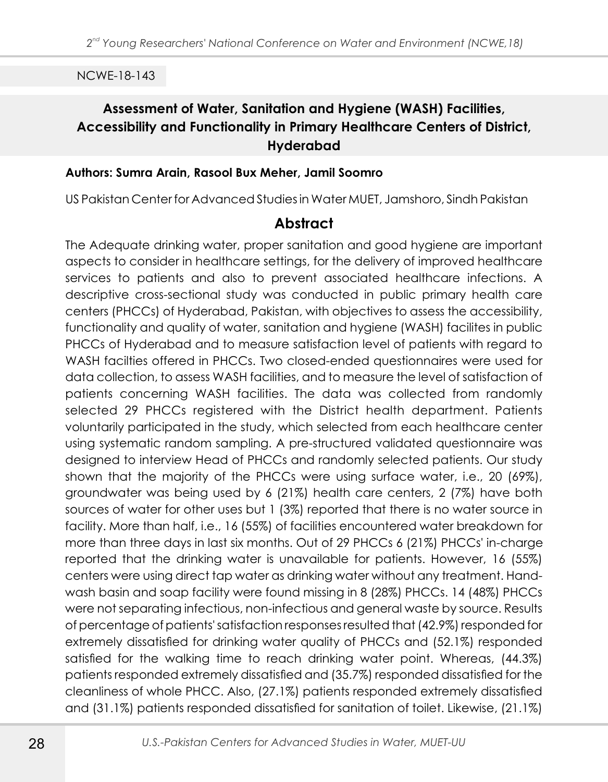# **Assessment of Water, Sanitation and Hygiene (WASH) Facilities, Accessibility and Functionality in Primary Healthcare Centers of District, Hyderabad**

#### **Authors: Sumra Arain, Rasool Bux Meher, Jamil Soomro**

US Pakistan Center for Advanced Studies in Water MUET, Jamshoro, Sindh Pakistan

### **Abstract**

The Adequate drinking water, proper sanitation and good hygiene are important aspects to consider in healthcare settings, for the delivery of improved healthcare services to patients and also to prevent associated healthcare infections. A descriptive cross-sectional study was conducted in public primary health care centers (PHCCs) of Hyderabad, Pakistan, with objectives to assess the accessibility, functionality and quality of water, sanitation and hygiene (WASH) facilites in public PHCCs of Hyderabad and to measure satisfaction level of patients with regard to WASH facilties offered in PHCCs. Two closed-ended questionnaires were used for data collection, to assess WASH facilities, and to measure the level of satisfaction of patients concerning WASH facilities. The data was collected from randomly selected 29 PHCCs registered with the District health department. Patients voluntarily participated in the study, which selected from each healthcare center using systematic random sampling. A pre-structured validated questionnaire was designed to interview Head of PHCCs and randomly selected patients. Our study shown that the majority of the PHCCs were using surface water, i.e., 20 (69%), groundwater was being used by 6 (21%) health care centers, 2 (7%) have both sources of water for other uses but 1 (3%) reported that there is no water source in facility. More than half, i.e., 16 (55%) of facilities encountered water breakdown for more than three days in last six months. Out of 29 PHCCs 6 (21%) PHCCs' in-charge reported that the drinking water is unavailable for patients. However, 16 (55%) centers were using direct tap water as drinking water without any treatment. Handwash basin and soap facility were found missing in 8 (28%) PHCCs. 14 (48%) PHCCs were not separating infectious, non-infectious and general waste by source. Results of percentage of patients' satisfaction responses resulted that (42.9%) responded for extremely dissatisfied for drinking water quality of PHCCs and (52.1%) responded satisfied for the walking time to reach drinking water point. Whereas, (44.3%) patients responded extremely dissatisfied and (35.7%) responded dissatisfied for the cleanliness of whole PHCC. Also, (27.1%) patients responded extremely dissatisfied and (31.1%) patients responded dissatisfied for sanitation of toilet. Likewise, (21.1%)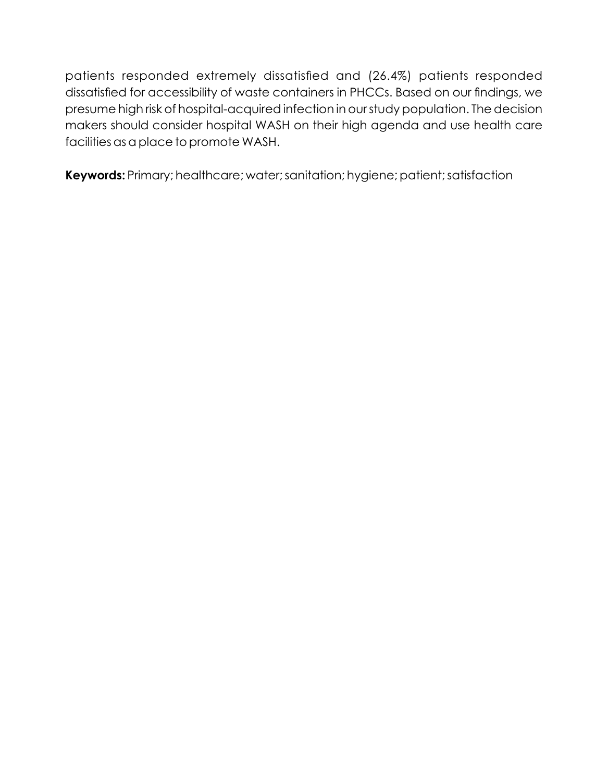patients responded extremely dissatisfied and (26.4%) patients responded dissatisfied for accessibility of waste containers in PHCCs. Based on our findings, we presume high risk of hospital-acquired infection in our study population. The decision makers should consider hospital WASH on their high agenda and use health care facilities as a place to promote WASH.

**Keywords:** Primary; healthcare; water; sanitation; hygiene; patient; satisfaction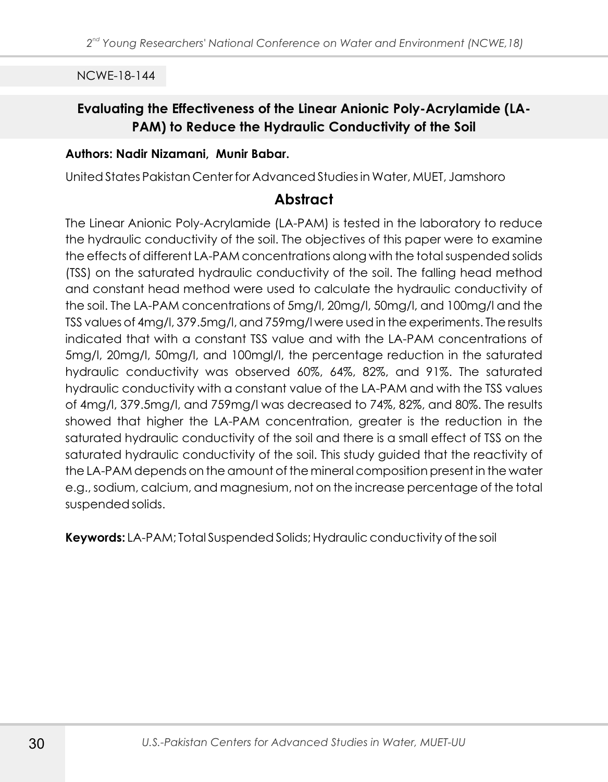# **Evaluating the Effectiveness of the Linear Anionic Poly-Acrylamide (LA-PAM) to Reduce the Hydraulic Conductivity of the Soil**

#### **Authors: Nadir Nizamani, Munir Babar.**

United States Pakistan Center for Advanced Studies in Water, MUET, Jamshoro

### **Abstract**

The Linear Anionic Poly-Acrylamide (LA-PAM) is tested in the laboratory to reduce the hydraulic conductivity of the soil. The objectives of this paper were to examine the effects of different LA-PAM concentrations along with the total suspended solids (TSS) on the saturated hydraulic conductivity of the soil. The falling head method and constant head method were used to calculate the hydraulic conductivity of the soil. The LA-PAM concentrations of 5mg/l, 20mg/l, 50mg/l, and 100mg/l and the TSS values of 4mg/l, 379.5mg/l, and 759mg/l were used in the experiments. The results indicated that with a constant TSS value and with the LA-PAM concentrations of 5mg/l, 20mg/l, 50mg/l, and 100mgl/l, the percentage reduction in the saturated hydraulic conductivity was observed 60%, 64%, 82%, and 91%. The saturated hydraulic conductivity with a constant value of the LA-PAM and with the TSS values of 4mg/l, 379.5mg/l, and 759mg/l was decreased to 74%, 82%, and 80%. The results showed that higher the LA-PAM concentration, greater is the reduction in the saturated hydraulic conductivity of the soil and there is a small effect of TSS on the saturated hydraulic conductivity of the soil. This study guided that the reactivity of the LA-PAM depends on the amount of the mineral composition present in the water e.g., sodium, calcium, and magnesium, not on the increase percentage of the total suspended solids.

**Keywords:** LA-PAM; Total Suspended Solids; Hydraulic conductivity of the soil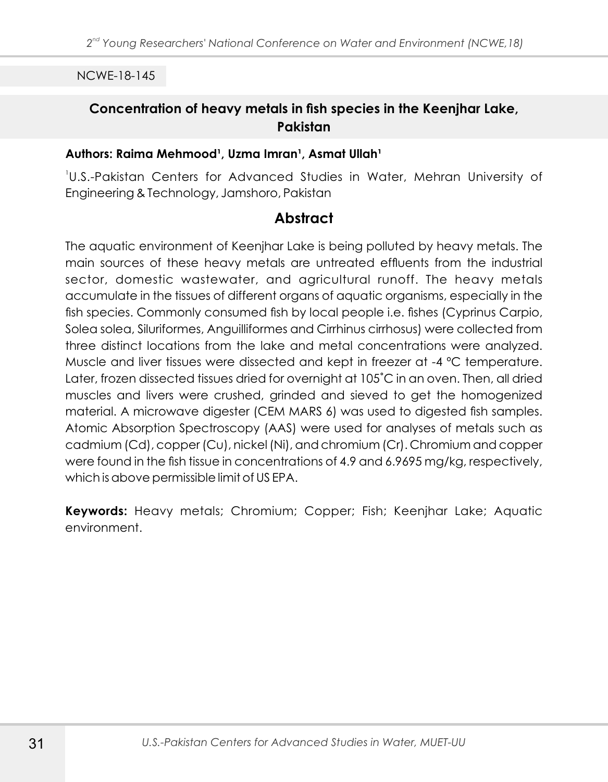## **Concentration of heavy metals in fish species in the Keenjhar Lake, Pakistan**

#### Authors: Raima Mehmood<sup>1</sup>, Uzma Imran<sup>1</sup>, Asmat Ullah<sup>1</sup>

1 U.S.-Pakistan Centers for Advanced Studies in Water, Mehran University of Engineering & Technology, Jamshoro, Pakistan

### **Abstract**

The aquatic environment of Keenjhar Lake is being polluted by heavy metals. The main sources of these heavy metals are untreated effluents from the industrial sector, domestic wastewater, and agricultural runoff. The heavy metals accumulate in the tissues of different organs of aquatic organisms, especially in the fish species. Commonly consumed fish by local people i.e. fishes (Cyprinus Carpio, Solea solea, Siluriformes, Anguilliformes and Cirrhinus cirrhosus) were collected from three distinct locations from the lake and metal concentrations were analyzed. Muscle and liver tissues were dissected and kept in freezer at -4 ºC temperature. Later, frozen dissected tissues dried for overnight at 105°C in an oven. Then, all dried muscles and livers were crushed, grinded and sieved to get the homogenized material. A microwave digester (CEM MARS 6) was used to digested fish samples. Atomic Absorption Spectroscopy (AAS) were used for analyses of metals such as cadmium (Cd), copper (Cu), nickel (Ni), and chromium (Cr). Chromium and copper were found in the fish tissue in concentrations of 4.9 and 6.9695 mg/kg, respectively, which is above permissible limit of US EPA.

**Keywords:** Heavy metals; Chromium; Copper; Fish; Keenjhar Lake; Aquatic environment.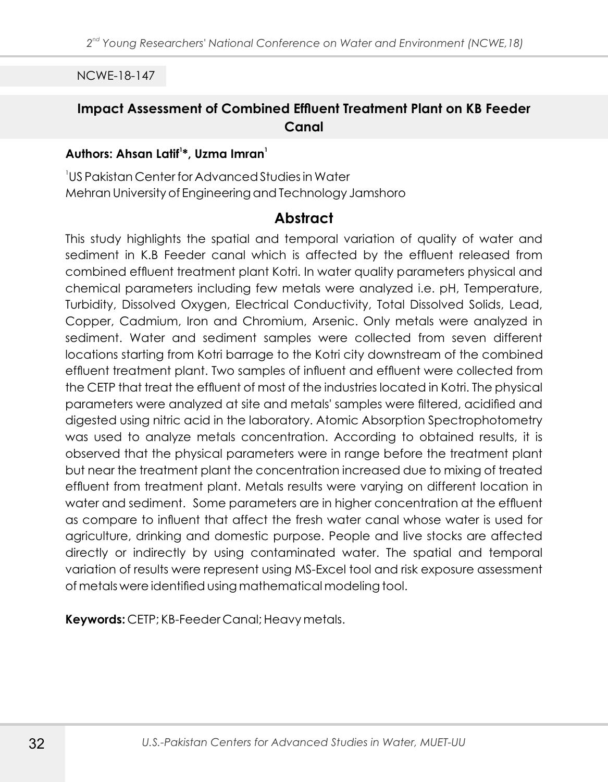# **Impact Assessment of Combined Effluent Treatment Plant on KB Feeder Canal**

### **<sup>1</sup> <sup>1</sup> Authors: Ahsan Latif \*, Uzma Imran**

1 US Pakistan Center for Advanced Studies in Water Mehran University of Engineering and Technology Jamshoro

#### **Abstract**

This study highlights the spatial and temporal variation of quality of water and sediment in K.B Feeder canal which is affected by the effluent released from combined effluent treatment plant Kotri. In water quality parameters physical and chemical parameters including few metals were analyzed i.e. pH, Temperature, Turbidity, Dissolved Oxygen, Electrical Conductivity, Total Dissolved Solids, Lead, Copper, Cadmium, Iron and Chromium, Arsenic. Only metals were analyzed in sediment. Water and sediment samples were collected from seven different locations starting from Kotri barrage to the Kotri city downstream of the combined effluent treatment plant. Two samples of influent and effluent were collected from the CETP that treat the effluent of most of the industries located in Kotri. The physical parameters were analyzed at site and metals' samples were filtered, acidified and digested using nitric acid in the laboratory. Atomic Absorption Spectrophotometry was used to analyze metals concentration. According to obtained results, it is observed that the physical parameters were in range before the treatment plant but near the treatment plant the concentration increased due to mixing of treated effluent from treatment plant. Metals results were varying on different location in water and sediment. Some parameters are in higher concentration at the effluent as compare to influent that affect the fresh water canal whose water is used for agriculture, drinking and domestic purpose. People and live stocks are affected directly or indirectly by using contaminated water. The spatial and temporal variation of results were represent using MS-Excel tool and risk exposure assessment of metals were identified using mathematical modeling tool.

**Keywords:** CETP; KB-Feeder Canal; Heavy metals.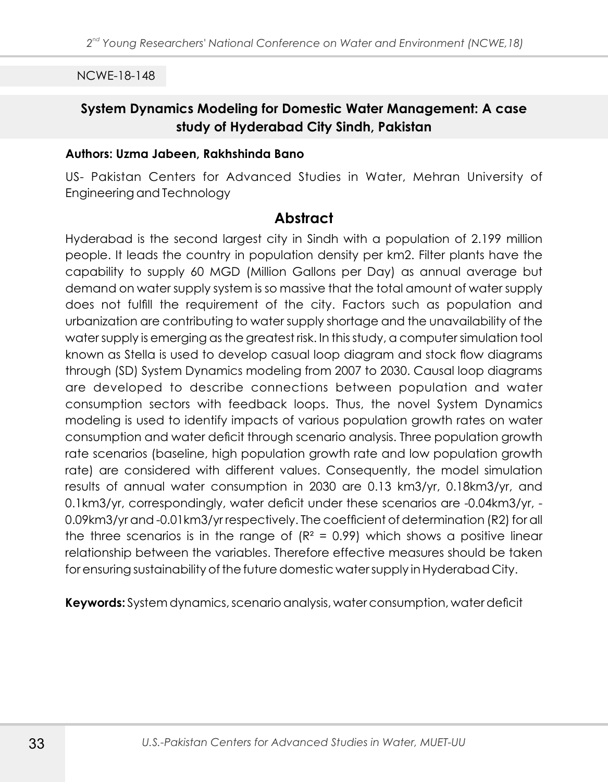## **System Dynamics Modeling for Domestic Water Management: A case study of Hyderabad City Sindh, Pakistan**

#### **Authors: Uzma Jabeen, Rakhshinda Bano**

US- Pakistan Centers for Advanced Studies in Water, Mehran University of Engineering and Technology

#### **Abstract**

Hyderabad is the second largest city in Sindh with a population of 2.199 million people. It leads the country in population density per km2. Filter plants have the capability to supply 60 MGD (Million Gallons per Day) as annual average but demand on water supply system is so massive that the total amount of water supply does not fulfill the requirement of the city. Factors such as population and urbanization are contributing to water supply shortage and the unavailability of the water supply is emerging as the greatest risk. In this study, a computer simulation tool known as Stella is used to develop casual loop diagram and stock flow diagrams through (SD) System Dynamics modeling from 2007 to 2030. Causal loop diagrams are developed to describe connections between population and water consumption sectors with feedback loops. Thus, the novel System Dynamics modeling is used to identify impacts of various population growth rates on water consumption and water deficit through scenario analysis. Three population growth rate scenarios (baseline, high population growth rate and low population growth rate) are considered with different values. Consequently, the model simulation results of annual water consumption in 2030 are 0.13 km3/yr, 0.18km3/yr, and 0.1km3/yr, correspondingly, water deficit under these scenarios are -0.04km3/yr, - 0.09km3/yr and -0.01km3/yr respectively. The coefficient of determination (R2) for all the three scenarios is in the range of  $(R<sup>2</sup> = 0.99)$  which shows a positive linear relationship between the variables. Therefore effective measures should be taken for ensuring sustainability of the future domestic water supply in Hyderabad City.

**Keywords:** System dynamics, scenario analysis, water consumption, water deficit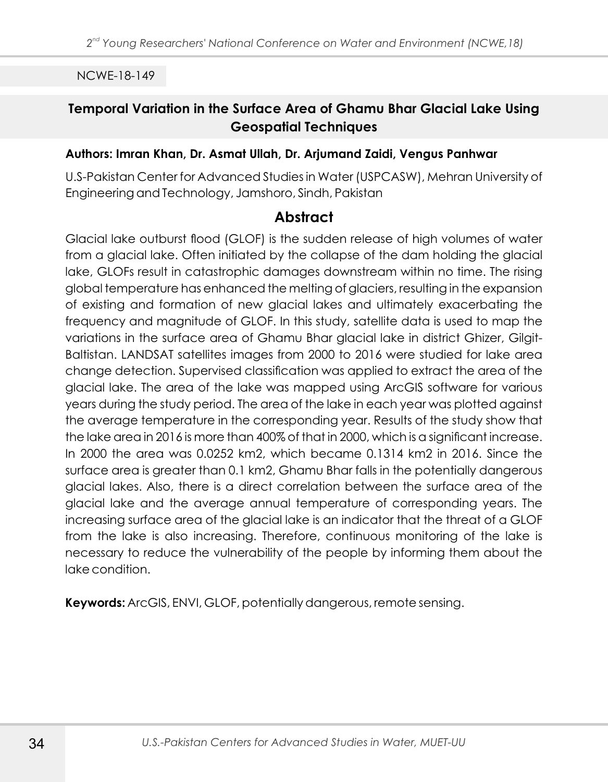# **Temporal Variation in the Surface Area of Ghamu Bhar Glacial Lake Using Geospatial Techniques**

#### **Authors: Imran Khan, Dr. Asmat Ullah, Dr. Arjumand Zaidi, Vengus Panhwar**

U.S-Pakistan Center for Advanced Studies in Water (USPCASW), Mehran University of Engineering and Technology, Jamshoro, Sindh, Pakistan

### **Abstract**

Glacial lake outburst flood (GLOF) is the sudden release of high volumes of water from a glacial lake. Often initiated by the collapse of the dam holding the glacial lake, GLOFs result in catastrophic damages downstream within no time. The rising global temperature has enhanced the melting of glaciers, resulting in the expansion of existing and formation of new glacial lakes and ultimately exacerbating the frequency and magnitude of GLOF. In this study, satellite data is used to map the variations in the surface area of Ghamu Bhar glacial lake in district Ghizer, Gilgit-Baltistan. LANDSAT satellites images from 2000 to 2016 were studied for lake area change detection. Supervised classification was applied to extract the area of the glacial lake. The area of the lake was mapped using ArcGIS software for various years during the study period. The area of the lake in each year was plotted against the average temperature in the corresponding year. Results of the study show that the lake area in 2016 is more than 400% of that in 2000, which is a significant increase. In 2000 the area was 0.0252 km2, which became 0.1314 km2 in 2016. Since the surface area is greater than 0.1 km2, Ghamu Bhar falls in the potentially dangerous glacial lakes. Also, there is a direct correlation between the surface area of the glacial lake and the average annual temperature of corresponding years. The increasing surface area of the glacial lake is an indicator that the threat of a GLOF from the lake is also increasing. Therefore, continuous monitoring of the lake is necessary to reduce the vulnerability of the people by informing them about the lake condition.

**Keywords:** ArcGIS, ENVI, GLOF, potentially dangerous, remote sensing.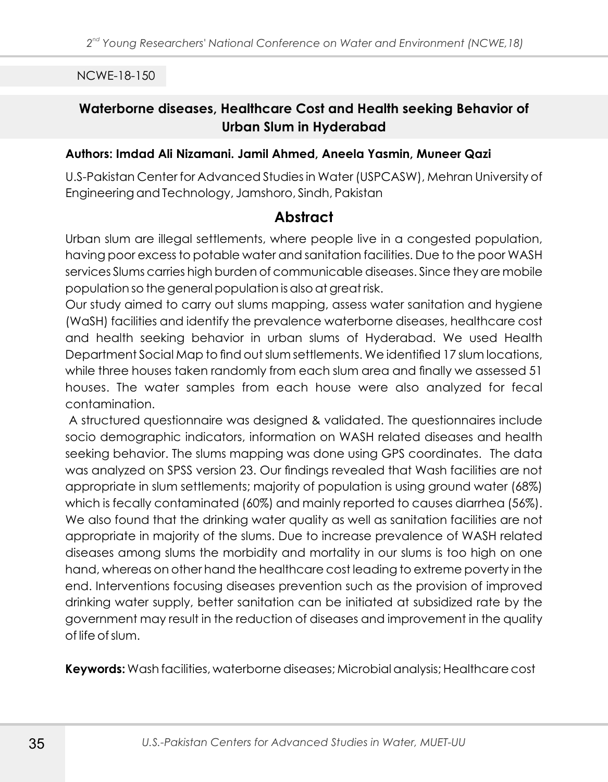# **Waterborne diseases, Healthcare Cost and Health seeking Behavior of Urban Slum in Hyderabad**

#### **Authors: Imdad Ali Nizamani. Jamil Ahmed, Aneela Yasmin, Muneer Qazi**

U.S-Pakistan Center for Advanced Studies in Water (USPCASW), Mehran University of Engineering and Technology, Jamshoro, Sindh, Pakistan

### **Abstract**

Urban slum are illegal settlements, where people live in a congested population, having poor excess to potable water and sanitation facilities. Due to the poor WASH services Slums carries high burden of communicable diseases. Since they are mobile population so the general population is also at great risk.

Our study aimed to carry out slums mapping, assess water sanitation and hygiene (WaSH) facilities and identify the prevalence waterborne diseases, healthcare cost and health seeking behavior in urban slums of Hyderabad. We used Health Department Social Map to find out slum settlements. We identified 17 slum locations, while three houses taken randomly from each slum area and finally we assessed 51 houses. The water samples from each house were also analyzed for fecal contamination.

A structured questionnaire was designed & validated. The questionnaires include socio demographic indicators, information on WASH related diseases and health seeking behavior. The slums mapping was done using GPS coordinates. The data was analyzed on SPSS version 23. Our findings revealed that Wash facilities are not appropriate in slum settlements; majority of population is using ground water (68%) which is fecally contaminated (60%) and mainly reported to causes diarrhea (56%). We also found that the drinking water quality as well as sanitation facilities are not appropriate in majority of the slums. Due to increase prevalence of WASH related diseases among slums the morbidity and mortality in our slums is too high on one hand, whereas on other hand the healthcare cost leading to extreme poverty in the end. Interventions focusing diseases prevention such as the provision of improved drinking water supply, better sanitation can be initiated at subsidized rate by the government may result in the reduction of diseases and improvement in the quality of life of slum.

**Keywords:** Wash facilities, waterborne diseases; Microbial analysis; Healthcare cost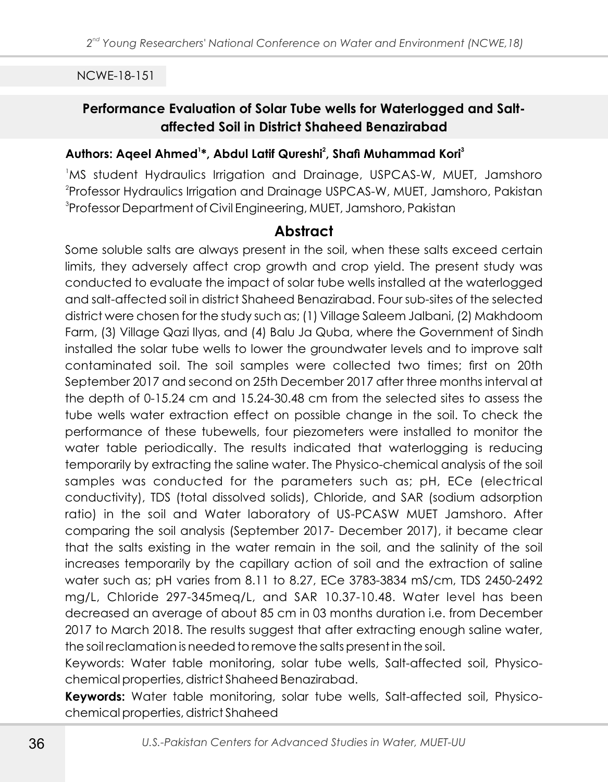# **Performance Evaluation of Solar Tube wells for Waterlogged and Saltaffected Soil in District Shaheed Benazirabad**

#### **<sup>1</sup> <sup>2</sup> <sup>3</sup> Authors: Aqeel Ahmed \*, Abdul Latif Qureshi , Shafi Muhammad Kori**

<sup>1</sup>MS student Hydraulics Irrigation and Drainage, USPCAS-W, MUET, Jamshoro  $^{2}$ Professor Hydraulics Irrigation and Drainage USPCAS-W, MUET, Jamshoro, Pakistan 3 Professor Department of Civil Engineering, MUET, Jamshoro, Pakistan

## **Abstract**

Some soluble salts are always present in the soil, when these salts exceed certain limits, they adversely affect crop growth and crop yield. The present study was conducted to evaluate the impact of solar tube wells installed at the waterlogged and salt-affected soil in district Shaheed Benazirabad. Four sub-sites of the selected district were chosen for the study such as; (1) Village Saleem Jalbani, (2) Makhdoom Farm, (3) Village Qazi Ilyas, and (4) Balu Ja Quba, where the Government of Sindh installed the solar tube wells to lower the groundwater levels and to improve salt contaminated soil. The soil samples were collected two times; first on 20th September 2017 and second on 25th December 2017 after three months interval at the depth of 0-15.24 cm and 15.24-30.48 cm from the selected sites to assess the tube wells water extraction effect on possible change in the soil. To check the performance of these tubewells, four piezometers were installed to monitor the water table periodically. The results indicated that waterlogging is reducing temporarily by extracting the saline water. The Physico-chemical analysis of the soil samples was conducted for the parameters such as; pH, ECe (electrical conductivity), TDS (total dissolved solids), Chloride, and SAR (sodium adsorption ratio) in the soil and Water laboratory of US-PCASW MUET Jamshoro. After comparing the soil analysis (September 2017- December 2017), it became clear that the salts existing in the water remain in the soil, and the salinity of the soil increases temporarily by the capillary action of soil and the extraction of saline water such as; pH varies from 8.11 to 8.27, ECe 3783-3834 mS/cm, TDS 2450-2492 mg/L, Chloride 297-345meq/L, and SAR 10.37-10.48. Water level has been decreased an average of about 85 cm in 03 months duration i.e. from December 2017 to March 2018. The results suggest that after extracting enough saline water, the soil reclamation is needed to remove the salts present in the soil.

Keywords: Water table monitoring, solar tube wells, Salt-affected soil, Physicochemical properties, district Shaheed Benazirabad.

**Keywords:** Water table monitoring, solar tube wells, Salt-affected soil, Physicochemical properties, district Shaheed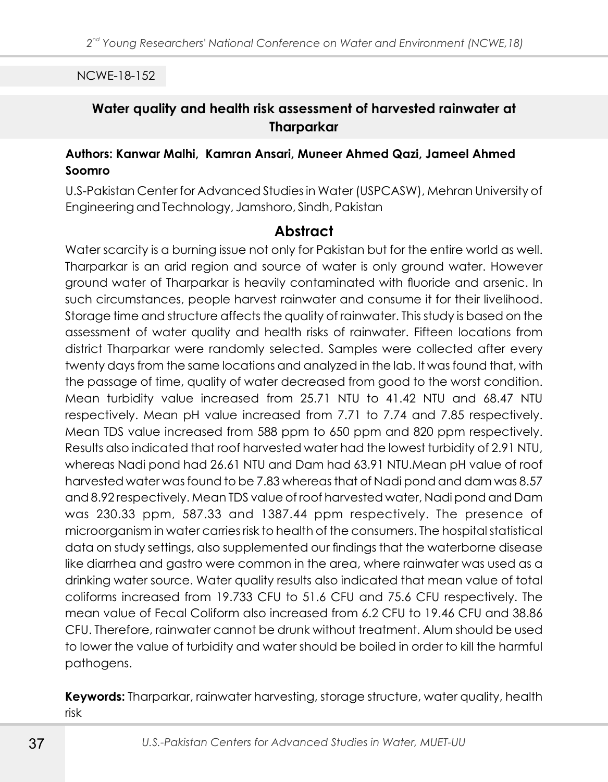## **Water quality and health risk assessment of harvested rainwater at Tharparkar**

#### **Authors: Kanwar Malhi, Kamran Ansari, Muneer Ahmed Qazi, Jameel Ahmed Soomro**

U.S-Pakistan Center for Advanced Studies in Water (USPCASW), Mehran University of Engineering and Technology, Jamshoro, Sindh, Pakistan

## **Abstract**

Water scarcity is a burning issue not only for Pakistan but for the entire world as well. Tharparkar is an arid region and source of water is only ground water. However ground water of Tharparkar is heavily contaminated with fluoride and arsenic. In such circumstances, people harvest rainwater and consume it for their livelihood. Storage time and structure affects the quality of rainwater. This study is based on the assessment of water quality and health risks of rainwater. Fifteen locations from district Tharparkar were randomly selected. Samples were collected after every twenty days from the same locations and analyzed in the lab. It was found that, with the passage of time, quality of water decreased from good to the worst condition. Mean turbidity value increased from 25.71 NTU to 41.42 NTU and 68.47 NTU respectively. Mean pH value increased from 7.71 to 7.74 and 7.85 respectively. Mean TDS value increased from 588 ppm to 650 ppm and 820 ppm respectively. Results also indicated that roof harvested water had the lowest turbidity of 2.91 NTU, whereas Nadi pond had 26.61 NTU and Dam had 63.91 NTU.Mean pH value of roof harvested water was found to be 7.83 whereas that of Nadi pond and dam was 8.57 and 8.92 respectively. Mean TDS value of roof harvested water, Nadi pond and Dam was 230.33 ppm, 587.33 and 1387.44 ppm respectively. The presence of microorganism in water carries risk to health of the consumers. The hospital statistical data on study settings, also supplemented our findings that the waterborne disease like diarrhea and gastro were common in the area, where rainwater was used as a drinking water source. Water quality results also indicated that mean value of total coliforms increased from 19.733 CFU to 51.6 CFU and 75.6 CFU respectively. The mean value of Fecal Coliform also increased from 6.2 CFU to 19.46 CFU and 38.86 CFU. Therefore, rainwater cannot be drunk without treatment. Alum should be used to lower the value of turbidity and water should be boiled in order to kill the harmful pathogens.

**Keywords:** Tharparkar, rainwater harvesting, storage structure, water quality, health risk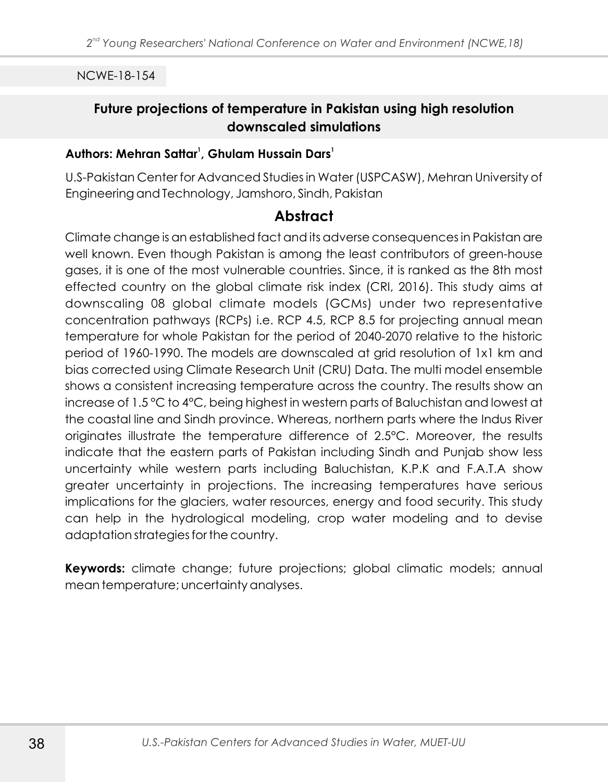# **Future projections of temperature in Pakistan using high resolution downscaled simulations**

### **<sup>1</sup> <sup>1</sup> Authors: Mehran Sattar , Ghulam Hussain Dars**

U.S-Pakistan Center for Advanced Studies in Water (USPCASW), Mehran University of Engineering and Technology, Jamshoro, Sindh, Pakistan

# **Abstract**

Climate change is an established fact and its adverse consequences in Pakistan are well known. Even though Pakistan is among the least contributors of green-house gases, it is one of the most vulnerable countries. Since, it is ranked as the 8th most effected country on the global climate risk index (CRI, 2016). This study aims at downscaling 08 global climate models (GCMs) under two representative concentration pathways (RCPs) i.e. RCP 4.5, RCP 8.5 for projecting annual mean temperature for whole Pakistan for the period of 2040-2070 relative to the historic period of 1960-1990. The models are downscaled at grid resolution of 1x1 km and bias corrected using Climate Research Unit (CRU) Data. The multi model ensemble shows a consistent increasing temperature across the country. The results show an increase of 1.5 °C to 4°C, being highest in western parts of Baluchistan and lowest at the coastal line and Sindh province. Whereas, northern parts where the Indus River originates illustrate the temperature difference of 2.5°C. Moreover, the results indicate that the eastern parts of Pakistan including Sindh and Punjab show less uncertainty while western parts including Baluchistan, K.P.K and F.A.T.A show greater uncertainty in projections. The increasing temperatures have serious implications for the glaciers, water resources, energy and food security. This study can help in the hydrological modeling, crop water modeling and to devise adaptation strategies for the country.

**Keywords:** climate change; future projections; global climatic models; annual mean temperature; uncertainty analyses.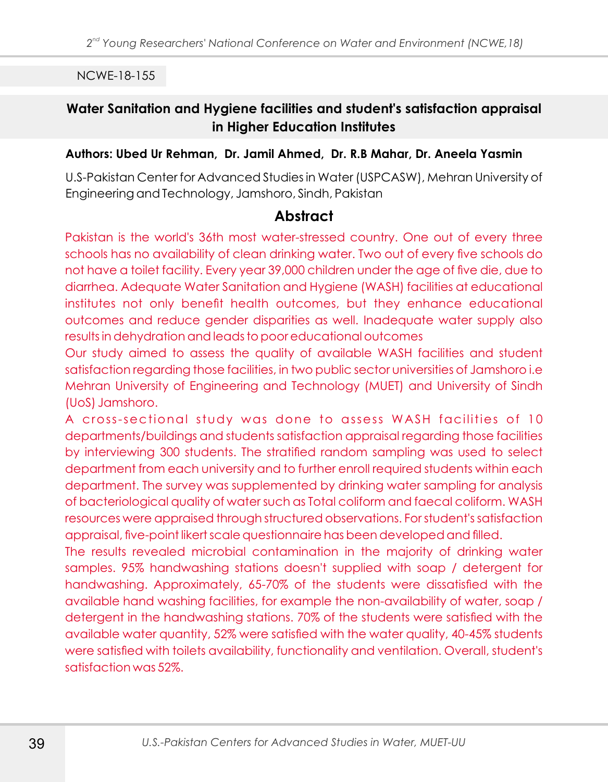## **Water Sanitation and Hygiene facilities and student's satisfaction appraisal in Higher Education Institutes**

#### **Authors: Ubed Ur Rehman, Dr. Jamil Ahmed, Dr. R.B Mahar, Dr. Aneela Yasmin**

U.S-Pakistan Center for Advanced Studies in Water (USPCASW), Mehran University of Engineering and Technology, Jamshoro, Sindh, Pakistan

### **Abstract**

Pakistan is the world's 36th most water-stressed country. One out of every three schools has no availability of clean drinking water. Two out of every five schools do not have a toilet facility. Every year 39,000 children under the age of five die, due to diarrhea. Adequate Water Sanitation and Hygiene (WASH) facilities at educational institutes not only benefit health outcomes, but they enhance educational outcomes and reduce gender disparities as well. Inadequate water supply also results in dehydration and leads to poor educational outcomes

Our study aimed to assess the quality of available WASH facilities and student satisfaction regarding those facilities, in two public sector universities of Jamshoro i.e Mehran University of Engineering and Technology (MUET) and University of Sindh (UoS) Jamshoro.

A cross-sectional study was done to assess WASH facilities of 10 departments/buildings and students satisfaction appraisal regarding those facilities by interviewing 300 students. The stratified random sampling was used to select department from each university and to further enroll required students within each department. The survey was supplemented by drinking water sampling for analysis of bacteriological quality of water such as Total coliform and faecal coliform. WASH resources were appraised through structured observations. For student's satisfaction appraisal, five-point likert scale questionnaire has been developed and filled.

The results revealed microbial contamination in the majority of drinking water samples. 95% handwashing stations doesn't supplied with soap / detergent for handwashing. Approximately, 65-70% of the students were dissatisfied with the available hand washing facilities, for example the non-availability of water, soap / detergent in the handwashing stations. 70% of the students were satisfied with the available water quantity, 52% were satisfied with the water quality, 40-45% students were satisfied with toilets availability, functionality and ventilation. Overall, student's satisfaction was 52%.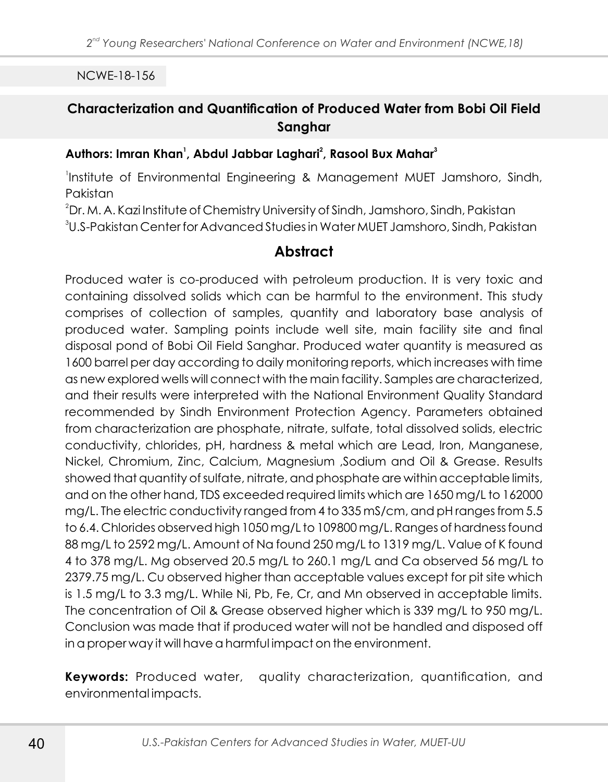# **Characterization and Quantification of Produced Water from Bobi Oil Field Sanghar**

### **<sup>1</sup> <sup>2</sup> <sup>3</sup> Authors: Imran Khan , Abdul Jabbar Laghari , Rasool Bux Mahar**

1 Institute of Environmental Engineering & Management MUET Jamshoro, Sindh, Pakistan

<sup>2</sup>Dr. M. A. Kazi Institute of Chemistry University of Sindh, Jamshoro, Sindh, Pakistan  $^{\rm 3}$ U.S-Pakistan Center for Advanced Studies in Water MUET Jamshoro, Sindh, Pakistan

# **Abstract**

Produced water is co-produced with petroleum production. It is very toxic and containing dissolved solids which can be harmful to the environment. This study comprises of collection of samples, quantity and laboratory base analysis of produced water. Sampling points include well site, main facility site and final disposal pond of Bobi Oil Field Sanghar. Produced water quantity is measured as 1600 barrel per day according to daily monitoring reports, which increases with time as new explored wells will connect with the main facility. Samples are characterized, and their results were interpreted with the National Environment Quality Standard recommended by Sindh Environment Protection Agency. Parameters obtained from characterization are phosphate, nitrate, sulfate, total dissolved solids, electric conductivity, chlorides, pH, hardness & metal which are Lead, Iron, Manganese, Nickel, Chromium, Zinc, Calcium, Magnesium ,Sodium and Oil & Grease. Results showed that quantity of sulfate, nitrate, and phosphate are within acceptable limits, and on the other hand, TDS exceeded required limits which are 1650 mg/L to 162000 mg/L. The electric conductivity ranged from 4 to 335 mS/cm, and pH ranges from 5.5 to 6.4. Chlorides observed high 1050 mg/L to 109800 mg/L. Ranges of hardness found 88 mg/L to 2592 mg/L. Amount of Na found 250 mg/L to 1319 mg/L. Value of K found 4 to 378 mg/L. Mg observed 20.5 mg/L to 260.1 mg/L and Ca observed 56 mg/L to 2379.75 mg/L. Cu observed higher than acceptable values except for pit site which is 1.5 mg/L to 3.3 mg/L. While Ni, Pb, Fe, Cr, and Mn observed in acceptable limits. The concentration of Oil & Grease observed higher which is 339 mg/L to 950 mg/L. Conclusion was made that if produced water will not be handled and disposed off in a proper way it will have a harmful impact on the environment.

**Keywords:** Produced water, quality characterization, quantification, and environmental impacts.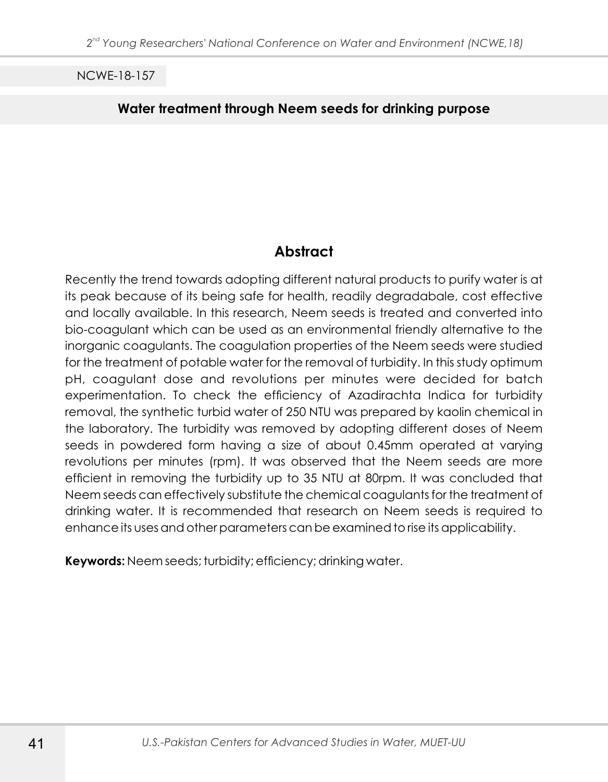### **Water treatment through Neem seeds for drinking purpose**

# **Abstract**

Recently the trend towards adopting different natural products to purify water is at its peak because of its being safe for health, readily degradabale, cost effective and locally available. In this research, Neem seeds is treated and converted into bio-coagulant which can be used as an environmental friendly alternative to the inorganic coagulants. The coagulation properties of the Neem seeds were studied for the treatment of potable water for the removal of turbidity. In this study optimum pH, coagulant dose and revolutions per minutes were decided for batch experimentation. To check the efficiency of Azadirachta Indica for turbidity removal, the synthetic turbid water of 250 NTU was prepared by kaolin chemical in the laboratory. The turbidity was removed by adopting different doses of Neem seeds in powdered form having a size of about 0.45mm operated at varying revolutions per minutes (rpm). It was observed that the Neem seeds are more efficient in removing the turbidity up to 35 NTU at 80rpm. It was concluded that Neem seeds can effectively substitute the chemical coagulants for the treatment of drinking water. It is recommended that research on Neem seeds is required to enhance its uses and other parameters can be examined to rise its applicability.

**Keywords:** Neem seeds; turbidity; efficiency; drinking water.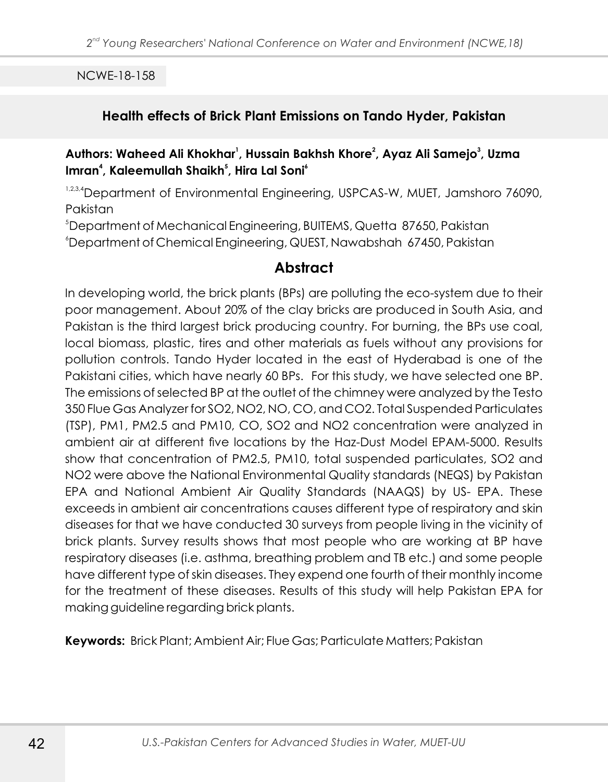### **Health effects of Brick Plant Emissions on Tando Hyder, Pakistan**

### **<sup>1</sup> <sup>2</sup> <sup>3</sup> Authors: Waheed Ali Khokhar , Hussain Bakhsh Khore , Ayaz Ali Samejo , Uzma 4 5 6 Imran , Kaleemullah Shaikh , Hira Lal Soni**

1,2,3,4 Department of Environmental Engineering, USPCAS-W, MUET, Jamshoro 76090, Pakistan

<sup>5</sup>Department of Mechanical Engineering, BUITEMS, Quetta 87650, Pakistan

<sup>6</sup>Department of Chemical Engineering, QUEST, Nawabshah 67450, Pakistan

# **Abstract**

In developing world, the brick plants (BPs) are polluting the eco-system due to their poor management. About 20% of the clay bricks are produced in South Asia, and Pakistan is the third largest brick producing country. For burning, the BPs use coal, local biomass, plastic, tires and other materials as fuels without any provisions for pollution controls. Tando Hyder located in the east of Hyderabad is one of the Pakistani cities, which have nearly 60 BPs. For this study, we have selected one BP. The emissions of selected BP at the outlet of the chimney were analyzed by the Testo 350 Flue Gas Analyzer for SO2, NO2, NO, CO, and CO2. Total Suspended Particulates (TSP), PM1, PM2.5 and PM10, CO, SO2 and NO2 concentration were analyzed in ambient air at different five locations by the Haz-Dust Model EPAM-5000. Results show that concentration of PM2.5, PM10, total suspended particulates, SO2 and NO2 were above the National Environmental Quality standards (NEQS) by Pakistan EPA and National Ambient Air Quality Standards (NAAQS) by US- EPA. These exceeds in ambient air concentrations causes different type of respiratory and skin diseases for that we have conducted 30 surveys from people living in the vicinity of brick plants. Survey results shows that most people who are working at BP have respiratory diseases (i.e. asthma, breathing problem and TB etc.) and some people have different type of skin diseases. They expend one fourth of their monthly income for the treatment of these diseases. Results of this study will help Pakistan EPA for making guideline regarding brick plants.

**Keywords:** Brick Plant; Ambient Air; Flue Gas; Particulate Matters; Pakistan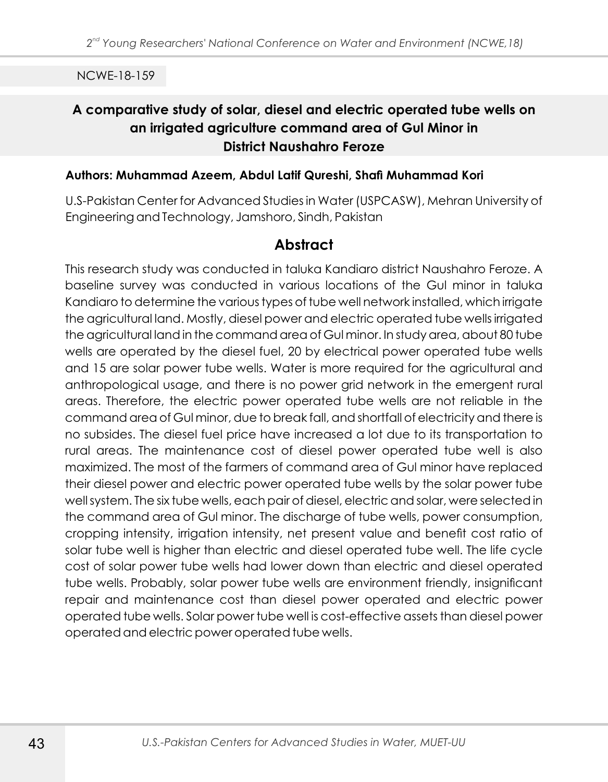# **A comparative study of solar, diesel and electric operated tube wells on an irrigated agriculture command area of Gul Minor in District Naushahro Feroze**

#### **Authors: Muhammad Azeem, Abdul Latif Qureshi, Shafi Muhammad Kori**

U.S-Pakistan Center for Advanced Studies in Water (USPCASW), Mehran University of Engineering and Technology, Jamshoro, Sindh, Pakistan

# **Abstract**

This research study was conducted in taluka Kandiaro district Naushahro Feroze. A baseline survey was conducted in various locations of the Gul minor in taluka Kandiaro to determine the various types of tube well network installed, which irrigate the agricultural land. Mostly, diesel power and electric operated tube wells irrigated the agricultural land in the command area of Gul minor. In study area, about 80 tube wells are operated by the diesel fuel, 20 by electrical power operated tube wells and 15 are solar power tube wells. Water is more required for the agricultural and anthropological usage, and there is no power grid network in the emergent rural areas. Therefore, the electric power operated tube wells are not reliable in the command area of Gul minor, due to break fall, and shortfall of electricity and there is no subsides. The diesel fuel price have increased a lot due to its transportation to rural areas. The maintenance cost of diesel power operated tube well is also maximized. The most of the farmers of command area of Gul minor have replaced their diesel power and electric power operated tube wells by the solar power tube well system. The six tube wells, each pair of diesel, electric and solar, were selected in the command area of Gul minor. The discharge of tube wells, power consumption, cropping intensity, irrigation intensity, net present value and benefit cost ratio of solar tube well is higher than electric and diesel operated tube well. The life cycle cost of solar power tube wells had lower down than electric and diesel operated tube wells. Probably, solar power tube wells are environment friendly, insignificant repair and maintenance cost than diesel power operated and electric power operated tube wells. Solar power tube well is cost-effective assets than diesel power operated and electric power operated tube wells.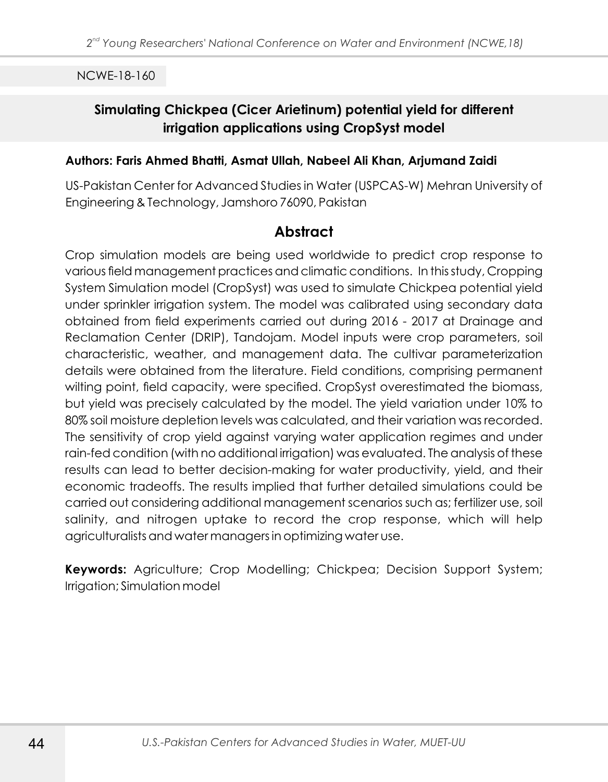# **Simulating Chickpea (Cicer Arietinum) potential yield for different irrigation applications using CropSyst model**

#### **Authors: Faris Ahmed Bhatti, Asmat Ullah, Nabeel Ali Khan, Arjumand Zaidi**

US-Pakistan Center for Advanced Studies in Water (USPCAS-W) Mehran University of Engineering & Technology, Jamshoro 76090, Pakistan

## **Abstract**

Crop simulation models are being used worldwide to predict crop response to various field management practices and climatic conditions. In this study, Cropping System Simulation model (CropSyst) was used to simulate Chickpea potential yield under sprinkler irrigation system. The model was calibrated using secondary data obtained from field experiments carried out during 2016 - 2017 at Drainage and Reclamation Center (DRIP), Tandojam. Model inputs were crop parameters, soil characteristic, weather, and management data. The cultivar parameterization details were obtained from the literature. Field conditions, comprising permanent wilting point, field capacity, were specified. CropSyst overestimated the biomass, but yield was precisely calculated by the model. The yield variation under 10% to 80% soil moisture depletion levels was calculated, and their variation was recorded. The sensitivity of crop yield against varying water application regimes and under rain-fed condition (with no additional irrigation) was evaluated. The analysis of these results can lead to better decision-making for water productivity, yield, and their economic tradeoffs. The results implied that further detailed simulations could be carried out considering additional management scenarios such as; fertilizer use, soil salinity, and nitrogen uptake to record the crop response, which will help agriculturalists and water managers in optimizing water use.

**Keywords:** Agriculture; Crop Modelling; Chickpea; Decision Support System; Irrigation; Simulation model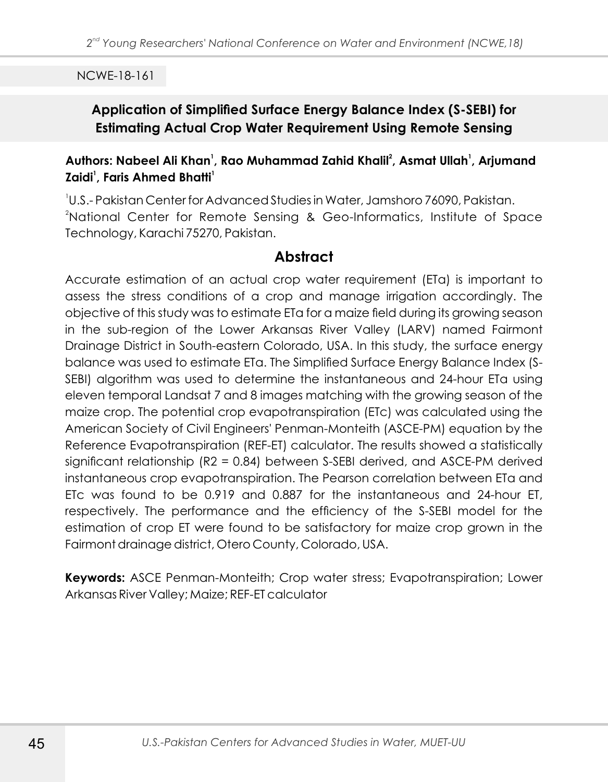# **Application of Simplified Surface Energy Balance Index (S-SEBI) for Estimating Actual Crop Water Requirement Using Remote Sensing**

## **<sup>1</sup> <sup>2</sup> <sup>1</sup> Authors: Nabeel Ali Khan , Rao Muhammad Zahid Khalil , Asmat Ullah , Arjumand 1 1 Zaidi , Faris Ahmed Bhatti**

1 U.S.- Pakistan Center for Advanced Studies in Water, Jamshoro 76090, Pakistan. <sup>2</sup>National Center for Remote Sensing & Geo-Informatics, Institute of Space Technology, Karachi 75270, Pakistan.

## **Abstract**

Accurate estimation of an actual crop water requirement (ETa) is important to assess the stress conditions of a crop and manage irrigation accordingly. The objective of this study was to estimate ETa for a maize field during its growing season in the sub-region of the Lower Arkansas River Valley (LARV) named Fairmont Drainage District in South-eastern Colorado, USA. In this study, the surface energy balance was used to estimate ETa. The Simplified Surface Energy Balance Index (S-SEBI) algorithm was used to determine the instantaneous and 24-hour ETa using eleven temporal Landsat 7 and 8 images matching with the growing season of the maize crop. The potential crop evapotranspiration (ETc) was calculated using the American Society of Civil Engineers' Penman-Monteith (ASCE-PM) equation by the Reference Evapotranspiration (REF-ET) calculator. The results showed a statistically significant relationship (R2 = 0.84) between S-SEBI derived, and ASCE-PM derived instantaneous crop evapotranspiration. The Pearson correlation between ETa and ETc was found to be 0.919 and 0.887 for the instantaneous and 24-hour ET, respectively. The performance and the efficiency of the S-SEBI model for the estimation of crop ET were found to be satisfactory for maize crop grown in the Fairmont drainage district, Otero County, Colorado, USA.

**Keywords:** ASCE Penman-Monteith; Crop water stress; Evapotranspiration; Lower Arkansas River Valley; Maize; REF-ET calculator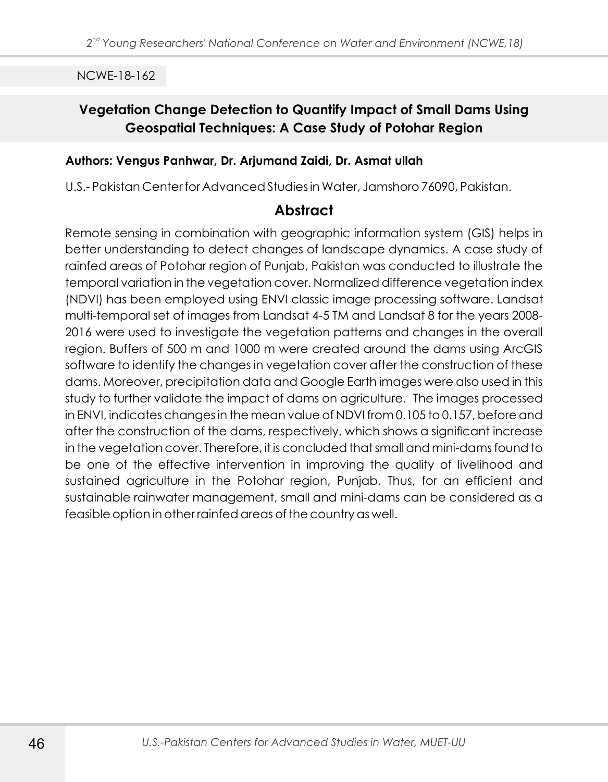# **Vegetation Change Detection to Quantify Impact of Small Dams Using Geospatial Techniques: A Case Study of Potohar Region**

### **Authors: Vengus Panhwar, Dr. Arjumand Zaidi, Dr. Asmat ullah**

U.S.- Pakistan Center for Advanced Studies in Water, Jamshoro 76090, Pakistan.

# **Abstract**

Remote sensing in combination with geographic information system (GIS) helps in better understanding to detect changes of landscape dynamics. A case study of rainfed areas of Potohar region of Punjab, Pakistan was conducted to illustrate the temporal variation in the vegetation cover. Normalized difference vegetation index (NDVI) has been employed using ENVI classic image processing software. Landsat multi-temporal set of images from Landsat 4-5 TM and Landsat 8 for the years 2008- 2016 were used to investigate the vegetation patterns and changes in the overall region. Buffers of 500 m and 1000 m were created around the dams using ArcGIS software to identify the changes in vegetation cover after the construction of these dams. Moreover, precipitation data and Google Earth images were also used in this study to further validate the impact of dams on agriculture. The images processed in ENVI, indicates changes in the mean value of NDVI from 0.105 to 0.157, before and after the construction of the dams, respectively, which shows a significant increase in the vegetation cover. Therefore, it is concluded that small and mini-dams found to be one of the effective intervention in improving the quality of livelihood and sustained agriculture in the Potohar region, Punjab. Thus, for an efficient and sustainable rainwater management, small and mini-dams can be considered as a feasible option in other rainfed areas of the country as well.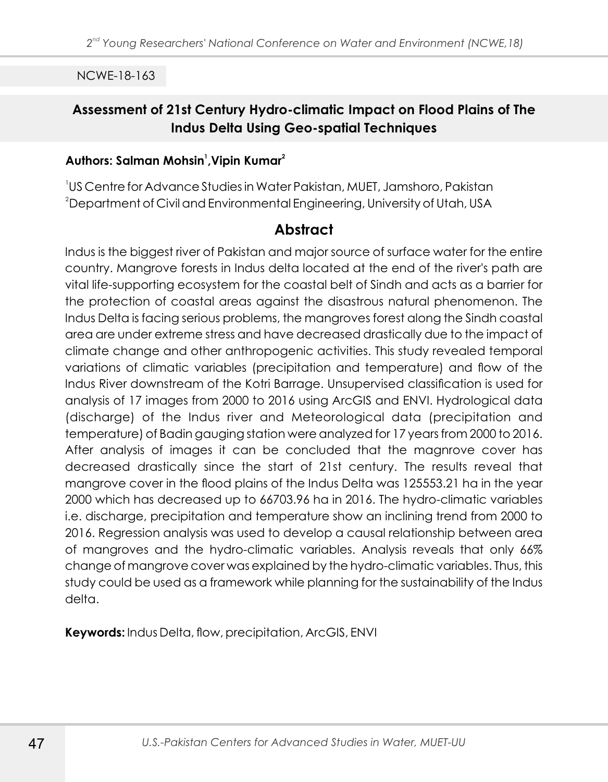# **Assessment of 21st Century Hydro-climatic Impact on Flood Plains of The Indus Delta Using Geo-spatial Techniques**

### **<sup>1</sup> <sup>2</sup> Authors: Salman Mohsin ,Vipin Kumar**

1 US Centre for Advance Studies in Water Pakistan, MUET, Jamshoro, Pakistan  $\rm ^2$ Department of Civil and Environmental Engineering, University of Utah, USA

### **Abstract**

Indus is the biggest river of Pakistan and major source of surface water for the entire country. Mangrove forests in Indus delta located at the end of the river's path are vital life-supporting ecosystem for the coastal belt of Sindh and acts as a barrier for the protection of coastal areas against the disastrous natural phenomenon. The Indus Delta is facing serious problems, the mangroves forest along the Sindh coastal area are under extreme stress and have decreased drastically due to the impact of climate change and other anthropogenic activities. This study revealed temporal variations of climatic variables (precipitation and temperature) and flow of the Indus River downstream of the Kotri Barrage. Unsupervised classification is used for analysis of 17 images from 2000 to 2016 using ArcGIS and ENVI. Hydrological data (discharge) of the Indus river and Meteorological data (precipitation and temperature) of Badin gauging station were analyzed for 17 years from 2000 to 2016. After analysis of images it can be concluded that the magnrove cover has decreased drastically since the start of 21st century. The results reveal that mangrove cover in the flood plains of the Indus Delta was 125553.21 ha in the year 2000 which has decreased up to 66703.96 ha in 2016. The hydro-climatic variables i.e. discharge, precipitation and temperature show an inclining trend from 2000 to 2016. Regression analysis was used to develop a causal relationship between area of mangroves and the hydro-climatic variables. Analysis reveals that only 66% change of mangrove cover was explained by the hydro-climatic variables. Thus, this study could be used as a framework while planning for the sustainability of the Indus delta.

**Keywords:** Indus Delta, flow, precipitation, ArcGIS, ENVI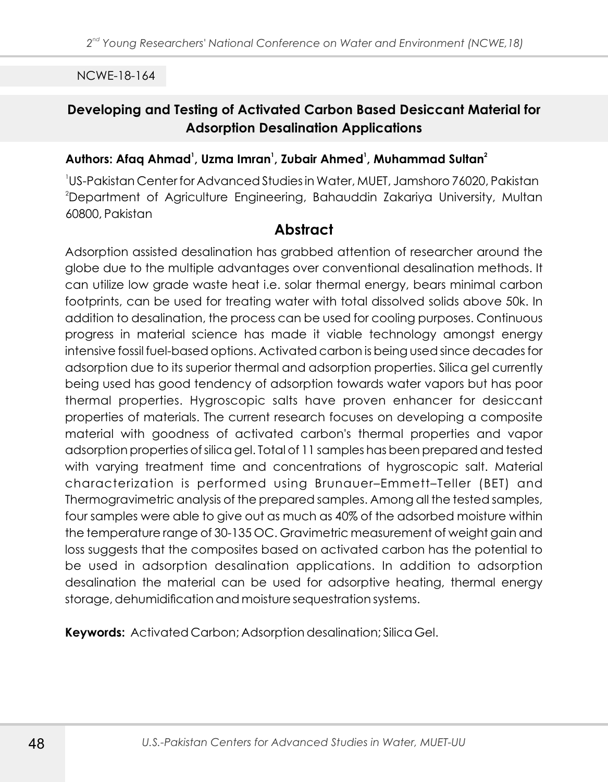# **Developing and Testing of Activated Carbon Based Desiccant Material for Adsorption Desalination Applications**

#### **<sup>1</sup> <sup>1</sup> <sup>1</sup> <sup>2</sup> Authors: Afaq Ahmad , Uzma Imran , Zubair Ahmed , Muhammad Sultan**

1 US-Pakistan Center for Advanced Studies in Water, MUET, Jamshoro 76020, Pakistan <sup>2</sup>Department of Agriculture Engineering, Bahauddin Zakariya University, Multan 60800, Pakistan

### **Abstract**

Adsorption assisted desalination has grabbed attention of researcher around the globe due to the multiple advantages over conventional desalination methods. It can utilize low grade waste heat i.e. solar thermal energy, bears minimal carbon footprints, can be used for treating water with total dissolved solids above 50k. In addition to desalination, the process can be used for cooling purposes. Continuous progress in material science has made it viable technology amongst energy intensive fossil fuel-based options. Activated carbon is being used since decades for adsorption due to its superior thermal and adsorption properties. Silica gel currently being used has good tendency of adsorption towards water vapors but has poor thermal properties. Hygroscopic salts have proven enhancer for desiccant properties of materials. The current research focuses on developing a composite material with goodness of activated carbon's thermal properties and vapor adsorption properties of silica gel. Total of 11 samples has been prepared and tested with varying treatment time and concentrations of hygroscopic salt. Material characterization is performed using Brunauer–Emmett–Teller (BET) and Thermogravimetric analysis of the prepared samples. Among all the tested samples, four samples were able to give out as much as 40% of the adsorbed moisture within the temperature range of 30-135 OC. Gravimetric measurement of weight gain and loss suggests that the composites based on activated carbon has the potential to be used in adsorption desalination applications. In addition to adsorption desalination the material can be used for adsorptive heating, thermal energy storage, dehumidification and moisture sequestration systems.

**Keywords:** Activated Carbon; Adsorption desalination; Silica Gel.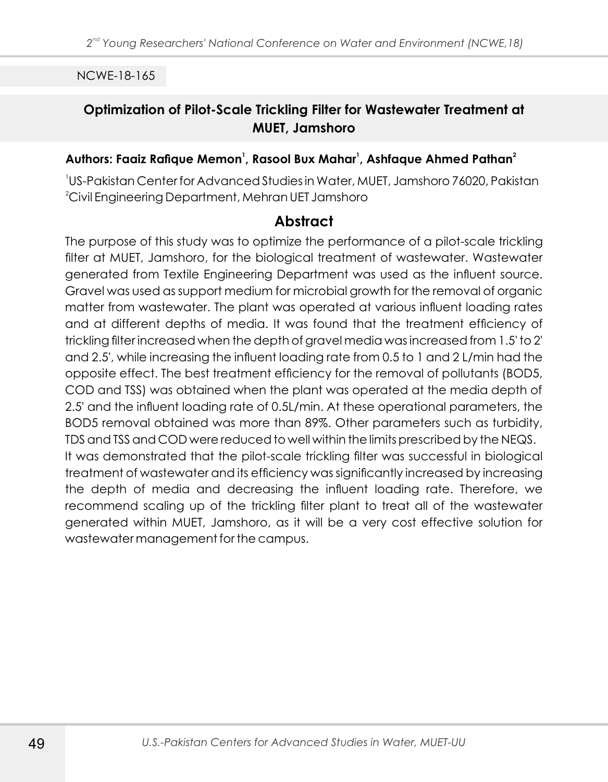# **Optimization of Pilot-Scale Trickling Filter for Wastewater Treatment at MUET, Jamshoro**

### **<sup>1</sup> <sup>1</sup> <sup>2</sup> Authors: Faaiz Rafique Memon , Rasool Bux Mahar , Ashfaque Ahmed Pathan**

1 US-Pakistan Center for Advanced Studies in Water, MUET, Jamshoro 76020, Pakistan <sup>2</sup>Civil Engineering Department, Mehran UET Jamshoro

# **Abstract**

The purpose of this study was to optimize the performance of a pilot-scale trickling filter at MUET, Jamshoro, for the biological treatment of wastewater. Wastewater generated from Textile Engineering Department was used as the influent source. Gravel was used as support medium for microbial growth for the removal of organic matter from wastewater. The plant was operated at various influent loading rates and at different depths of media. It was found that the treatment efficiency of trickling filter increased when the depth of gravel media was increased from 1.5' to 2' and 2.5', while increasing the influent loading rate from 0.5 to 1 and 2 L/min had the opposite effect. The best treatment efficiency for the removal of pollutants (BOD5, COD and TSS) was obtained when the plant was operated at the media depth of 2.5' and the influent loading rate of 0.5L/min. At these operational parameters, the BOD5 removal obtained was more than 89%. Other parameters such as turbidity, TDS and TSS and COD were reduced to well within the limits prescribed by the NEQS. It was demonstrated that the pilot-scale trickling filter was successful in biological treatment of wastewater and its efficiency was significantly increased by increasing the depth of media and decreasing the influent loading rate. Therefore, we recommend scaling up of the trickling filter plant to treat all of the wastewater generated within MUET, Jamshoro, as it will be a very cost effective solution for wastewater management for the campus.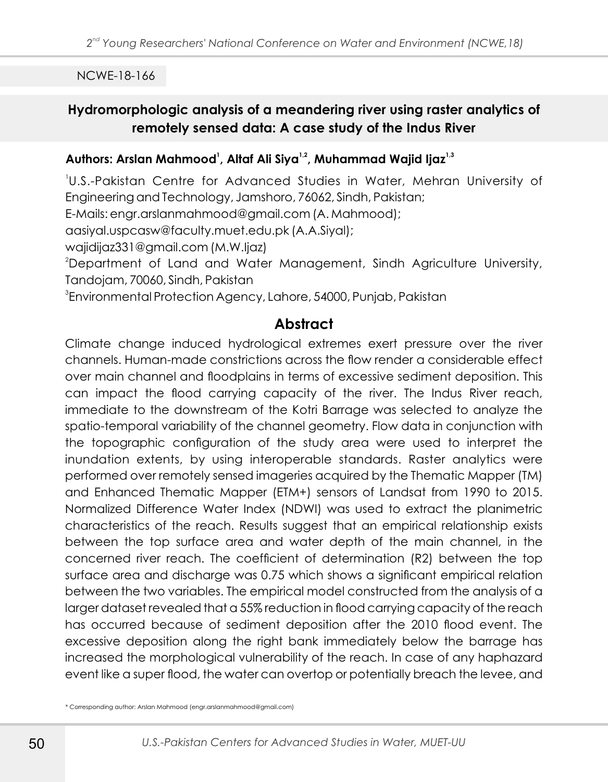# **Hydromorphologic analysis of a meandering river using raster analytics of remotely sensed data: A case study of the Indus River**

#### **<sup>1</sup> 1,2 1,3 Authors: Arslan Mahmood , Altaf Ali Siya , Muhammad Wajid Ijaz**

1 U.S.-Pakistan Centre for Advanced Studies in Water, Mehran University of Engineering and Technology, Jamshoro, 76062, Sindh, Pakistan;

E-Mails: engr.arslanmahmood@gmail.com (A. Mahmood);

aasiyal.uspcasw@faculty.muet.edu.pk (A.A.Siyal);

wajidijaz331@gmail.com (M.W.Ijaz)

<sup>2</sup>Department of Land and Water Management, Sindh Agriculture University, Tandojam, 70060, Sindh, Pakistan

 ${}^{3}$ Environmental Protection Agency, Lahore, 54000, Punjab, Pakistan

### **Abstract**

Climate change induced hydrological extremes exert pressure over the river channels. Human-made constrictions across the flow render a considerable effect over main channel and floodplains in terms of excessive sediment deposition. This can impact the flood carrying capacity of the river. The Indus River reach, immediate to the downstream of the Kotri Barrage was selected to analyze the spatio-temporal variability of the channel geometry. Flow data in conjunction with the topographic configuration of the study area were used to interpret the inundation extents, by using interoperable standards. Raster analytics were performed over remotely sensed imageries acquired by the Thematic Mapper (TM) and Enhanced Thematic Mapper (ETM+) sensors of Landsat from 1990 to 2015. Normalized Difference Water Index (NDWI) was used to extract the planimetric characteristics of the reach. Results suggest that an empirical relationship exists between the top surface area and water depth of the main channel, in the concerned river reach. The coefficient of determination (R2) between the top surface area and discharge was 0.75 which shows a significant empirical relation between the two variables. The empirical model constructed from the analysis of a larger dataset revealed that a 55% reduction in flood carrying capacity of the reach has occurred because of sediment deposition after the 2010 flood event. The excessive deposition along the right bank immediately below the barrage has increased the morphological vulnerability of the reach. In case of any haphazard event like a super flood, the water can overtop or potentially breach the levee, and

\* Corresponding author: Arslan Mahmood (engr.arslanmahmood@gmail.com)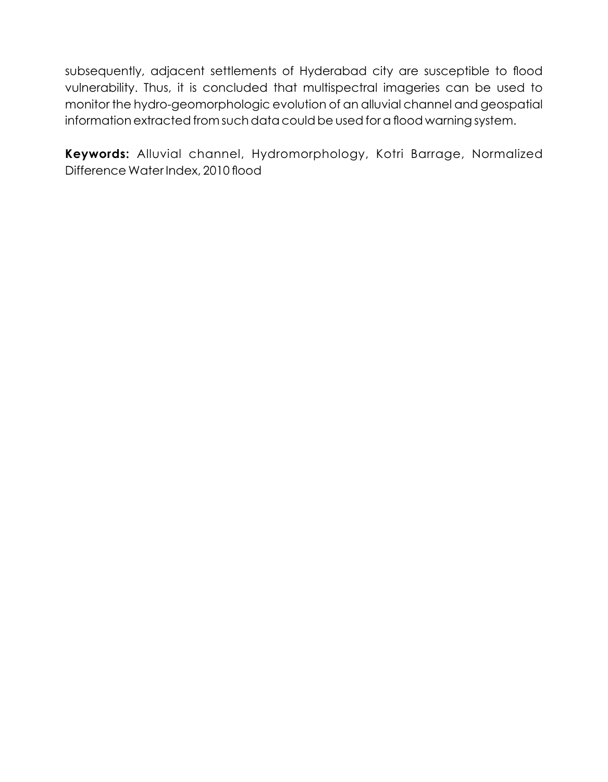subsequently, adjacent settlements of Hyderabad city are susceptible to flood vulnerability. Thus, it is concluded that multispectral imageries can be used to monitor the hydro-geomorphologic evolution of an alluvial channel and geospatial information extracted from such data could be used for a flood warning system.

**Keywords:** Alluvial channel, Hydromorphology, Kotri Barrage, Normalized Difference Water Index, 2010 flood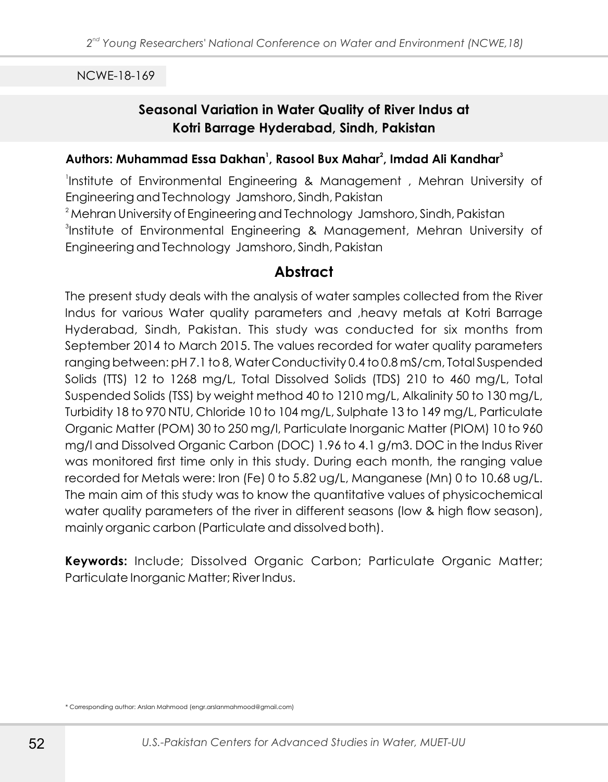# **Seasonal Variation in Water Quality of River Indus at Kotri Barrage Hyderabad, Sindh, Pakistan**

#### **<sup>1</sup> <sup>2</sup> <sup>3</sup> Authors: Muhammad Essa Dakhan , Rasool Bux Mahar , Imdad Ali Kandhar**

Institute of Environmental Engineering & Management, Mehran University of Engineering and Technology Jamshoro, Sindh, Pakistan <sup>2</sup> Mehran University of Engineering and Technology Jamshoro, Sindh, Pakistan 3 Institute of Environmental Engineering & Management, Mehran University of Engineering and Technology Jamshoro, Sindh, Pakistan

### **Abstract**

The present study deals with the analysis of water samples collected from the River Indus for various Water quality parameters and ,heavy metals at Kotri Barrage Hyderabad, Sindh, Pakistan. This study was conducted for six months from September 2014 to March 2015. The values recorded for water quality parameters ranging between: pH 7.1 to 8, Water Conductivity 0.4 to 0.8 mS/cm, Total Suspended Solids (TTS) 12 to 1268 mg/L, Total Dissolved Solids (TDS) 210 to 460 mg/L, Total Suspended Solids (TSS) by weight method 40 to 1210 mg/L, Alkalinity 50 to 130 mg/L, Turbidity 18 to 970 NTU, Chloride 10 to 104 mg/L, Sulphate 13 to 149 mg/L, Particulate Organic Matter (POM) 30 to 250 mg/l, Particulate Inorganic Matter (PIOM) 10 to 960 mg/l and Dissolved Organic Carbon (DOC) 1.96 to 4.1 g/m3. DOC in the Indus River was monitored first time only in this study. During each month, the ranging value recorded for Metals were: Iron (Fe) 0 to 5.82 ug/L, Manganese (Mn) 0 to 10.68 ug/L. The main aim of this study was to know the quantitative values of physicochemical water quality parameters of the river in different seasons (low & high flow season), mainly organic carbon (Particulate and dissolved both).

**Keywords:** Include; Dissolved Organic Carbon; Particulate Organic Matter; Particulate Inorganic Matter; River Indus.

<sup>\*</sup> Corresponding author: Arslan Mahmood (engr.arslanmahmood@gmail.com)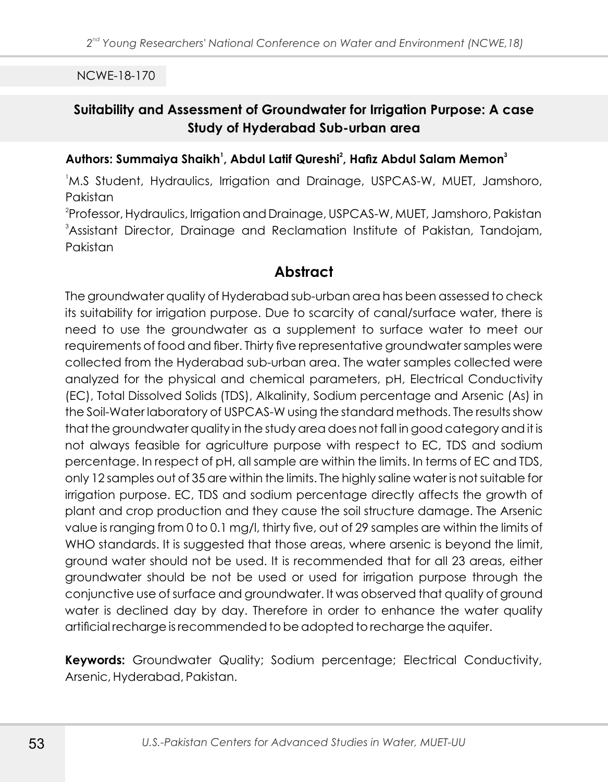# **Suitability and Assessment of Groundwater for Irrigation Purpose: A case Study of Hyderabad Sub-urban area**

#### **<sup>1</sup> <sup>2</sup> <sup>3</sup> Authors: Summaiya Shaikh , Abdul Latif Qureshi , Hafiz Abdul Salam Memon**

<sup>1</sup>M.S Student, Hydraulics, Irrigation and Drainage, USPCAS-W, MUET, Jamshoro, Pakistan

2 Professor, Hydraulics, Irrigation and Drainage, USPCAS-W, MUET, Jamshoro, Pakistan <sup>3</sup>Assistant Director, Drainage and Reclamation Institute of Pakistan, Tandojam, Pakistan

## **Abstract**

The groundwater quality of Hyderabad sub-urban area has been assessed to check its suitability for irrigation purpose. Due to scarcity of canal/surface water, there is need to use the groundwater as a supplement to surface water to meet our requirements of food and fiber. Thirty five representative groundwater samples were collected from the Hyderabad sub-urban area. The water samples collected were analyzed for the physical and chemical parameters, pH, Electrical Conductivity (EC), Total Dissolved Solids (TDS), Alkalinity, Sodium percentage and Arsenic (As) in the Soil-Water laboratory of USPCAS-W using the standard methods. The results show that the groundwater quality in the study area does not fall in good category and it is not always feasible for agriculture purpose with respect to EC, TDS and sodium percentage. In respect of pH, all sample are within the limits. In terms of EC and TDS, only 12 samples out of 35 are within the limits. The highly saline water is not suitable for irrigation purpose. EC, TDS and sodium percentage directly affects the growth of plant and crop production and they cause the soil structure damage. The Arsenic value is ranging from 0 to 0.1 mg/l, thirty five, out of 29 samples are within the limits of WHO standards. It is suggested that those areas, where arsenic is beyond the limit, ground water should not be used. It is recommended that for all 23 areas, either groundwater should be not be used or used for irrigation purpose through the conjunctive use of surface and groundwater. It was observed that quality of ground water is declined day by day. Therefore in order to enhance the water quality artificial recharge is recommended to be adopted to recharge the aquifer.

**Keywords:** Groundwater Quality; Sodium percentage; Electrical Conductivity, Arsenic, Hyderabad, Pakistan.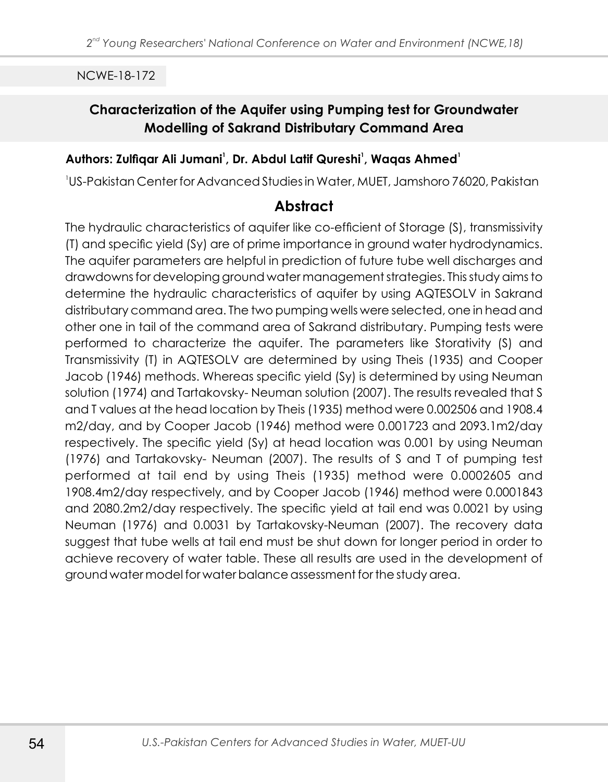# **Characterization of the Aquifer using Pumping test for Groundwater Modelling of Sakrand Distributary Command Area**

### **<sup>1</sup> <sup>1</sup> <sup>1</sup> Authors: Zulfiqar Ali Jumani , Dr. Abdul Latif Qureshi , Waqas Ahmed**

1 US-Pakistan Center for Advanced Studies in Water, MUET, Jamshoro 76020, Pakistan

# **Abstract**

The hydraulic characteristics of aquifer like co-efficient of Storage (S), transmissivity (T) and specific yield (Sy) are of prime importance in ground water hydrodynamics. The aquifer parameters are helpful in prediction of future tube well discharges and drawdowns for developing ground water management strategies. This study aims to determine the hydraulic characteristics of aquifer by using AQTESOLV in Sakrand distributary command area. The two pumping wells were selected, one in head and other one in tail of the command area of Sakrand distributary. Pumping tests were performed to characterize the aquifer. The parameters like Storativity (S) and Transmissivity (T) in AQTESOLV are determined by using Theis (1935) and Cooper Jacob (1946) methods. Whereas specific yield (Sy) is determined by using Neuman solution (1974) and Tartakovsky- Neuman solution (2007). The results revealed that S and T values at the head location by Theis (1935) method were 0.002506 and 1908.4 m2/day, and by Cooper Jacob (1946) method were 0.001723 and 2093.1m2/day respectively. The specific yield (Sy) at head location was 0.001 by using Neuman (1976) and Tartakovsky- Neuman (2007). The results of S and T of pumping test performed at tail end by using Theis (1935) method were 0.0002605 and 1908.4m2/day respectively, and by Cooper Jacob (1946) method were 0.0001843 and 2080.2m2/day respectively. The specific yield at tail end was 0.0021 by using Neuman (1976) and 0.0031 by Tartakovsky-Neuman (2007). The recovery data suggest that tube wells at tail end must be shut down for longer period in order to achieve recovery of water table. These all results are used in the development of ground water model for water balance assessment for the study area.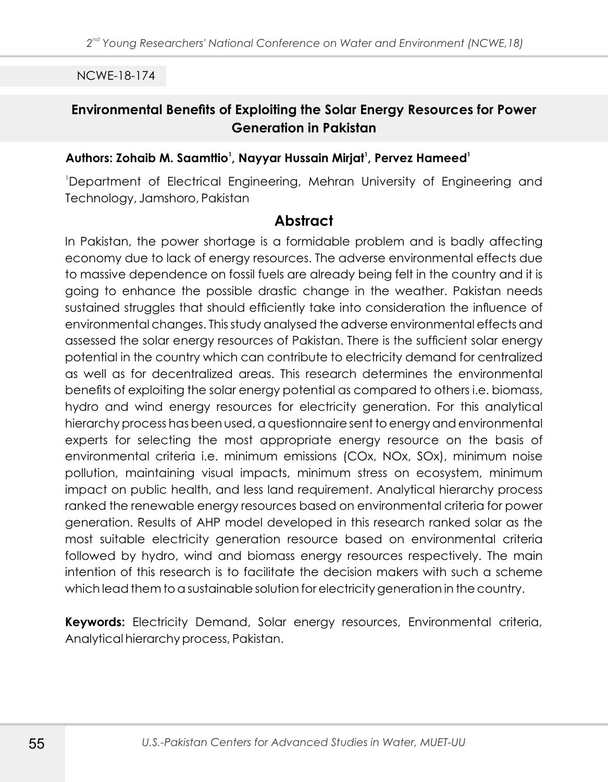# **Environmental Benefits of Exploiting the Solar Energy Resources for Power Generation in Pakistan**

### **<sup>1</sup> <sup>1</sup> <sup>1</sup> Authors: Zohaib M. Saamttio , Nayyar Hussain Mirjat , Pervez Hameed**

<sup>1</sup>Department of Electrical Engineering, Mehran University of Engineering and Technology, Jamshoro, Pakistan

### **Abstract**

In Pakistan, the power shortage is a formidable problem and is badly affecting economy due to lack of energy resources. The adverse environmental effects due to massive dependence on fossil fuels are already being felt in the country and it is going to enhance the possible drastic change in the weather. Pakistan needs sustained struggles that should efficiently take into consideration the influence of environmental changes. This study analysed the adverse environmental effects and assessed the solar energy resources of Pakistan. There is the sufficient solar energy potential in the country which can contribute to electricity demand for centralized as well as for decentralized areas. This research determines the environmental benefits of exploiting the solar energy potential as compared to others i.e. biomass, hydro and wind energy resources for electricity generation. For this analytical hierarchy process has been used, a questionnaire sent to energy and environmental experts for selecting the most appropriate energy resource on the basis of environmental criteria i.e. minimum emissions (COx, NOx, SOx), minimum noise pollution, maintaining visual impacts, minimum stress on ecosystem, minimum impact on public health, and less land requirement. Analytical hierarchy process ranked the renewable energy resources based on environmental criteria for power generation. Results of AHP model developed in this research ranked solar as the most suitable electricity generation resource based on environmental criteria followed by hydro, wind and biomass energy resources respectively. The main intention of this research is to facilitate the decision makers with such a scheme which lead them to a sustainable solution for electricity generation in the country.

**Keywords:** Electricity Demand, Solar energy resources, Environmental criteria, Analytical hierarchy process, Pakistan.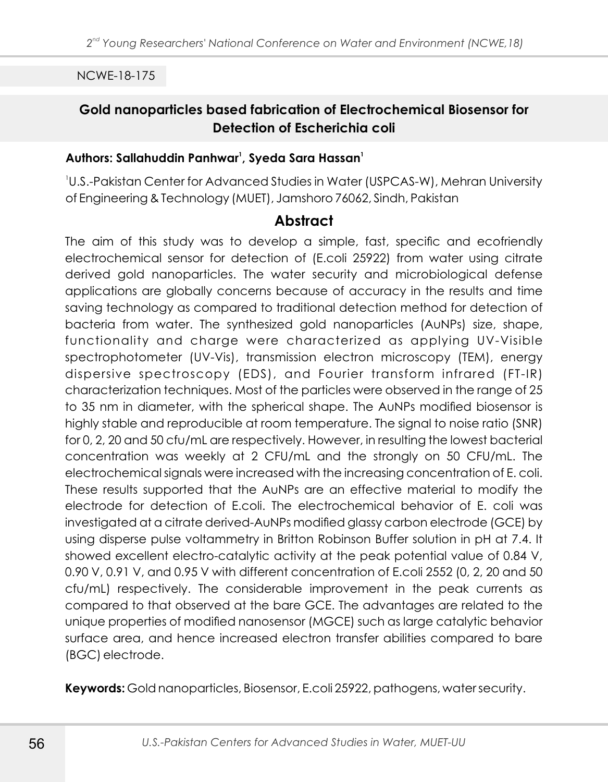# **Gold nanoparticles based fabrication of Electrochemical Biosensor for Detection of Escherichia coli**

### **<sup>1</sup> <sup>1</sup> Authors: Sallahuddin Panhwar , Syeda Sara Hassan**

1 U.S.-Pakistan Center for Advanced Studies in Water (USPCAS-W), Mehran University of Engineering & Technology (MUET), Jamshoro 76062, Sindh, Pakistan

# **Abstract**

The aim of this study was to develop a simple, fast, specific and ecofriendly electrochemical sensor for detection of (E.coli 25922) from water using citrate derived gold nanoparticles. The water security and microbiological defense applications are globally concerns because of accuracy in the results and time saving technology as compared to traditional detection method for detection of bacteria from water. The synthesized gold nanoparticles (AuNPs) size, shape, functionality and charge were characterized as applying UV-Visible spectrophotometer (UV-Vis), transmission electron microscopy (TEM), energy dispersive spectroscopy (EDS), and Fourier transform infrared (FT-IR) characterization techniques. Most of the particles were observed in the range of 25 to 35 nm in diameter, with the spherical shape. The AuNPs modified biosensor is highly stable and reproducible at room temperature. The signal to noise ratio (SNR) for 0, 2, 20 and 50 cfu/mL are respectively. However, in resulting the lowest bacterial concentration was weekly at 2 CFU/mL and the strongly on 50 CFU/mL. The electrochemical signals were increased with the increasing concentration of E. coli. These results supported that the AuNPs are an effective material to modify the electrode for detection of E.coli. The electrochemical behavior of E. coli was investigated at a citrate derived-AuNPs modified glassy carbon electrode (GCE) by using disperse pulse voltammetry in Britton Robinson Buffer solution in pH at 7.4. It showed excellent electro-catalytic activity at the peak potential value of 0.84 V, 0.90 V, 0.91 V, and 0.95 V with different concentration of E.coli 2552 (0, 2, 20 and 50 cfu/mL) respectively. The considerable improvement in the peak currents as compared to that observed at the bare GCE. The advantages are related to the unique properties of modified nanosensor (MGCE) such as large catalytic behavior surface area, and hence increased electron transfer abilities compared to bare (BGC) electrode.

**Keywords:** Gold nanoparticles, Biosensor, E.coli 25922, pathogens, water security.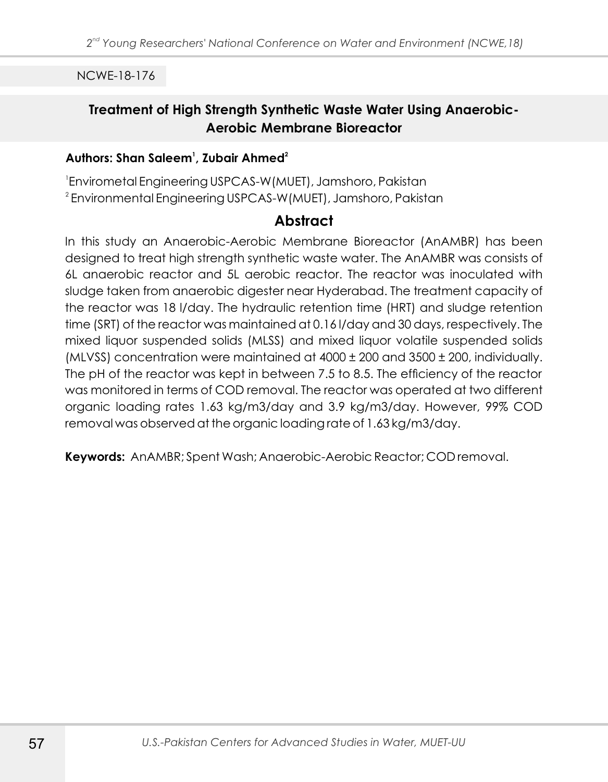# **Treatment of High Strength Synthetic Waste Water Using Anaerobic-Aerobic Membrane Bioreactor**

### **<sup>1</sup> <sup>2</sup> Authors: Shan Saleem , Zubair Ahmed**

1 Envirometal Engineering USPCAS-W(MUET), Jamshoro, Pakistan  $^{\rm 2}$ Environmental Engineering USPCAS-W (MUET), Jamshoro, Pakistan

## **Abstract**

In this study an Anaerobic-Aerobic Membrane Bioreactor (AnAMBR) has been designed to treat high strength synthetic waste water. The AnAMBR was consists of 6L anaerobic reactor and 5L aerobic reactor. The reactor was inoculated with sludge taken from anaerobic digester near Hyderabad. The treatment capacity of the reactor was 18 l/day. The hydraulic retention time (HRT) and sludge retention time (SRT) of the reactor was maintained at 0.16 l/day and 30 days, respectively. The mixed liquor suspended solids (MLSS) and mixed liquor volatile suspended solids (MLVSS) concentration were maintained at 4000 ± 200 and 3500 ± 200, individually. The pH of the reactor was kept in between 7.5 to 8.5. The efficiency of the reactor was monitored in terms of COD removal. The reactor was operated at two different organic loading rates 1.63 kg/m3/day and 3.9 kg/m3/day. However, 99% COD removal was observed at the organic loading rate of 1.63 kg/m3/day.

**Keywords:** AnAMBR; Spent Wash; Anaerobic-Aerobic Reactor; COD removal.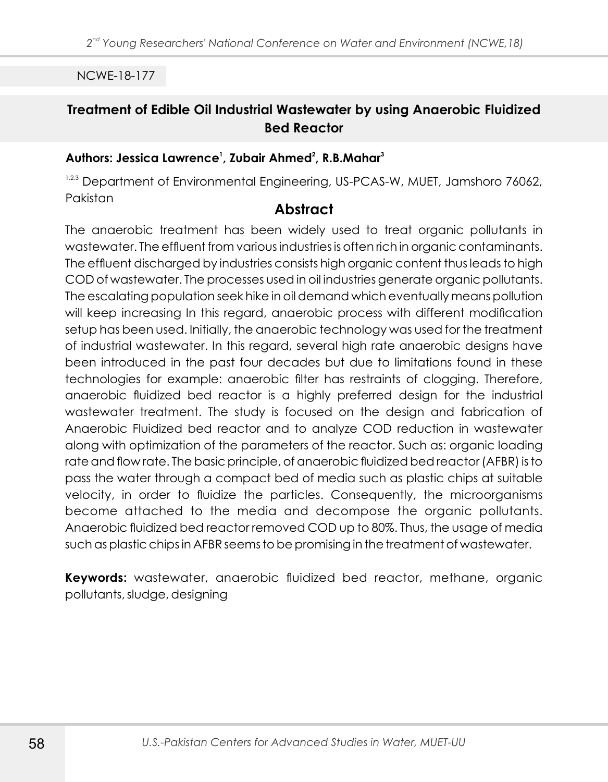# **Treatment of Edible Oil Industrial Wastewater by using Anaerobic Fluidized Bed Reactor**

### **<sup>1</sup> <sup>2</sup> <sup>3</sup> Authors: Jessica Lawrence , Zubair Ahmed , R.B.Mahar**

1,2,3 Department of Environmental Engineering, US-PCAS-W, MUET, Jamshoro 76062, Pakistan

## **Abstract**

The anaerobic treatment has been widely used to treat organic pollutants in wastewater. The effluent from various industries is often rich in organic contaminants. The effluent discharged by industries consists high organic content thus leads to high COD of wastewater. The processes used in oil industries generate organic pollutants. The escalating population seek hike in oil demand which eventually means pollution will keep increasing In this regard, anaerobic process with different modification setup has been used. Initially, the anaerobic technology was used for the treatment of industrial wastewater. In this regard, several high rate anaerobic designs have been introduced in the past four decades but due to limitations found in these technologies for example: anaerobic filter has restraints of clogging. Therefore, anaerobic fluidized bed reactor is a highly preferred design for the industrial wastewater treatment. The study is focused on the design and fabrication of Anaerobic Fluidized bed reactor and to analyze COD reduction in wastewater along with optimization of the parameters of the reactor. Such as: organic loading rate and flow rate. The basic principle, of anaerobic fluidized bed reactor (AFBR) is to pass the water through a compact bed of media such as plastic chips at suitable velocity, in order to fluidize the particles. Consequently, the microorganisms become attached to the media and decompose the organic pollutants. Anaerobic fluidized bed reactor removed COD up to 80%. Thus, the usage of media such as plastic chips in AFBR seems to be promising in the treatment of wastewater.

**Keywords:** wastewater, anaerobic fluidized bed reactor, methane, organic pollutants, sludge, designing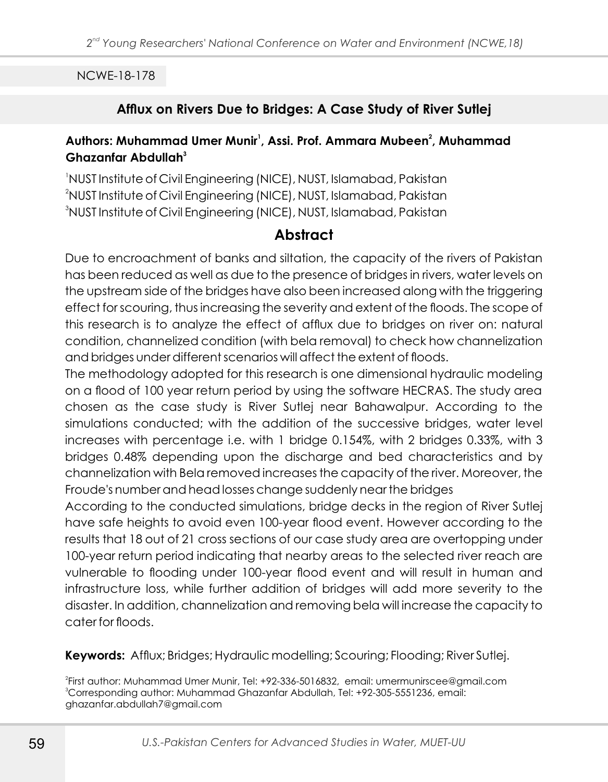## **Afflux on Rivers Due to Bridges: A Case Study of River Sutlej**

### **<sup>1</sup> <sup>2</sup> Authors: Muhammad Umer Munir , Assi. Prof. Ammara Mubeen , Muhammad <sup>3</sup> Ghazanfar Abdullah**

<sup>1</sup>NUST Institute of Civil Engineering (NICE), NUST, Islamabad, Pakistan <sup>2</sup>NUST Institute of Civil Engineering (NICE), NUST, Islamabad, Pakistan <sup>3</sup>NUST Institute of Civil Engineering (NICE), NUST, Islamabad, Pakistan

# **Abstract**

Due to encroachment of banks and siltation, the capacity of the rivers of Pakistan has been reduced as well as due to the presence of bridges in rivers, water levels on the upstream side of the bridges have also been increased along with the triggering effect for scouring, thus increasing the severity and extent of the floods. The scope of this research is to analyze the effect of afflux due to bridges on river on: natural condition, channelized condition (with bela removal) to check how channelization and bridges under different scenarios will affect the extent of floods.

The methodology adopted for this research is one dimensional hydraulic modeling on a flood of 100 year return period by using the software HECRAS. The study area chosen as the case study is River Sutlej near Bahawalpur. According to the simulations conducted; with the addition of the successive bridges, water level increases with percentage i.e. with 1 bridge 0.154%, with 2 bridges 0.33%, with 3 bridges 0.48% depending upon the discharge and bed characteristics and by channelization with Bela removed increases the capacity of the river. Moreover, the Froude's number and head losses change suddenly near the bridges

According to the conducted simulations, bridge decks in the region of River Sutlej have safe heights to avoid even 100-year flood event. However according to the results that 18 out of 21 cross sections of our case study area are overtopping under 100-year return period indicating that nearby areas to the selected river reach are vulnerable to flooding under 100-year flood event and will result in human and infrastructure loss, while further addition of bridges will add more severity to the disaster. In addition, channelization and removing bela will increase the capacity to cater for floods.

**Keywords:** Afflux; Bridges; Hydraulic modelling; Scouring; Flooding; River Sutlej.

2 First author: Muhammad Umer Munir, Tel: +92-336-5016832, email: umermunirscee@gmail.com <sup>3</sup>Corresponding author: Muhammad Ghazanfar Abdullah, Tel: +92-305-5551236, email: ghazanfar.abdullah7@gmail.com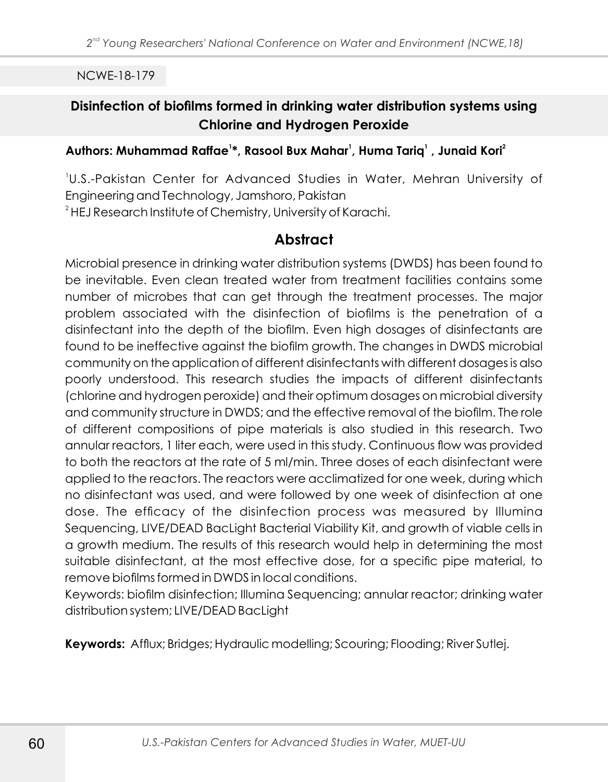## **Disinfection of biofilms formed in drinking water distribution systems using Chlorine and Hydrogen Peroxide**

### **<sup>1</sup> <sup>1</sup> <sup>1</sup> <sup>2</sup> Authors: Muhammad Raffae \*, Rasool Bux Mahar , Huma Tariq , Junaid Kori**

1 U.S.-Pakistan Center for Advanced Studies in Water, Mehran University of Engineering and Technology, Jamshoro, Pakistan

<sup>2</sup> HEJ Research Institute of Chemistry, University of Karachi.

# **Abstract**

Microbial presence in drinking water distribution systems (DWDS) has been found to be inevitable. Even clean treated water from treatment facilities contains some number of microbes that can get through the treatment processes. The major problem associated with the disinfection of biofilms is the penetration of a disinfectant into the depth of the biofilm. Even high dosages of disinfectants are found to be ineffective against the biofilm growth. The changes in DWDS microbial community on the application of different disinfectants with different dosages is also poorly understood. This research studies the impacts of different disinfectants (chlorine and hydrogen peroxide) and their optimum dosages on microbial diversity and community structure in DWDS; and the effective removal of the biofilm. The role of different compositions of pipe materials is also studied in this research. Two annular reactors, 1 liter each, were used in this study. Continuous flow was provided to both the reactors at the rate of 5 ml/min. Three doses of each disinfectant were applied to the reactors. The reactors were acclimatized for one week, during which no disinfectant was used, and were followed by one week of disinfection at one dose. The efficacy of the disinfection process was measured by Illumina Sequencing, LIVE/DEAD BacLight Bacterial Viability Kit, and growth of viable cells in a growth medium. The results of this research would help in determining the most suitable disinfectant, at the most effective dose, for a specific pipe material, to remove biofilms formed in DWDS in local conditions.

Keywords: biofilm disinfection; Illumina Sequencing; annular reactor; drinking water distribution system; LIVE/DEAD BacLight

**Keywords:** Afflux; Bridges; Hydraulic modelling; Scouring; Flooding; River Sutlej.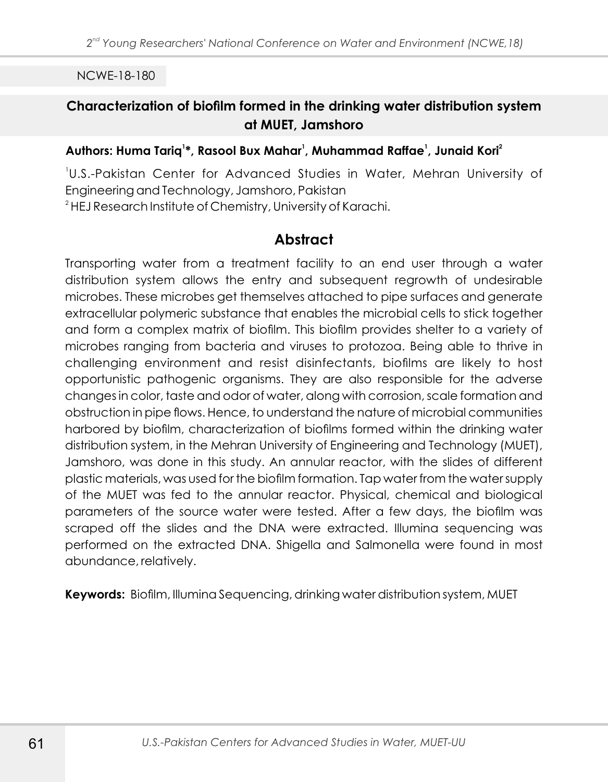## **Characterization of biofilm formed in the drinking water distribution system at MUET, Jamshoro**

#### **<sup>1</sup> <sup>1</sup> <sup>1</sup> <sup>2</sup> Authors: Huma Tariq \*, Rasool Bux Mahar , Muhammad Raffae , Junaid Kori**

1 U.S.-Pakistan Center for Advanced Studies in Water, Mehran University of Engineering and Technology, Jamshoro, Pakistan

<sup>2</sup> HEJ Research Institute of Chemistry, University of Karachi.

# **Abstract**

Transporting water from a treatment facility to an end user through a water distribution system allows the entry and subsequent regrowth of undesirable microbes. These microbes get themselves attached to pipe surfaces and generate extracellular polymeric substance that enables the microbial cells to stick together and form a complex matrix of biofilm. This biofilm provides shelter to a variety of microbes ranging from bacteria and viruses to protozoa. Being able to thrive in challenging environment and resist disinfectants, biofilms are likely to host opportunistic pathogenic organisms. They are also responsible for the adverse changes in color, taste and odor of water, along with corrosion, scale formation and obstruction in pipe flows. Hence, to understand the nature of microbial communities harbored by biofilm, characterization of biofilms formed within the drinking water distribution system, in the Mehran University of Engineering and Technology (MUET), Jamshoro, was done in this study. An annular reactor, with the slides of different plastic materials, was used for the biofilm formation. Tap water from the water supply of the MUET was fed to the annular reactor. Physical, chemical and biological parameters of the source water were tested. After a few days, the biofilm was scraped off the slides and the DNA were extracted. Illumina sequencing was performed on the extracted DNA. Shigella and Salmonella were found in most abundance, relatively.

**Keywords:** Biofilm, Illumina Sequencing, drinking water distribution system, MUET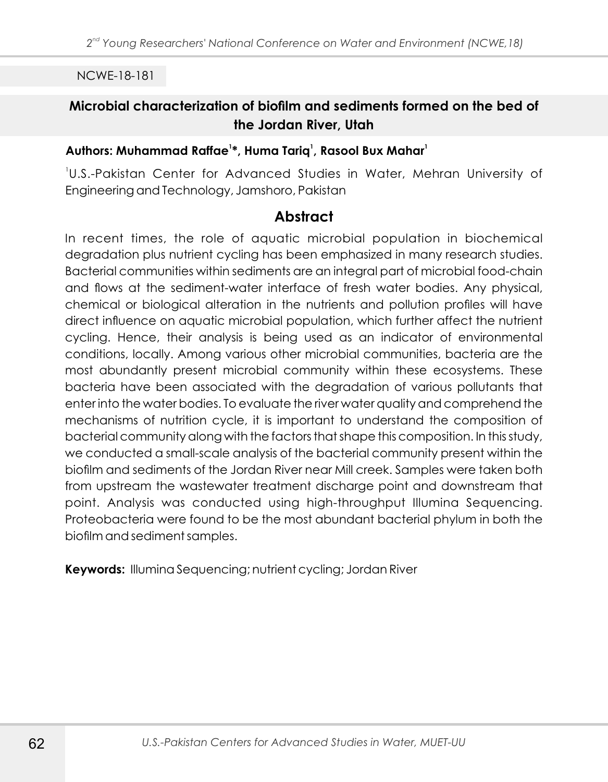# **Microbial characterization of biofilm and sediments formed on the bed of the Jordan River, Utah**

### **<sup>1</sup> <sup>1</sup> <sup>1</sup> Authors: Muhammad Raffae \*, Huma Tariq , Rasool Bux Mahar**

1 U.S.-Pakistan Center for Advanced Studies in Water, Mehran University of Engineering and Technology, Jamshoro, Pakistan

# **Abstract**

In recent times, the role of aquatic microbial population in biochemical degradation plus nutrient cycling has been emphasized in many research studies. Bacterial communities within sediments are an integral part of microbial food-chain and flows at the sediment-water interface of fresh water bodies. Any physical, chemical or biological alteration in the nutrients and pollution profiles will have direct influence on aquatic microbial population, which further affect the nutrient cycling. Hence, their analysis is being used as an indicator of environmental conditions, locally. Among various other microbial communities, bacteria are the most abundantly present microbial community within these ecosystems. These bacteria have been associated with the degradation of various pollutants that enter into the water bodies. To evaluate the river water quality and comprehend the mechanisms of nutrition cycle, it is important to understand the composition of bacterial community along with the factors that shape this composition. In this study, we conducted a small-scale analysis of the bacterial community present within the biofilm and sediments of the Jordan River near Mill creek. Samples were taken both from upstream the wastewater treatment discharge point and downstream that point. Analysis was conducted using high-throughput Illumina Sequencing. Proteobacteria were found to be the most abundant bacterial phylum in both the biofilm and sediment samples.

**Keywords:** Illumina Sequencing; nutrient cycling; Jordan River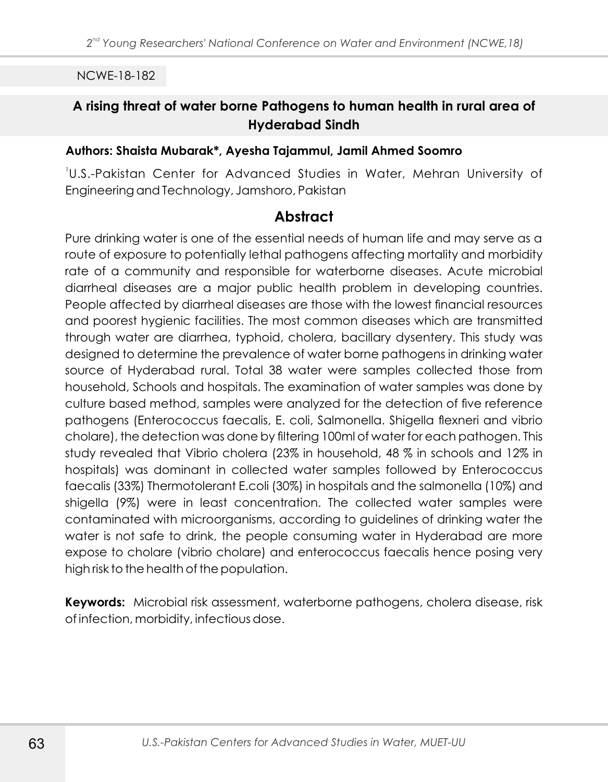## **A rising threat of water borne Pathogens to human health in rural area of Hyderabad Sindh**

#### **Authors: Shaista Mubarak\*, Ayesha Tajammul, Jamil Ahmed Soomro**

1 U.S.-Pakistan Center for Advanced Studies in Water, Mehran University of Engineering and Technology, Jamshoro, Pakistan

## **Abstract**

Pure drinking water is one of the essential needs of human life and may serve as a route of exposure to potentially lethal pathogens affecting mortality and morbidity rate of a community and responsible for waterborne diseases. Acute microbial diarrheal diseases are a major public health problem in developing countries. People affected by diarrheal diseases are those with the lowest financial resources and poorest hygienic facilities. The most common diseases which are transmitted through water are diarrhea, typhoid, cholera, bacillary dysentery. This study was designed to determine the prevalence of water borne pathogens in drinking water source of Hyderabad rural. Total 38 water were samples collected those from household, Schools and hospitals. The examination of water samples was done by culture based method, samples were analyzed for the detection of five reference pathogens (Enterococcus faecalis, E. coli, Salmonella. Shigella flexneri and vibrio cholare), the detection was done by filtering 100ml of water for each pathogen. This study revealed that Vibrio cholera (23% in household, 48 % in schools and 12% in hospitals) was dominant in collected water samples followed by Enterococcus faecalis (33%) Thermotolerant E.coli (30%) in hospitals and the salmonella (10%) and shigella (9%) were in least concentration. The collected water samples were contaminated with microorganisms, according to guidelines of drinking water the water is not safe to drink, the people consuming water in Hyderabad are more expose to cholare (vibrio cholare) and enterococcus faecalis hence posing very high risk to the health of the population.

**Keywords:** Microbial risk assessment, waterborne pathogens, cholera disease, risk of infection, morbidity, infectious dose.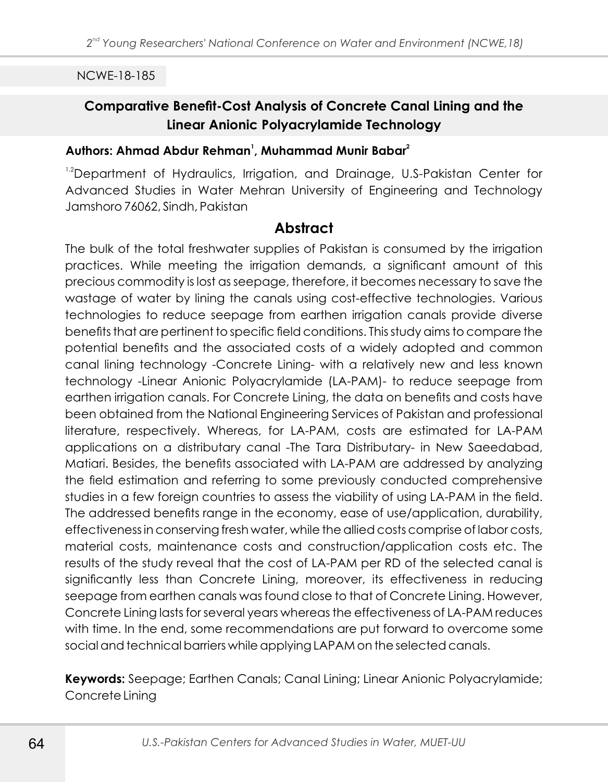## **Comparative Benefit-Cost Analysis of Concrete Canal Lining and the Linear Anionic Polyacrylamide Technology**

#### **<sup>1</sup> <sup>2</sup>Authors: Ahmad Abdur Rehman , Muhammad Munir Babar**

<sup>1,2</sup>Department of Hydraulics, Irrigation, and Drainage, U.S-Pakistan Center for Advanced Studies in Water Mehran University of Engineering and Technology Jamshoro 76062, Sindh, Pakistan

### **Abstract**

The bulk of the total freshwater supplies of Pakistan is consumed by the irrigation practices. While meeting the irrigation demands, a significant amount of this precious commodity is lost as seepage, therefore, it becomes necessary to save the wastage of water by lining the canals using cost-effective technologies. Various technologies to reduce seepage from earthen irrigation canals provide diverse benefits that are pertinent to specific field conditions. This study aims to compare the potential benefits and the associated costs of a widely adopted and common canal lining technology -Concrete Lining- with a relatively new and less known technology -Linear Anionic Polyacrylamide (LA-PAM)- to reduce seepage from earthen irrigation canals. For Concrete Lining, the data on benefits and costs have been obtained from the National Engineering Services of Pakistan and professional literature, respectively. Whereas, for LA-PAM, costs are estimated for LA-PAM applications on a distributary canal -The Tara Distributary- in New Saeedabad, Matiari. Besides, the benefits associated with LA-PAM are addressed by analyzing the field estimation and referring to some previously conducted comprehensive studies in a few foreign countries to assess the viability of using LA-PAM in the field. The addressed benefits range in the economy, ease of use/application, durability, effectiveness in conserving fresh water, while the allied costs comprise of labor costs, material costs, maintenance costs and construction/application costs etc. The results of the study reveal that the cost of LA-PAM per RD of the selected canal is significantly less than Concrete Lining, moreover, its effectiveness in reducing seepage from earthen canals was found close to that of Concrete Lining. However, Concrete Lining lasts for several years whereas the effectiveness of LA-PAM reduces with time. In the end, some recommendations are put forward to overcome some social and technical barriers while applying LAPAM on the selected canals.

**Keywords:** Seepage; Earthen Canals; Canal Lining; Linear Anionic Polyacrylamide; Concrete Lining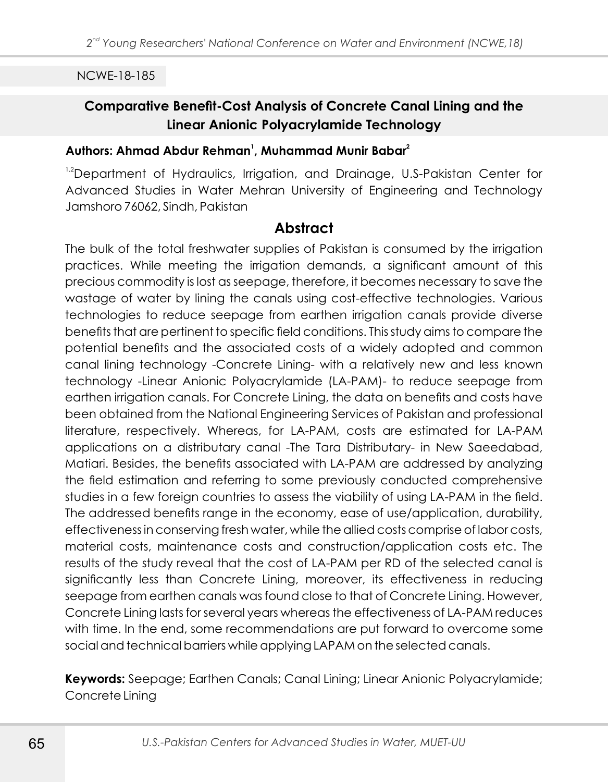## **Comparative Benefit-Cost Analysis of Concrete Canal Lining and the Linear Anionic Polyacrylamide Technology**

#### **<sup>1</sup> <sup>2</sup>Authors: Ahmad Abdur Rehman , Muhammad Munir Babar**

<sup>1,2</sup>Department of Hydraulics, Irrigation, and Drainage, U.S-Pakistan Center for Advanced Studies in Water Mehran University of Engineering and Technology Jamshoro 76062, Sindh, Pakistan

### **Abstract**

The bulk of the total freshwater supplies of Pakistan is consumed by the irrigation practices. While meeting the irrigation demands, a significant amount of this precious commodity is lost as seepage, therefore, it becomes necessary to save the wastage of water by lining the canals using cost-effective technologies. Various technologies to reduce seepage from earthen irrigation canals provide diverse benefits that are pertinent to specific field conditions. This study aims to compare the potential benefits and the associated costs of a widely adopted and common canal lining technology -Concrete Lining- with a relatively new and less known technology -Linear Anionic Polyacrylamide (LA-PAM)- to reduce seepage from earthen irrigation canals. For Concrete Lining, the data on benefits and costs have been obtained from the National Engineering Services of Pakistan and professional literature, respectively. Whereas, for LA-PAM, costs are estimated for LA-PAM applications on a distributary canal -The Tara Distributary- in New Saeedabad, Matiari. Besides, the benefits associated with LA-PAM are addressed by analyzing the field estimation and referring to some previously conducted comprehensive studies in a few foreign countries to assess the viability of using LA-PAM in the field. The addressed benefits range in the economy, ease of use/application, durability, effectiveness in conserving fresh water, while the allied costs comprise of labor costs, material costs, maintenance costs and construction/application costs etc. The results of the study reveal that the cost of LA-PAM per RD of the selected canal is significantly less than Concrete Lining, moreover, its effectiveness in reducing seepage from earthen canals was found close to that of Concrete Lining. However, Concrete Lining lasts for several years whereas the effectiveness of LA-PAM reduces with time. In the end, some recommendations are put forward to overcome some social and technical barriers while applying LAPAM on the selected canals.

**Keywords:** Seepage; Earthen Canals; Canal Lining; Linear Anionic Polyacrylamide; Concrete Lining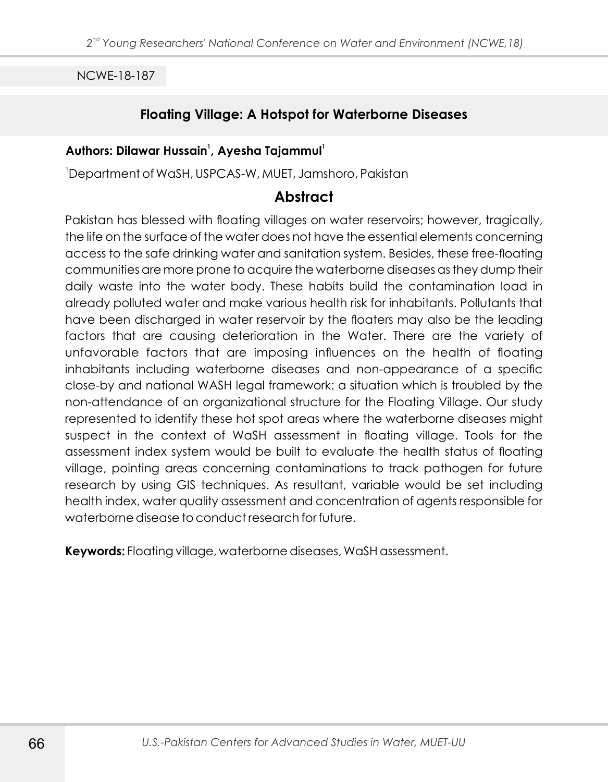### **Floating Village: A Hotspot for Waterborne Diseases**

#### **<sup>1</sup> <sup>1</sup> Authors: Dilawar Hussain , Ayesha Tajammul**

<sup>1</sup>Department of WaSH, USPCAS-W, MUET, Jamshoro, Pakistan

### **Abstract**

Pakistan has blessed with floating villages on water reservoirs; however, tragically, the life on the surface of the water does not have the essential elements concerning access to the safe drinking water and sanitation system. Besides, these free-floating communities are more prone to acquire the waterborne diseases as they dump their daily waste into the water body. These habits build the contamination load in already polluted water and make various health risk for inhabitants. Pollutants that have been discharged in water reservoir by the floaters may also be the leading factors that are causing deterioration in the Water. There are the variety of unfavorable factors that are imposing influences on the health of floating inhabitants including waterborne diseases and non-appearance of a specific close-by and national WASH legal framework; a situation which is troubled by the non-attendance of an organizational structure for the Floating Village. Our study represented to identify these hot spot areas where the waterborne diseases might suspect in the context of WaSH assessment in floating village. Tools for the assessment index system would be built to evaluate the health status of floating village, pointing areas concerning contaminations to track pathogen for future research by using GIS techniques. As resultant, variable would be set including health index, water quality assessment and concentration of agents responsible for waterborne disease to conduct research for future.

**Keywords:** Floating village, waterborne diseases, WaSH assessment.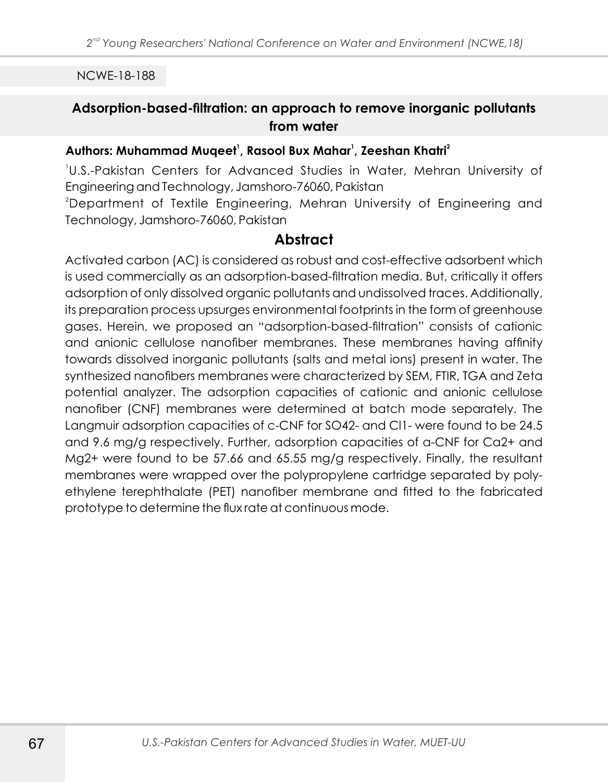# **Adsorption-based-filtration: an approach to remove inorganic pollutants from water**

#### **<sup>1</sup> <sup>1</sup> <sup>2</sup> Authors: Muhammad Muqeet , Rasool Bux Mahar , Zeeshan Khatri**

1 U.S.-Pakistan Centers for Advanced Studies in Water, Mehran University of Engineering and Technology, Jamshoro-76060, Pakistan <sup>2</sup>Department of Textile Engineering, Mehran University of Engineering and

Technology, Jamshoro-76060, Pakistan

# **Abstract**

Activated carbon (AC) is considered as robust and cost-effective adsorbent which is used commercially as an adsorption-based-filtration media. But, critically it offers adsorption of only dissolved organic pollutants and undissolved traces. Additionally, its preparation process upsurges environmental footprints in the form of greenhouse gases. Herein, we proposed an "adsorption-based-filtration" consists of cationic and anionic cellulose nanofiber membranes. These membranes having affinity towards dissolved inorganic pollutants (salts and metal ions) present in water. The synthesized nanofibers membranes were characterized by SEM, FTIR, TGA and Zeta potential analyzer. The adsorption capacities of cationic and anionic cellulose nanofiber (CNF) membranes were determined at batch mode separately. The Langmuir adsorption capacities of c-CNF for SO42- and Cl1- were found to be 24.5 and 9.6 mg/g respectively. Further, adsorption capacities of a-CNF for Ca2+ and Mg2+ were found to be 57.66 and 65.55 mg/g respectively. Finally, the resultant membranes were wrapped over the polypropylene cartridge separated by polyethylene terephthalate (PET) nanofiber membrane and fitted to the fabricated prototype to determine the flux rate at continuous mode.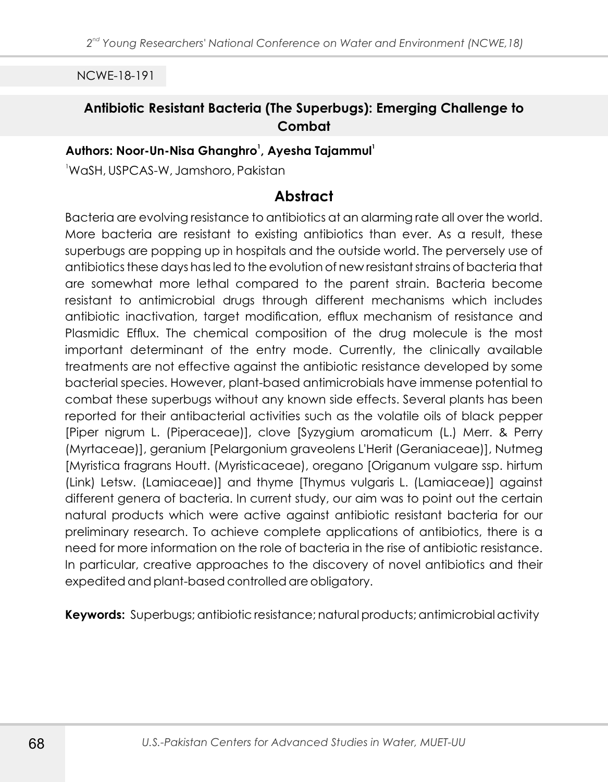# **Antibiotic Resistant Bacteria (The Superbugs): Emerging Challenge to Combat**

### **<sup>1</sup> <sup>1</sup> Authors: Noor-Un-Nisa Ghanghro , Ayesha Tajammul**

<sup>1</sup>WaSH, USPCAS-W, Jamshoro, Pakistan

### **Abstract**

Bacteria are evolving resistance to antibiotics at an alarming rate all over the world. More bacteria are resistant to existing antibiotics than ever. As a result, these superbugs are popping up in hospitals and the outside world. The perversely use of antibiotics these days has led to the evolution of new resistant strains of bacteria that are somewhat more lethal compared to the parent strain. Bacteria become resistant to antimicrobial drugs through different mechanisms which includes antibiotic inactivation, target modification, efflux mechanism of resistance and Plasmidic Efflux. The chemical composition of the drug molecule is the most important determinant of the entry mode. Currently, the clinically available treatments are not effective against the antibiotic resistance developed by some bacterial species. However, plant-based antimicrobials have immense potential to combat these superbugs without any known side effects. Several plants has been reported for their antibacterial activities such as the volatile oils of black pepper [Piper nigrum L. (Piperaceae)], clove [Syzygium aromaticum (L.) Merr. & Perry (Myrtaceae)], geranium [Pelargonium graveolens L'Herit (Geraniaceae)], Nutmeg [Myristica fragrans Houtt. (Myristicaceae), oregano [Origanum vulgare ssp. hirtum (Link) Letsw. (Lamiaceae)] and thyme [Thymus vulgaris L. (Lamiaceae)] against different genera of bacteria. In current study, our aim was to point out the certain natural products which were active against antibiotic resistant bacteria for our preliminary research. To achieve complete applications of antibiotics, there is a need for more information on the role of bacteria in the rise of antibiotic resistance. In particular, creative approaches to the discovery of novel antibiotics and their expedited and plant-based controlled are obligatory.

**Keywords:** Superbugs; antibiotic resistance; natural products; antimicrobial activity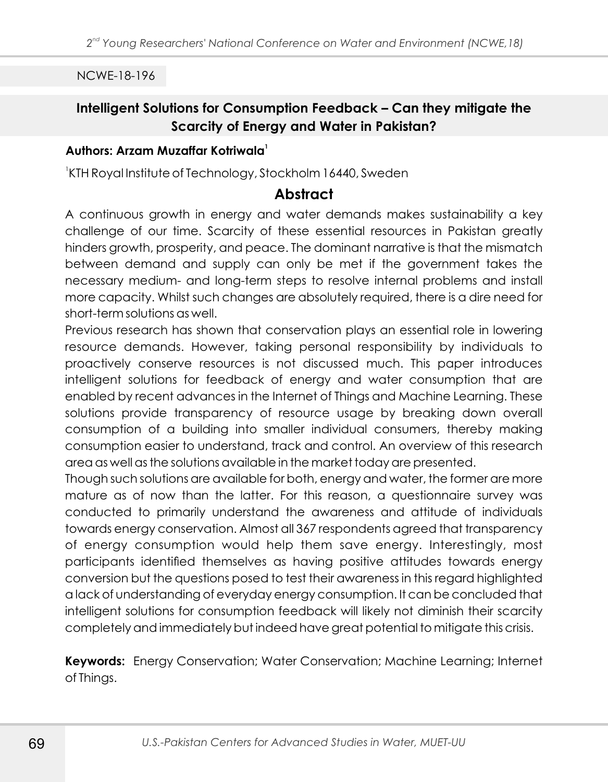# **Intelligent Solutions for Consumption Feedback – Can they mitigate the Scarcity of Energy and Water in Pakistan?**

#### **<sup>1</sup> Authors: Arzam Muzaffar Kotriwala**

1 KTH Royal Institute of Technology, Stockholm 16440, Sweden

#### **Abstract**

A continuous growth in energy and water demands makes sustainability a key challenge of our time. Scarcity of these essential resources in Pakistan greatly hinders growth, prosperity, and peace. The dominant narrative is that the mismatch between demand and supply can only be met if the government takes the necessary medium- and long-term steps to resolve internal problems and install more capacity. Whilst such changes are absolutely required, there is a dire need for short-term solutions as well.

Previous research has shown that conservation plays an essential role in lowering resource demands. However, taking personal responsibility by individuals to proactively conserve resources is not discussed much. This paper introduces intelligent solutions for feedback of energy and water consumption that are enabled by recent advances in the Internet of Things and Machine Learning. These solutions provide transparency of resource usage by breaking down overall consumption of a building into smaller individual consumers, thereby making consumption easier to understand, track and control. An overview of this research area as well as the solutions available in the market today are presented.

Though such solutions are available for both, energy and water, the former are more mature as of now than the latter. For this reason, a questionnaire survey was conducted to primarily understand the awareness and attitude of individuals towards energy conservation. Almost all 367 respondents agreed that transparency of energy consumption would help them save energy. Interestingly, most participants identified themselves as having positive attitudes towards energy conversion but the questions posed to test their awareness in this regard highlighted a lack of understanding of everyday energy consumption. It can be concluded that intelligent solutions for consumption feedback will likely not diminish their scarcity completely and immediately but indeed have great potential to mitigate this crisis.

**Keywords:** Energy Conservation; Water Conservation; Machine Learning; Internet of Things.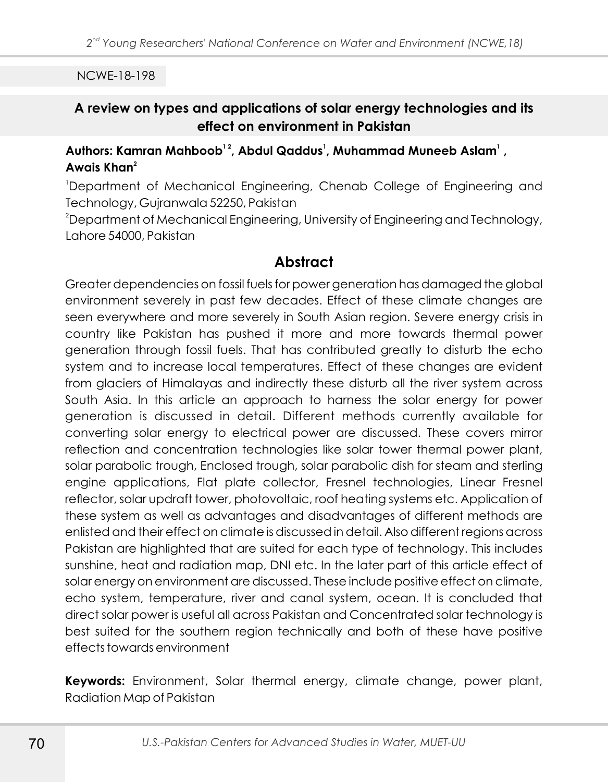# **A review on types and applications of solar energy technologies and its effect on environment in Pakistan**

### **1 2 <sup>1</sup> <sup>1</sup> Authors: Kamran Mahboob , Abdul Qaddus , Muhammad Muneeb Aslam , <sup>2</sup> Awais Khan**

<sup>1</sup>Department of Mechanical Engineering, Chenab College of Engineering and Technology, Gujranwala 52250, Pakistan

<sup>2</sup>Department of Mechanical Engineering, University of Engineering and Technology, Lahore 54000, Pakistan

# **Abstract**

Greater dependencies on fossil fuels for power generation has damaged the global environment severely in past few decades. Effect of these climate changes are seen everywhere and more severely in South Asian region. Severe energy crisis in country like Pakistan has pushed it more and more towards thermal power generation through fossil fuels. That has contributed greatly to disturb the echo system and to increase local temperatures. Effect of these changes are evident from glaciers of Himalayas and indirectly these disturb all the river system across South Asia. In this article an approach to harness the solar energy for power generation is discussed in detail. Different methods currently available for converting solar energy to electrical power are discussed. These covers mirror reflection and concentration technologies like solar tower thermal power plant, solar parabolic trough, Enclosed trough, solar parabolic dish for steam and sterling engine applications, Flat plate collector, Fresnel technologies, Linear Fresnel reflector, solar updraft tower, photovoltaic, roof heating systems etc. Application of these system as well as advantages and disadvantages of different methods are enlisted and their effect on climate is discussed in detail. Also different regions across Pakistan are highlighted that are suited for each type of technology. This includes sunshine, heat and radiation map, DNI etc. In the later part of this article effect of solar energy on environment are discussed. These include positive effect on climate, echo system, temperature, river and canal system, ocean. It is concluded that direct solar power is useful all across Pakistan and Concentrated solar technology is best suited for the southern region technically and both of these have positive effects towards environment

**Keywords:** Environment, Solar thermal energy, climate change, power plant, Radiation Map of Pakistan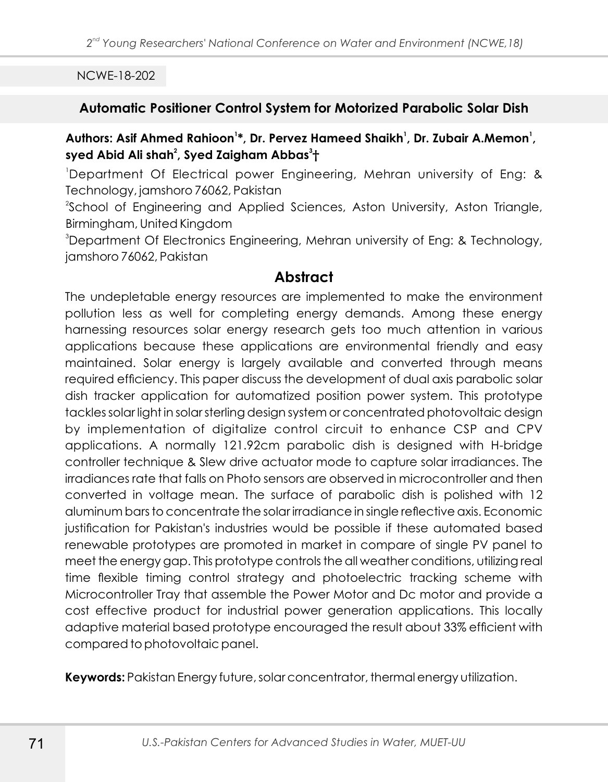### **Automatic Positioner Control System for Motorized Parabolic Solar Dish**

## **<sup>1</sup> <sup>1</sup> <sup>1</sup> Authors: Asif Ahmed Rahioon \*, Dr. Pervez Hameed Shaikh , Dr. Zubair A.Memon , 2 3 syed Abid Ali shah , Syed Zaigham Abbas †**

<sup>1</sup>Department Of Electrical power Engineering, Mehran university of Eng: & Technology, jamshoro 76062, Pakistan

<sup>2</sup>School of Engineering and Applied Sciences, Aston University, Aston Triangle, Birmingham, United Kingdom

<sup>3</sup>Department Of Electronics Engineering, Mehran university of Eng: & Technology, jamshoro 76062, Pakistan

# **Abstract**

The undepletable energy resources are implemented to make the environment pollution less as well for completing energy demands. Among these energy harnessing resources solar energy research gets too much attention in various applications because these applications are environmental friendly and easy maintained. Solar energy is largely available and converted through means required efficiency. This paper discuss the development of dual axis parabolic solar dish tracker application for automatized position power system. This prototype tackles solar light in solar sterling design system or concentrated photovoltaic design by implementation of digitalize control circuit to enhance CSP and CPV applications. A normally 121.92cm parabolic dish is designed with H-bridge controller technique & Slew drive actuator mode to capture solar irradiances. The irradiances rate that falls on Photo sensors are observed in microcontroller and then converted in voltage mean. The surface of parabolic dish is polished with 12 aluminum bars to concentrate the solar irradiance in single reflective axis. Economic justification for Pakistan's industries would be possible if these automated based renewable prototypes are promoted in market in compare of single PV panel to meet the energy gap. This prototype controls the all weather conditions, utilizing real time flexible timing control strategy and photoelectric tracking scheme with Microcontroller Tray that assemble the Power Motor and Dc motor and provide a cost effective product for industrial power generation applications. This locally adaptive material based prototype encouraged the result about 33% efficient with compared to photovoltaic panel.

**Keywords:** Pakistan Energy future, solar concentrator, thermal energy utilization.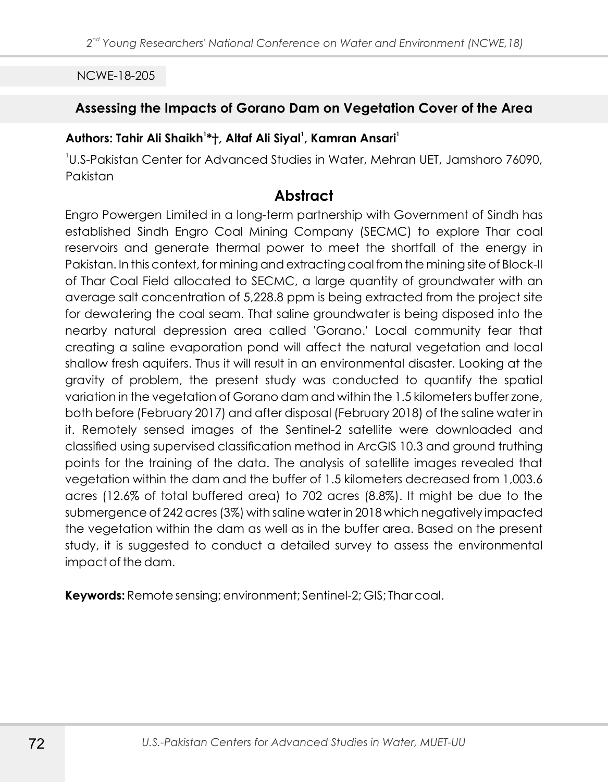## **Assessing the Impacts of Gorano Dam on Vegetation Cover of the Area**

### **<sup>1</sup> <sup>1</sup> <sup>1</sup> Authors: Tahir Ali Shaikh \*†, Altaf Ali Siyal , Kamran Ansari**

1 U.S-Pakistan Center for Advanced Studies in Water, Mehran UET, Jamshoro 76090, Pakistan

### **Abstract**

Engro Powergen Limited in a long-term partnership with Government of Sindh has established Sindh Engro Coal Mining Company (SECMC) to explore Thar coal reservoirs and generate thermal power to meet the shortfall of the energy in Pakistan. In this context, for mining and extracting coal from the mining site of Block-II of Thar Coal Field allocated to SECMC, a large quantity of groundwater with an average salt concentration of 5,228.8 ppm is being extracted from the project site for dewatering the coal seam. That saline groundwater is being disposed into the nearby natural depression area called 'Gorano.' Local community fear that creating a saline evaporation pond will affect the natural vegetation and local shallow fresh aquifers. Thus it will result in an environmental disaster. Looking at the gravity of problem, the present study was conducted to quantify the spatial variation in the vegetation of Gorano dam and within the 1.5 kilometers buffer zone, both before (February 2017) and after disposal (February 2018) of the saline water in it. Remotely sensed images of the Sentinel-2 satellite were downloaded and classified using supervised classification method in ArcGIS 10.3 and ground truthing points for the training of the data. The analysis of satellite images revealed that vegetation within the dam and the buffer of 1.5 kilometers decreased from 1,003.6 acres (12.6% of total buffered area) to 702 acres (8.8%). It might be due to the submergence of 242 acres (3%) with saline water in 2018 which negatively impacted the vegetation within the dam as well as in the buffer area. Based on the present study, it is suggested to conduct a detailed survey to assess the environmental impact of the dam.

**Keywords:** Remote sensing; environment; Sentinel-2; GIS; Thar coal.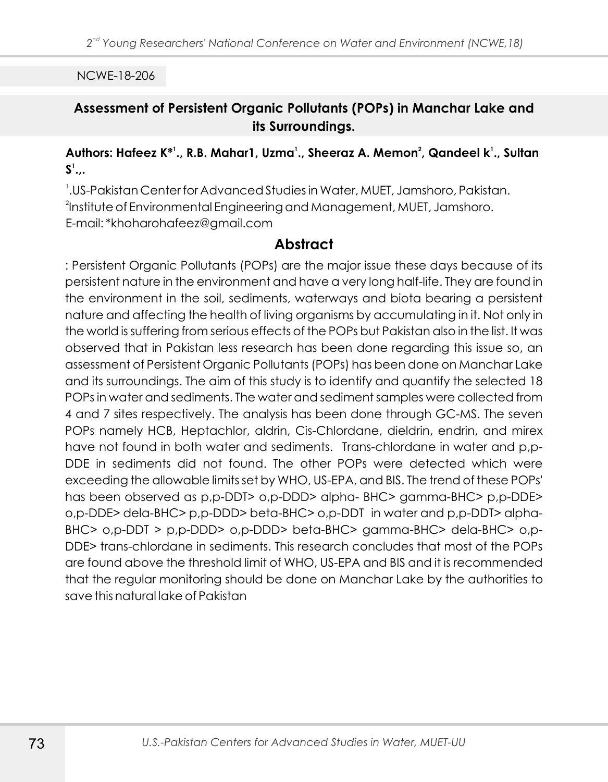NCWE-18-206

## **Assessment of Persistent Organic Pollutants (POPs) in Manchar Lake and its Surroundings.**

### **<sup>1</sup> <sup>1</sup> <sup>2</sup> <sup>1</sup> Authors: Hafeez K\* ., R.B. Mahar1, Uzma ., Sheeraz A. Memon , Qandeel k ., Sultan 1 S .,.**

1 . US-Pakistan Center for Advanced Studies in Water, MUET, Jamshoro, Pakistan.  $^2$ Institute of Environmental Engineering and Management, MUET, Jamshoro. E-mail: \*khoharohafeez@gmail.com

# **Abstract**

: Persistent Organic Pollutants (POPs) are the major issue these days because of its persistent nature in the environment and have a very long half-life. They are found in the environment in the soil, sediments, waterways and biota bearing a persistent nature and affecting the health of living organisms by accumulating in it. Not only in the world is suffering from serious effects of the POPs but Pakistan also in the list. It was observed that in Pakistan less research has been done regarding this issue so, an assessment of Persistent Organic Pollutants (POPs) has been done on Manchar Lake and its surroundings. The aim of this study is to identify and quantify the selected 18 POPs in water and sediments. The water and sediment samples were collected from 4 and 7 sites respectively. The analysis has been done through GC-MS. The seven POPs namely HCB, Heptachlor, aldrin, Cis-Chlordane, dieldrin, endrin, and mirex have not found in both water and sediments. Trans-chlordane in water and p,p-DDE in sediments did not found. The other POPs were detected which were exceeding the allowable limits set by WHO, US-EPA, and BIS. The trend of these POPs' has been observed as p,p-DDT> o,p-DDD> alpha- BHC> gamma-BHC> p,p-DDE> o,p-DDE> dela-BHC> p,p-DDD> beta-BHC> o,p-DDT in water and p,p-DDT> alpha-BHC> o,p-DDT > p,p-DDD> o,p-DDD> beta-BHC> gamma-BHC> dela-BHC> o,p-DDE> trans-chlordane in sediments. This research concludes that most of the POPs are found above the threshold limit of WHO, US-EPA and BIS and it is recommended that the regular monitoring should be done on Manchar Lake by the authorities to save this natural lake of Pakistan